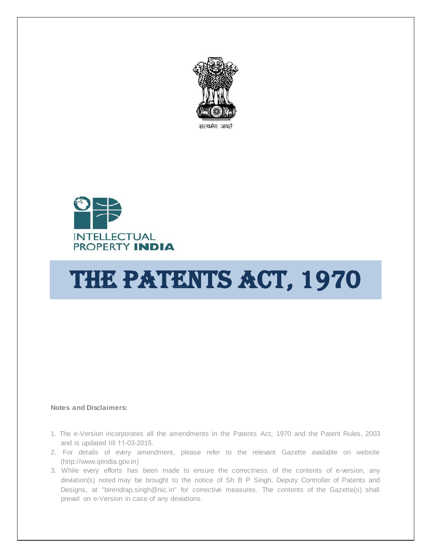



#### **Notes and Disclaimers:**

- 1. The e-Version incorporates all the amendments in the Patents Act, 1970 and the Patent Rules, 2003 and is updated till 11-03-2015.
- 2. For details of every amendment, please refer to the relevant Gazette available on website (http://www.ipindia.gov.in)
- 3. While every efforts has been made to ensure the correctness of the contents of e-version, any deviation(s) noted may be brought to the notice of Sh B P Singh, Deputy Controller of Patents and Designs, at "birendrap.singh@nic.in" for corrective measures. The contents of the Gazette(s) shall prevail on e-Version in case of any deviations.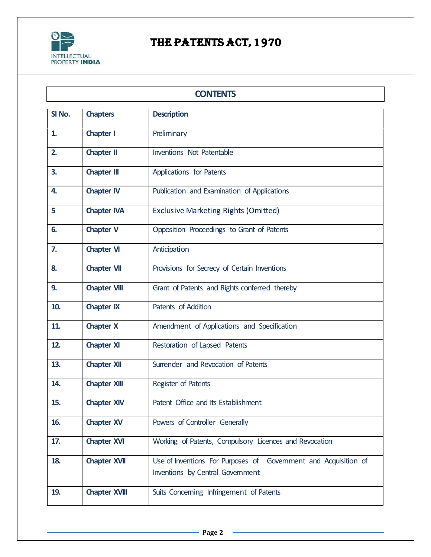

| <b>CONTENTS</b> |                      |                                                                                                       |  |
|-----------------|----------------------|-------------------------------------------------------------------------------------------------------|--|
| SI No.          | <b>Chapters</b>      | <b>Description</b>                                                                                    |  |
| 1.              | <b>Chapter I</b>     | Preliminary                                                                                           |  |
| 2.              | <b>Chapter II</b>    | Inventions Not Patentable                                                                             |  |
| 3.              | <b>Chapter III</b>   | Applications for Patents                                                                              |  |
| 4.              | <b>Chapter IV</b>    | Publication and Examination of Applications                                                           |  |
| 5               | <b>Chapter IVA</b>   | <b>Exclusive Marketing Rights (Omitted)</b>                                                           |  |
| 6.              | <b>Chapter V</b>     | Opposition Proceedings to Grant of Patents                                                            |  |
| 7.              | <b>Chapter VI</b>    | Anticipation                                                                                          |  |
| 8.              | <b>Chapter VII</b>   | Provisions for Secrecy of Certain Inventions                                                          |  |
| 9.              | <b>Chapter VIII</b>  | Grant of Patents and Rights conferred thereby                                                         |  |
| 10.             | <b>Chapter IX</b>    | Patents of Addition                                                                                   |  |
| 11.             | <b>Chapter X</b>     | Amendment of Applications and Specification                                                           |  |
| 12.             | <b>Chapter XI</b>    | Restoration of Lapsed Patents                                                                         |  |
| 13.             | <b>Chapter XII</b>   | Surrender and Revocation of Patents                                                                   |  |
| 14.             | <b>Chapter XIII</b>  | Register of Patents                                                                                   |  |
| 15.             | <b>Chapter XIV</b>   | Patent Office and Its Establishment                                                                   |  |
| 16.             | <b>Chapter XV</b>    | Powers of Controller Generally                                                                        |  |
| 17.             | <b>Chapter XVI</b>   | Working of Patents, Compulsory Licences and Revocation                                                |  |
| 18.             | <b>Chapter XVII</b>  | Use of Inventions For Purposes of<br>Govemment and Acquisition of<br>Inventions by Central Government |  |
| 19.             | <b>Chapter XVIII</b> | Suits Conceming Infringement of Patents                                                               |  |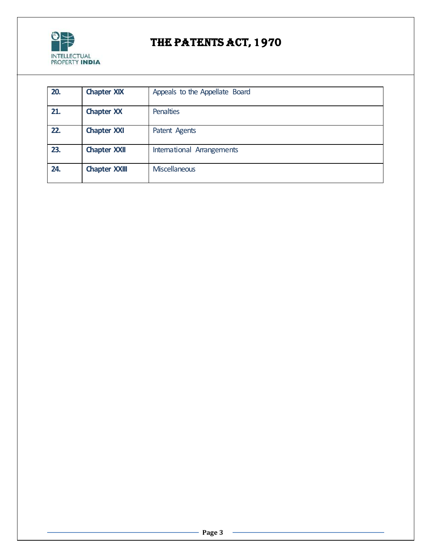

| 20. | <b>Chapter XIX</b>   | Appeals to the Appellate Board |
|-----|----------------------|--------------------------------|
| 21. | <b>Chapter XX</b>    | <b>Penalties</b>               |
| 22. | <b>Chapter XXI</b>   | Patent Agents                  |
| 23. | <b>Chapter XXII</b>  | International Arrangements     |
| 24. | <b>Chapter XXIII</b> | <b>Miscellaneous</b>           |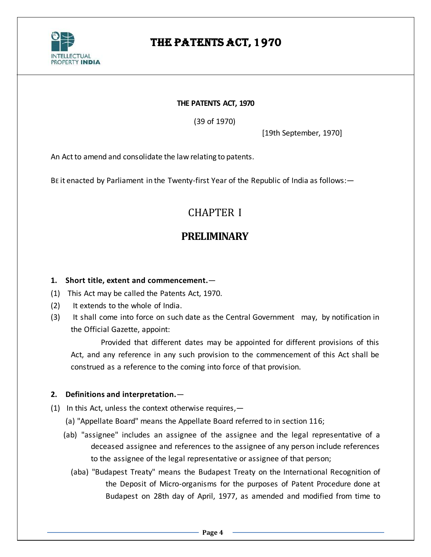

#### **THE PATENTS ACT, 1970**

(39 of 1970)

[19th September, 1970]

An Act to amend and consolidate the law relating to patents.

BE it enacted by Parliament in the Twenty-first Year of the Republic of India as follows:—

#### CHAPTER I

#### **PRELIMINARY**

#### **1. Short title, extent and commencement.**—

- (1) This Act may be called the Patents Act, 1970.
- (2) It extends to the whole of India.
- (3) It shall come into force on such date as the Central Government may, by notification in the Official Gazette, appoint:

Provided that different dates may be appointed for different provisions of this Act, and any reference in any such provision to the commencement of this Act shall be construed as a reference to the coming into force of that provision.

#### **2. Definitions and interpretation.**—

- (1) In this Act, unless the context otherwise requires,  $-$ 
	- (a) "Appellate Board" means the Appellate Board referred to in section 116;
	- (ab) "assignee" includes an assignee of the assignee and the legal representative of a deceased assignee and references to the assignee of any person include references to the assignee of the legal representative or assignee of that person;
		- (aba) "Budapest Treaty" means the Budapest Treaty on the International Recognition of the Deposit of Micro-organisms for the purposes of Patent Procedure done at Budapest on 28th day of April, 1977, as amended and modified from time to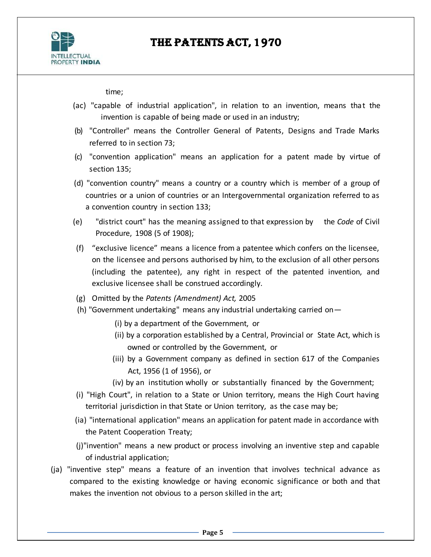

#### time;

- (ac) "capable of industrial application", in relation to an invention, means that the invention is capable of being made or used in an industry;
- (b) "Controller" means the Controller General of Patents, Designs and Trade Marks referred to in section 73;
- (c) "convention application" means an application for a patent made by virtue of section 135;
- (d) "convention country" means a country or a country which is member of a group of countries or a union of countries or an Intergovernmental organization referred to as a convention country in section 133;
- (e) "district court" has the meaning assigned to that expression by the *Code* of Civil Procedure, 1908 (5 of 1908);
- (f) "exclusive licence" means a licence from a patentee which confers on the licensee, on the licensee and persons authorised by him, to the exclusion of all other persons (including the patentee), any right in respect of the patented invention, and exclusive licensee shall be construed accordingly.
- (g) Omitted by the *Patents (Amendment) Act,* 2005
- (h) "Government undertaking" means any industrial undertaking carried on—
	- (i) by a department of the Government, or
	- (ii) by a corporation established by a Central, Provincial or State Act, which is owned or controlled by the Government, or
	- (iii) by a Government company as defined in section 617 of the Companies Act, 1956 (1 of 1956), or
	- (iv) by an institution wholly or substantially financed by the Government;
- (i) "High Court", in relation to a State or Union territory, means the High Court having territorial jurisdiction in that State or Union territory, as the case may be;
- (ia) "international application" means an application for patent made in accordance with the Patent Cooperation Treaty;
- (j)"invention" means a new product or process involving an inventive step and capable of industrial application;
- (ja) "inventive step" means a feature of an invention that involves technical advance as compared to the existing knowledge or having economic significance or both and that makes the invention not obvious to a person skilled in the art;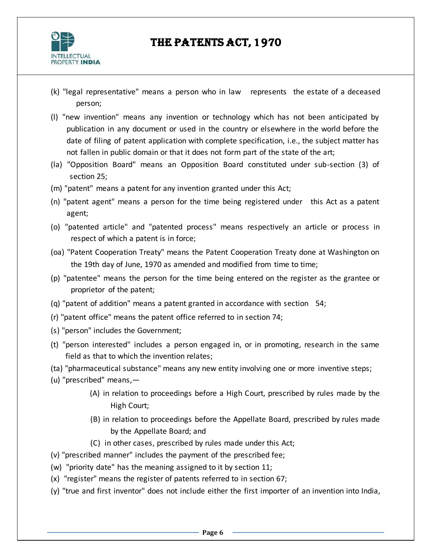

- (k) "legal representative" means a person who in law represents the estate of a deceased person;
- (l) "new invention" means any invention or technology which has not been anticipated by publication in any document or used in the country or elsewhere in the world before the date of filing of patent application with complete specification, i.e., the subject matter has not fallen in public domain or that it does not form part of the state of the art;
- (la) "Opposition Board" means an Opposition Board constituted under sub-section (3) of section 25;
- (m) "patent" means a patent for any invention granted under this Act;
- (n) "patent agent" means a person for the time being registered under this Act as a patent agent;
- (o) "patented article" and "patented process" means respectively an article or process in respect of which a patent is in force;
- (oa) "Patent Cooperation Treaty" means the Patent Cooperation Treaty done at Washington on the 19th day of June, 1970 as amended and modified from time to time;
- (p) "patentee" means the person for the time being entered on the register as the grantee or proprietor of the patent;
- (q) "patent of addition" means a patent granted in accordance with section 54;
- (r) "patent office" means the patent office referred to in section 74;
- (s) "person" includes the Government;
- (t) "person interested" includes a person engaged in, or in promoting, research in the same field as that to which the invention relates;
- (ta) "pharmaceutical substance" means any new entity involving one or more inventive steps;
- (u) "prescribed" means,—
	- (A) in relation to proceedings before a High Court, prescribed by rules made by the High Court;
	- (B) in relation to proceedings before the Appellate Board, prescribed by rules made by the Appellate Board; and
	- (C) in other cases, prescribed by rules made under this Act;
- (v) "prescribed manner" includes the payment of the prescribed fee;
- (w) "priority date" has the meaning assigned to it by section 11;
- (x) "register" means the register of patents referred to in section 67;
- (y) "true and first inventor" does not include either the first importer of an invention into India,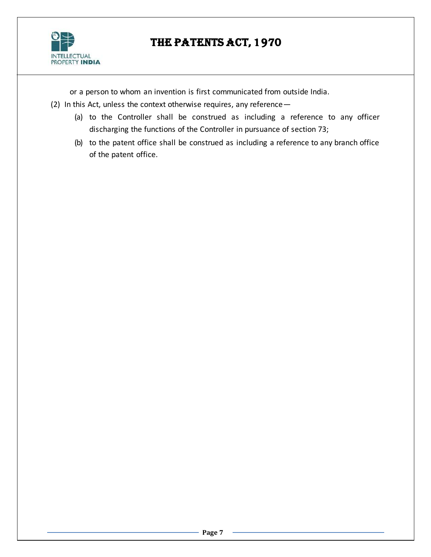

or a person to whom an invention is first communicated from outside India.

- (2) In this Act, unless the context otherwise requires, any reference—
	- (a) to the Controller shall be construed as including a reference to any officer discharging the functions of the Controller in pursuance of section 73;
	- (b) to the patent office shall be construed as including a reference to any branch office of the patent office.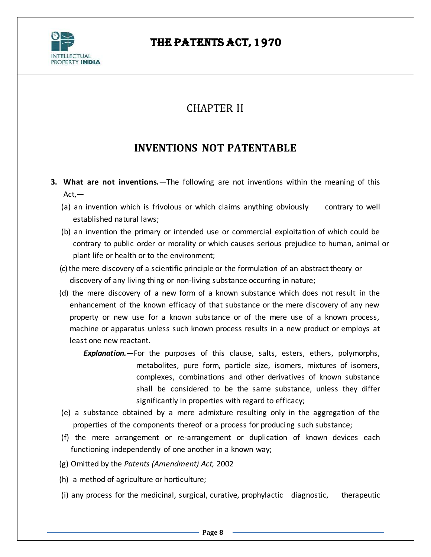

#### CHAPTER II

#### **INVENTIONS NOT PATENTABLE**

- **3. What are not inventions.**—The following are not inventions within the meaning of this Act,—
	- (a) an invention which is frivolous or which claims anything obviously contrary to well established natural laws;
	- (b) an invention the primary or intended use or commercial exploitation of which could be contrary to public order or morality or which causes serious prejudice to human, animal or plant life or health or to the environment;
	- (c)the mere discovery of a scientific principle or the formulation of an abstract theory or discovery of any living thing or non-living substance occurring in nature;
	- (d) the mere discovery of a new form of a known substance which does not result in the enhancement of the known efficacy of that substance or the mere discovery of any new property or new use for a known substance or of the mere use of a known process, machine or apparatus unless such known process results in a new product or employs at least one new reactant.
		- *Explanation.***—**For the purposes of this clause, salts, esters, ethers, polymorphs, metabolites, pure form, particle size, isomers, mixtures of isomers, complexes, combinations and other derivatives of known substance shall be considered to be the same substance, unless they differ significantly in properties with regard to efficacy;
	- (e) a substance obtained by a mere admixture resulting only in the aggregation of the properties of the components thereof or a process for producing such substance;
	- (f) the mere arrangement or re-arrangement or duplication of known devices each functioning independently of one another in a known way;
	- (g) Omitted by the *Patents (Amendment) Act,* 2002
	- (h) a method of agriculture or horticulture;
	- (i) any process for the medicinal, surgical, curative, prophylactic diagnostic, therapeutic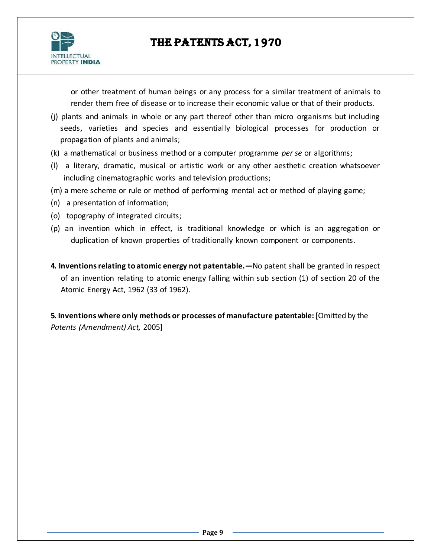

or other treatment of human beings or any process for a similar treatment of animals to render them free of disease or to increase their economic value or that of their products.

- (j) plants and animals in whole or any part thereof other than micro organisms but including seeds, varieties and species and essentially biological processes for production or propagation of plants and animals;
- (k) a mathematical or business method or a computer programme *per se* or algorithms;
- (l) a literary, dramatic, musical or artistic work or any other aesthetic creation whatsoever including cinematographic works and television productions;
- (m) a mere scheme or rule or method of performing mental act or method of playing game;
- (n) a presentation of information;
- (o) topography of integrated circuits;
- (p) an invention which in effect, is traditional knowledge or which is an aggregation or duplication of known properties of traditionally known component or components.
- **4. Inventions relating to atomic energy not patentable.—**No patent shall be granted in respect of an invention relating to atomic energy falling within sub section (1) of section 20 of the Atomic Energy Act, 1962 (33 of 1962).

**5. Inventions where only methods or processes of manufacture patentable:** [Omitted by the *Patents (Amendment) Act,* 2005]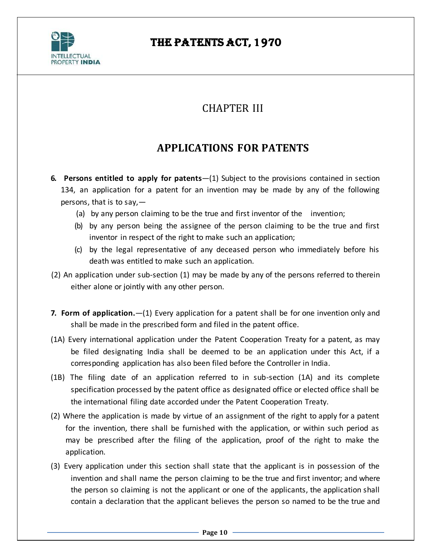

#### CHAPTER III

#### **APPLICATIONS FOR PATENTS**

- **6. Persons entitled to apply for patents**—(1) Subject to the provisions contained in section 134, an application for a patent for an invention may be made by any of the following persons, that is to say,—
	- (a) by any person claiming to be the true and first inventor of the invention;
	- (b) by any person being the assignee of the person claiming to be the true and first inventor in respect of the right to make such an application;
	- (c) by the legal representative of any deceased person who immediately before his death was entitled to make such an application.
- (2) An application under sub-section (1) may be made by any of the persons referred to therein either alone or jointly with any other person.
- **7. Form of application.**—(1) Every application for a patent shall be for one invention only and shall be made in the prescribed form and filed in the patent office.
- (1A) Every international application under the Patent Cooperation Treaty for a patent, as may be filed designating India shall be deemed to be an application under this Act, if a corresponding application has also been filed before the Controller in India.
- (1B) The filing date of an application referred to in sub-section (1A) and its complete specification processed by the patent office as designated office or elected office shall be the international filing date accorded under the Patent Cooperation Treaty.
- (2) Where the application is made by virtue of an assignment of the right to apply for a patent for the invention, there shall be furnished with the application, or within such period as may be prescribed after the filing of the application, proof of the right to make the application.
- (3) Every application under this section shall state that the applicant is in possession of the invention and shall name the person claiming to be the true and first inventor; and where the person so claiming is not the applicant or one of the applicants, the application shall contain a declaration that the applicant believes the person so named to be the true and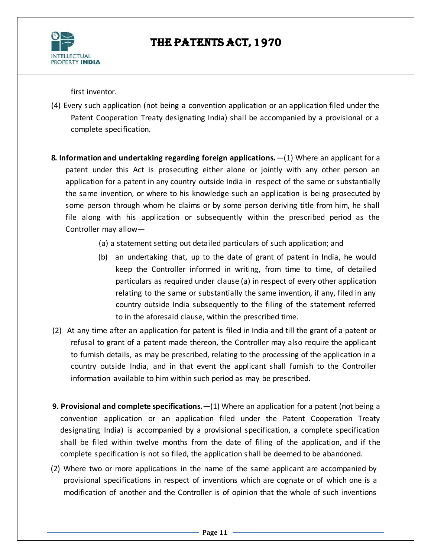

first inventor.

- (4) Every such application (not being a convention application or an application filed under the Patent Cooperation Treaty designating India) shall be accompanied by a provisional or a complete specification.
- **8. Information and undertaking regarding foreign applications.**—(1) Where an applicant for a patent under this Act is prosecuting either alone or jointly with any other person an application for a patent in any country outside India in respect of the same or substantially the same invention, or where to his knowledge such an application is being prosecuted by some person through whom he claims or by some person deriving title from him, he shall file along with his application or subsequently within the prescribed period as the Controller may allow—
	- (a) a statement setting out detailed particulars of such application; and
	- (b) an undertaking that, up to the date of grant of patent in India, he would keep the Controller informed in writing, from time to time, of detailed particulars as required under clause (a) in respect of every other application relating to the same or substantially the same invention, if any, filed in any country outside India subsequently to the filing of the statement referred to in the aforesaid clause, within the prescribed time.
- (2) At any time after an application for patent is filed in India and till the grant of a patent or refusal to grant of a patent made thereon, the Controller may also require the applicant to furnish details, as may be prescribed, relating to the processing of the application in a country outside India, and in that event the applicant shall furnish to the Controller information available to him within such period as may be prescribed.
- **9. Provisional and complete specifications.**—(1) Where an application for a patent (not being a convention application or an application filed under the Patent Cooperation Treaty designating India) is accompanied by a provisional specification, a complete specification shall be filed within twelve months from the date of filing of the application, and if the complete specification is not so filed, the application shall be deemed to be abandoned.
- (2) Where two or more applications in the name of the same applicant are accompanied by provisional specifications in respect of inventions which are cognate or of which one is a modification of another and the Controller is of opinion that the whole of such inventions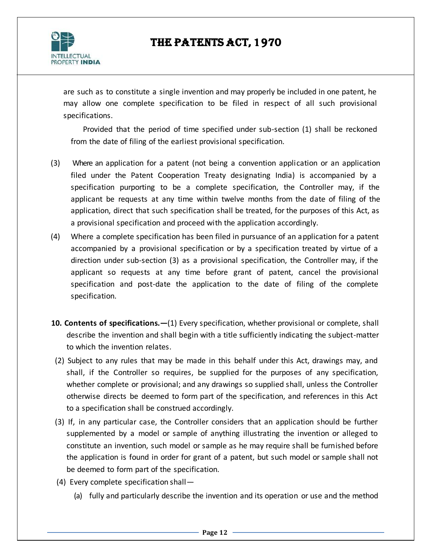

are such as to constitute a single invention and may properly be included in one patent, he may allow one complete specification to be filed in respect of all such provisional specifications.

Provided that the period of time specified under sub-section (1) shall be reckoned from the date of filing of the earliest provisional specification.

- (3) Where an application for a patent (not being a convention application or an application filed under the Patent Cooperation Treaty designating India) is accompanied by a specification purporting to be a complete specification, the Controller may, if the applicant be requests at any time within twelve months from the date of filing of the application, direct that such specification shall be treated, for the purposes of this Act, as a provisional specification and proceed with the application accordingly.
- (4) Where a complete specification has been filed in pursuance of an application for a patent accompanied by a provisional specification or by a specification treated by virtue of a direction under sub-section (3) as a provisional specification, the Controller may, if the applicant so requests at any time before grant of patent, cancel the provisional specification and post-date the application to the date of filing of the complete specification.
- **10. Contents of specifications.—**(1) Every specification, whether provisional or complete, shall describe the invention and shall begin with a title sufficiently indicating the subject-matter to which the invention relates.
- (2) Subject to any rules that may be made in this behalf under this Act, drawings may, and shall, if the Controller so requires, be supplied for the purposes of any specification, whether complete or provisional; and any drawings so supplied shall, unless the Controller otherwise directs be deemed to form part of the specification, and references in this Act to a specification shall be construed accordingly.
- (3) If, in any particular case, the Controller considers that an application should be further supplemented by a model or sample of anything illustrating the invention or alleged to constitute an invention, such model or sample as he may require shall be furnished before the application is found in order for grant of a patent, but such model or sample shall not be deemed to form part of the specification.
- (4) Every complete specification shall—
	- (a) fully and particularly describe the invention and its operation or use and the method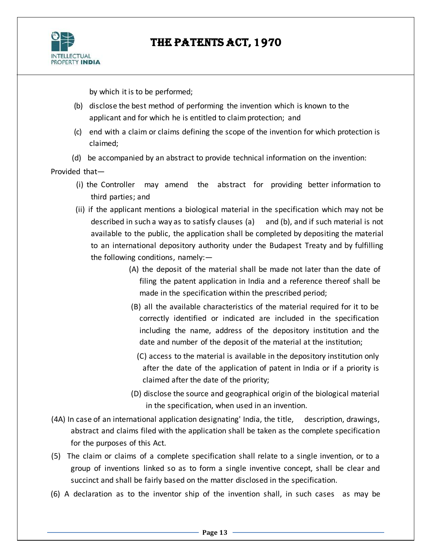

by which it is to be performed;

- (b) disclose the best method of performing the invention which is known to the applicant and for which he is entitled to claim protection; and
- (c) end with a claim or claims defining the scope of the invention for which protection is claimed;
- (d) be accompanied by an abstract to provide technical information on the invention:

Provided that—

- (i) the Controller may amend the abstract for providing better information to third parties; and
- (ii) if the applicant mentions a biological material in the specification which may not be described in such a way as to satisfy clauses (a) and (b), and if such material is not available to the public, the application shall be completed by depositing the material to an international depository authority under the Budapest Treaty and by fulfilling the following conditions, namely:—
	- (A) the deposit of the material shall be made not later than the date of filing the patent application in India and a reference thereof shall be made in the specification within the prescribed period;
	- (B) all the available characteristics of the material required for it to be correctly identified or indicated are included in the specification including the name, address of the depository institution and the date and number of the deposit of the material at the institution;
		- (C) access to the material is available in the depository institution only after the date of the application of patent in India or if a priority is claimed after the date of the priority;
	- (D) disclose the source and geographical origin of the biological material in the specification, when used in an invention.
- (4A) In case of an international application designating' India, the title, description, drawings, abstract and claims filed with the application shall be taken as the complete specification for the purposes of this Act.
- (5) The claim or claims of a complete specification shall relate to a single invention, or to a group of inventions linked so as to form a single inventive concept, shall be clear and succinct and shall be fairly based on the matter disclosed in the specification.
- (6) A declaration as to the inventor ship of the invention shall, in such cases as may be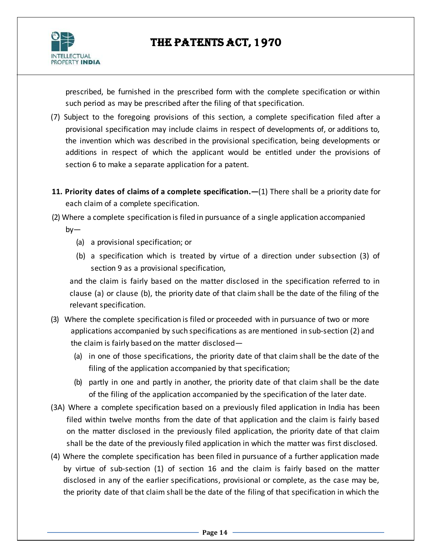

prescribed, be furnished in the prescribed form with the complete specification or within such period as may be prescribed after the filing of that specification.

- (7) Subject to the foregoing provisions of this section, a complete specification filed after a provisional specification may include claims in respect of developments of, or additions to, the invention which was described in the provisional specification, being developments or additions in respect of which the applicant would be entitled under the provisions of section 6 to make a separate application for a patent.
- **11. Priority dates of claims of a complete specification.—**(1) There shall be a priority date for each claim of a complete specification.

#### (2) Where a complete specification is filed in pursuance of a single application accompanied by—

- (a) a provisional specification; or
- (b) a specification which is treated by virtue of a direction under subsection (3) of section 9 as a provisional specification,

and the claim is fairly based on the matter disclosed in the specification referred to in clause (a) or clause (b), the priority date of that claim shall be the date of the filing of the relevant specification.

- (3) Where the complete specification is filed or proceeded with in pursuance of two or more applications accompanied by such specifications as are mentioned in sub-section (2) and the claim is fairly based on the matter disclosed—
	- (a) in one of those specifications, the priority date of that claim shall be the date of the filing of the application accompanied by that specification;
	- (b) partly in one and partly in another, the priority date of that claim shall be the date of the filing of the application accompanied by the specification of the later date.
- (3A) Where a complete specification based on a previously filed application in India has been filed within twelve months from the date of that application and the claim is fairly based on the matter disclosed in the previously filed application, the priority date of that claim shall be the date of the previously filed application in which the matter was first disclosed.
- (4) Where the complete specification has been filed in pursuance of a further application made by virtue of sub-section (1) of section 16 and the claim is fairly based on the matter disclosed in any of the earlier specifications, provisional or complete, as the case may be, the priority date of that claim shall be the date of the filing of that specification in which the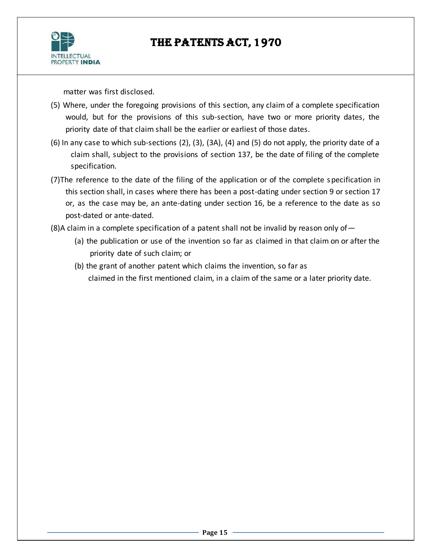

matter was first disclosed.

- (5) Where, under the foregoing provisions of this section, any claim of a complete specification would, but for the provisions of this sub-section, have two or more priority dates, the priority date of that claim shall be the earlier or earliest of those dates.
- (6) In any case to which sub-sections (2), (3), (3A), (4) and (5) do not apply, the priority date of a claim shall, subject to the provisions of section 137, be the date of filing of the complete specification.
- (7)The reference to the date of the filing of the application or of the complete specification in this section shall, in cases where there has been a post-dating under section 9 or section 17 or, as the case may be, an ante-dating under section 16, be a reference to the date as so post-dated or ante-dated.
- (8)A claim in a complete specification of a patent shall not be invalid by reason only of  $-$ 
	- (a) the publication or use of the invention so far as claimed in that claim on or after the priority date of such claim; or
	- (b) the grant of another patent which claims the invention, so far as claimed in the first mentioned claim, in a claim of the same or a later priority date.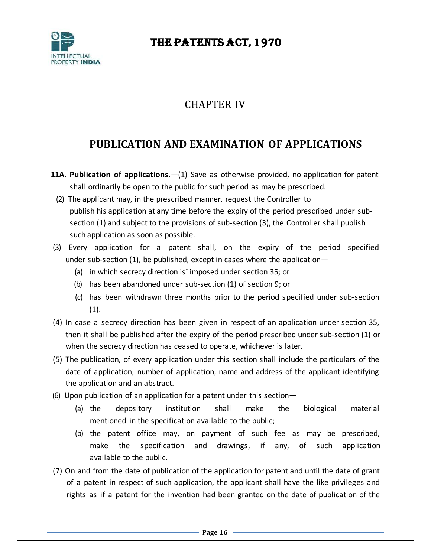

#### CHAPTER IV

## **PUBLICATION AND EXAMINATION OF APPLICATIONS**

- **11A. Publication of applications**.—(1) Save as otherwise provided, no application for patent shall ordinarily be open to the public for such period as may be prescribed.
	- (2) The applicant may, in the prescribed manner, request the Controller to publish his application at any time before the expiry of the period prescribed under subsection (1) and subject to the provisions of sub-section (3), the Controller shall publish such application as soon as possible.
- (3) Every application for a patent shall, on the expiry of the period specified under sub-section (1), be published, except in cases where the application—
	- (a) in which secrecy direction is imposed under section 35; or
	- (b) has been abandoned under sub-section (1) of section 9; or
	- (c) has been withdrawn three months prior to the period specified under sub-section (1).
- (4) In case a secrecy direction has been given in respect of an application under section 35, then it shall be published after the expiry of the period prescribed under sub-section (1) or when the secrecy direction has ceased to operate, whichever is later.
- (5) The publication, of every application under this section shall include the particulars of the date of application, number of application, name and address of the applicant identifying the application and an abstract.
- (6) Upon publication of an application for a patent under this section—
	- (a) the depository institution shall make the biological material mentioned in the specification available to the public;
	- (b) the patent office may, on payment of such fee as may be prescribed, make the specification and drawings, if any, of such application available to the public.
- (7) On and from the date of publication of the application for patent and until the date of grant of a patent in respect of such application, the applicant shall have the like privileges and rights as if a patent for the invention had been granted on the date of publication of the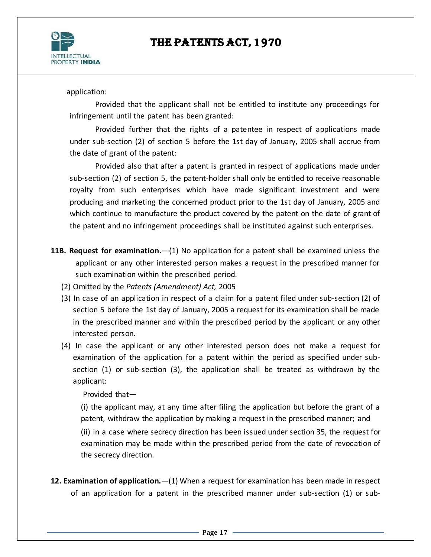

#### application:

Provided that the applicant shall not be entitled to institute any proceedings for infringement until the patent has been granted:

Provided further that the rights of a patentee in respect of applications made under sub-section (2) of section 5 before the 1st day of January, 2005 shall accrue from the date of grant of the patent:

Provided also that after a patent is granted in respect of applications made under sub-section (2) of section 5, the patent-holder shall only be entitled to receive reasonable royalty from such enterprises which have made significant investment and were producing and marketing the concerned product prior to the 1st day of January, 2005 and which continue to manufacture the product covered by the patent on the date of grant of the patent and no infringement proceedings shall be instituted against such enterprises.

- **11B. Request for examination.**—(1) No application for a patent shall be examined unless the applicant or any other interested person makes a request in the prescribed manner for such examination within the prescribed period.
	- (2) Omitted by the *Patents (Amendment) Act,* 2005
	- (3) In case of an application in respect of a claim for a patent filed under sub-section (2) of section 5 before the 1st day of January, 2005 a request for its examination shall be made in the prescribed manner and within the prescribed period by the applicant or any other interested person.
	- (4) In case the applicant or any other interested person does not make a request for examination of the application for a patent within the period as specified under subsection (1) or sub-section (3), the application shall be treated as withdrawn by the applicant:

Provided that—

(i) the applicant may, at any time after filing the application but before the grant of a patent, withdraw the application by making a request in the prescribed manner; and (ii) in a case where secrecy direction has been issued under section 35, the request for examination may be made within the prescribed period from the date of revocation of the secrecy direction.

**12. Examination of application.**—(1) When a request for examination has been made in respect of an application for a patent in the prescribed manner under sub-section (1) or sub-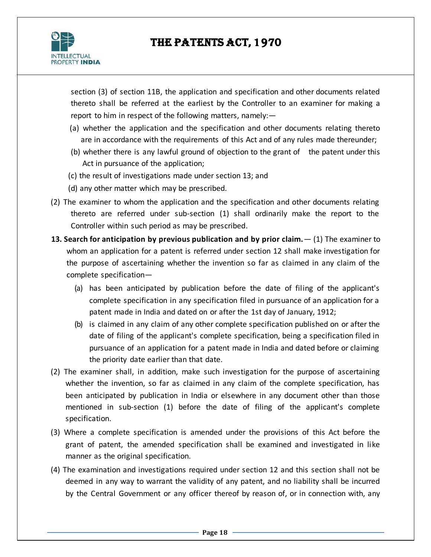

section (3) of section 11B, the application and specification and other documents related thereto shall be referred at the earliest by the Controller to an examiner for making a report to him in respect of the following matters, namely:—

- (a) whether the application and the specification and other documents relating thereto are in accordance with the requirements of this Act and of any rules made thereunder;
- (b) whether there is any lawful ground of objection to the grant of the patent under this Act in pursuance of the application;
- (c) the result of investigations made under section 13; and
- (d) any other matter which may be prescribed.
- (2) The examiner to whom the application and the specification and other documents relating thereto are referred under sub-section (1) shall ordinarily make the report to the Controller within such period as may be prescribed.
- **13. Search for anticipation by previous publication and by prior claim.** (1) The examiner to whom an application for a patent is referred under section 12 shall make investigation for the purpose of ascertaining whether the invention so far as claimed in any claim of the complete specification—
	- (a) has been anticipated by publication before the date of filing of the applicant's complete specification in any specification filed in pursuance of an application for a patent made in India and dated on or after the 1st day of January, 1912;
	- (b) is claimed in any claim of any other complete specification published on or after the date of filing of the applicant's complete specification, being a specification filed in pursuance of an application for a patent made in India and dated before or claiming the priority date earlier than that date.
- (2) The examiner shall, in addition, make such investigation for the purpose of ascertaining whether the invention, so far as claimed in any claim of the complete specification, has been anticipated by publication in India or elsewhere in any document other than those mentioned in sub-section (1) before the date of filing of the applicant's complete specification.
- (3) Where a complete specification is amended under the provisions of this Act before the grant of patent, the amended specification shall be examined and investigated in like manner as the original specification.
- (4) The examination and investigations required under section 12 and this section shall not be deemed in any way to warrant the validity of any patent, and no liability shall be incurred by the Central Government or any officer thereof by reason of, or in connection with, any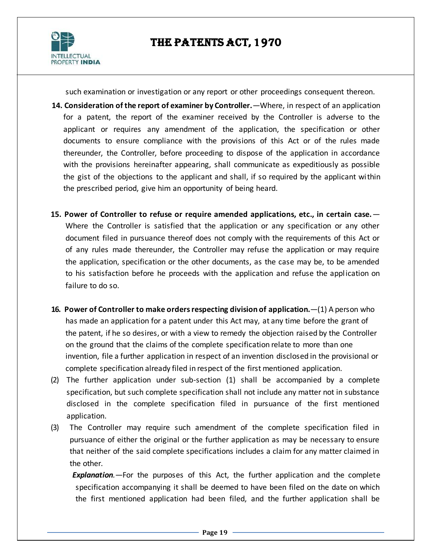

such examination or investigation or any report or other proceedings consequent thereon.

- **14. Consideration of the report of examiner by Controller.**—Where, in respect of an application for a patent, the report of the examiner received by the Controller is adverse to the applicant or requires any amendment of the application, the specification or other documents to ensure compliance with the provisions of this Act or of the rules made thereunder, the Controller, before proceeding to dispose of the application in accordance with the provisions hereinafter appearing, shall communicate as expeditiously as possible the gist of the objections to the applicant and shall, if so required by the applicant within the prescribed period, give him an opportunity of being heard.
- **15. Power of Controller to refuse or require amended applications, etc., in certain case.** Where the Controller is satisfied that the application or any specification or any other document filed in pursuance thereof does not comply with the requirements of this Act or of any rules made thereunder, the Controller may refuse the application or may require the application, specification or the other documents, as the case may be, to be amended to his satisfaction before he proceeds with the application and refuse the application on failure to do so.
- **16. Power of Controller to make orders respecting division of application.**—(1) A person who has made an application for a patent under this Act may, at any time before the grant of the patent, if he so desires, or with a view to remedy the objection raised by the Controller on the ground that the claims of the complete specification relate to more than one invention, file a further application in respect of an invention disclosed in the provisional or complete specification already filed in respect of the first mentioned application.
- (2) The further application under sub-section (1) shall be accompanied by a complete specification, but such complete specification shall not include any matter not in substance disclosed in the complete specification filed in pursuance of the first mentioned application.
- (3) The Controller may require such amendment of the complete specification filed in pursuance of either the original or the further application as may be necessary to ensure that neither of the said complete specifications includes a claim for any matter claimed in the other.

 *Explanation.*—For the purposes of this Act, the further application and the complete specification accompanying it shall be deemed to have been filed on the date on which the first mentioned application had been filed, and the further application shall be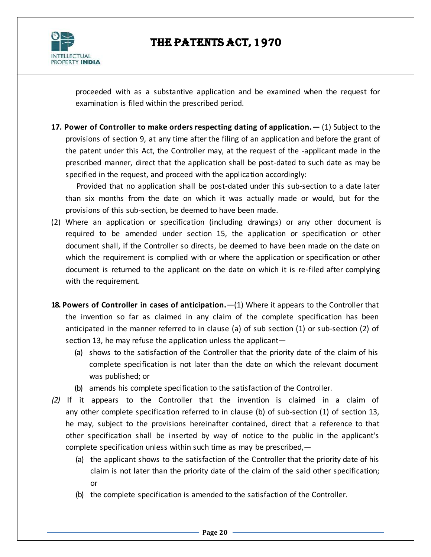

proceeded with as a substantive application and be examined when the request for examination is filed within the prescribed period.

**17. Power of Controller to make orders respecting dating of application.—** (1) Subject to the provisions of section 9, at any time after the filing of an application and before the grant of the patent under this Act, the Controller may, at the request of the -applicant made in the prescribed manner, direct that the application shall be post-dated to such date as may be specified in the request, and proceed with the application accordingly:

 Provided that no application shall be post-dated under this sub-section to a date later than six months from the date on which it was actually made or would, but for the provisions of this sub-section, be deemed to have been made.

- (2) Where an application or specification (including drawings) or any other document is required to be amended under section 15, the application or specification or other document shall, if the Controller so directs, be deemed to have been made on the date on which the requirement is complied with or where the application or specification or other document is returned to the applicant on the date on which it is re-filed after complying with the requirement.
- **18. Powers of Controller in cases of anticipation.**—(1) Where it appears to the Controller that the invention so far as claimed in any claim of the complete specification has been anticipated in the manner referred to in clause (a) of sub section (1) or sub-section (2) of section 13, he may refuse the application unless the applicant—
	- (a) shows to the satisfaction of the Controller that the priority date of the claim of his complete specification is not later than the date on which the relevant document was published; or
	- (b) amends his complete specification to the satisfaction of the Controller.
- *(2)* If it appears to the Controller that the invention is claimed in a claim of any other complete specification referred to in clause (b) of sub-section (1) of section 13, he may, subject to the provisions hereinafter contained, direct that a reference to that other specification shall be inserted by way of notice to the public in the applicant's complete specification unless within such time as may be prescribed,—
	- (a) the applicant shows to the satisfaction of the Controller that the priority date of his claim is not later than the priority date of the claim of the said other specification; or
	- (b) the complete specification is amended to the satisfaction of the Controller.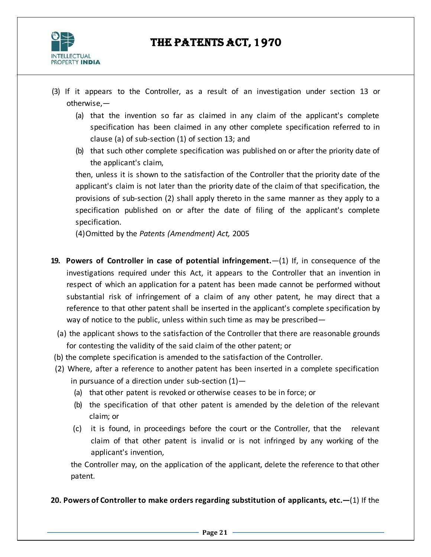

- (3) If it appears to the Controller, as a result of an investigation under section 13 or otherwise,—
	- (a) that the invention so far as claimed in any claim of the applicant's complete specification has been claimed in any other complete specification referred to in clause (a) of sub-section (1) of section 13; and
	- (b) that such other complete specification was published on or after the priority date of the applicant's claim,

then, unless it is shown to the satisfaction of the Controller that the priority date of the applicant's claim is not later than the priority date of the claim of that specification, the provisions of sub-section (2) shall apply thereto in the same manner as they apply to a specification published on or after the date of filing of the applicant's complete specification.

(4)Omitted by the *Patents (Amendment) Act,* 2005

- **19. Powers of Controller in case of potential infringement.**—(1) If, in consequence of the investigations required under this Act, it appears to the Controller that an invention in respect of which an application for a patent has been made cannot be performed without substantial risk of infringement of a claim of any other patent, he may direct that a reference to that other patent shall be inserted in the applicant's complete specification by way of notice to the public, unless within such time as may be prescribed—
	- (a) the applicant shows to the satisfaction of the Controller that there are reasonable grounds for contesting the validity of the said claim of the other patent; or
- (b) the complete specification is amended to the satisfaction of the Controller.
- (2) Where, after a reference to another patent has been inserted in a complete specification in pursuance of a direction under sub-section  $(1)$ —
	- (a) that other patent is revoked or otherwise ceases to be in force; or
	- (b) the specification of that other patent is amended by the deletion of the relevant claim; or
	- (c) it is found, in proceedings before the court or the Controller, that the relevant claim of that other patent is invalid or is not infringed by any working of the applicant's invention,

the Controller may, on the application of the applicant, delete the reference to that other patent.

#### **20. Powers of Controller to make orders regarding substitution of applicants, etc.—**(1) If the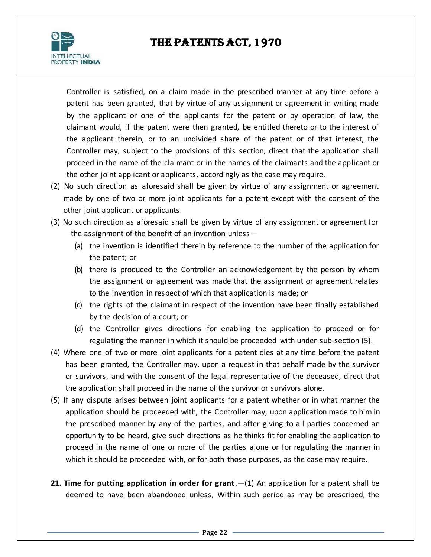

Controller is satisfied, on a claim made in the prescribed manner at any time before a patent has been granted, that by virtue of any assignment or agreement in writing made by the applicant or one of the applicants for the patent or by operation of law, the claimant would, if the patent were then granted, be entitled thereto or to the interest of the applicant therein, or to an undivided share of the patent or of that interest, the Controller may, subject to the provisions of this section, direct that the application shall proceed in the name of the claimant or in the names of the claimants and the applicant or the other joint applicant or applicants, accordingly as the case may require.

- (2) No such direction as aforesaid shall be given by virtue of any assignment or agreement made by one of two or more joint applicants for a patent except with the cons ent of the other joint applicant or applicants.
- (3) No such direction as aforesaid shall be given by virtue of any assignment or agreement for the assignment of the benefit of an invention unless—
	- (a) the invention is identified therein by reference to the number of the application for the patent; or
	- (b) there is produced to the Controller an acknowledgement by the person by whom the assignment or agreement was made that the assignment or agreement relates to the invention in respect of which that application is made; or
	- (c) the rights of the claimant in respect of the invention have been finally established by the decision of a court; or
	- (d) the Controller gives directions for enabling the application to proceed or for regulating the manner in which it should be proceeded with under sub-section (5).
- (4) Where one of two or more joint applicants for a patent dies at any time before the patent has been granted, the Controller may, upon a request in that behalf made by the survivor or survivors, and with the consent of the legal representative of the deceased, direct that the application shall proceed in the name of the survivor or survivors alone.
- (5) If any dispute arises between joint applicants for a patent whether or in what manner the application should be proceeded with, the Controller may, upon application made to him in the prescribed manner by any of the parties, and after giving to all parties concerned an opportunity to be heard, give such directions as he thinks fit for enabling the application to proceed in the name of one or more of the parties alone or for regulating the manner in which it should be proceeded with, or for both those purposes, as the case may require.
- **21. Time for putting application in order for grant**.—(1) An application for a patent shall be deemed to have been abandoned unless, Within such period as may be prescribed, the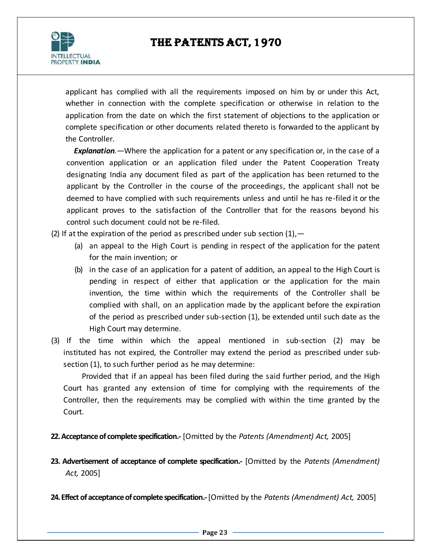

applicant has complied with all the requirements imposed on him by or under this Act, whether in connection with the complete specification or otherwise in relation to the application from the date on which the first statement of objections to the application or complete specification or other documents related thereto is forwarded to the applicant by the Controller.

 *Explanation.*—Where the application for a patent or any specification or, in the case of a convention application or an application filed under the Patent Cooperation Treaty designating India any document filed as part of the application has been returned to the applicant by the Controller in the course of the proceedings, the applicant shall not be deemed to have complied with such requirements unless and until he has re-filed it or the applicant proves to the satisfaction of the Controller that for the reasons beyond his control such document could not be re-filed.

(2) If at the expiration of the period as prescribed under sub section  $(1)$ ,  $-$ 

- (a) an appeal to the High Court is pending in respect of the application for the patent for the main invention; or
- (b) in the case of an application for a patent of addition, an appeal to the High Court is pending in respect of either that application or the application for the main invention, the time within which the requirements of the Controller shall be complied with shall, on an application made by the applicant before the expiration of the period as prescribed under sub-section (1), be extended until such date as the High Court may determine.
- (3) If the time within which the appeal mentioned in sub-section (2) may be instituted has not expired, the Controller may extend the period as prescribed under subsection (1), to such further period as he may determine:

Provided that if an appeal has been filed during the said further period, and the High Court has granted any extension of time for complying with the requirements of the Controller, then the requirements may be complied with within the time granted by the Court.

**22. Acceptance of complete specification.-** [Omitted by the *Patents (Amendment) Act,* 2005]

- **23. Advertisement of acceptance of complete specification.-** [Omitted by the *Patents (Amendment) Act,* 2005]
- **24. Effect of acceptance of complete specification.-**[Omitted by the *Patents (Amendment) Act,* 2005]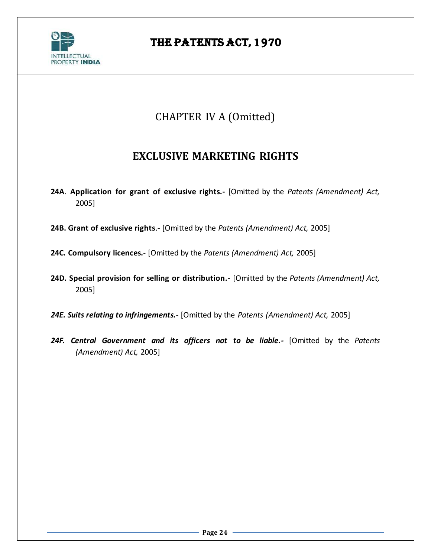

# CHAPTER IV A (Omitted)

#### **EXCLUSIVE MARKETING RIGHTS**

- **24A**. **Application for grant of exclusive rights.-** [Omitted by the *Patents (Amendment) Act,*  2005]
- **24B. Grant of exclusive rights**.- [Omitted by the *Patents (Amendment) Act,* 2005]
- **24C. Compulsory licences.** [Omitted by the *Patents (Amendment) Act,* 2005]
- **24D. Special provision for selling or distribution.-** [Omitted by the *Patents (Amendment) Act,*  2005]
- *24E. Suits relating to infringements.-* [Omitted by the *Patents (Amendment) Act,* 2005]
- *24F. Central Government and its officers not to be liable.-* [Omitted by the *Patents (Amendment) Act,* 2005]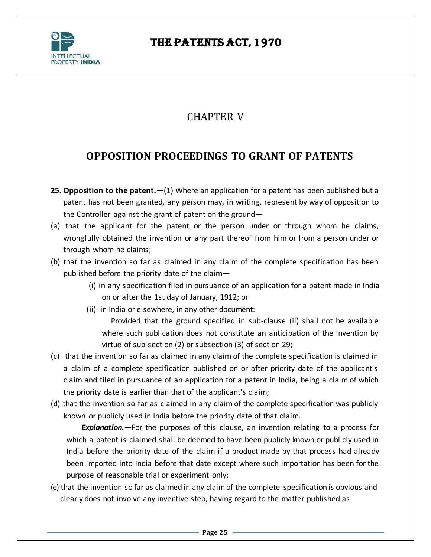

# CHAPTER V

# **OPPOSITION PROCEEDINGS TO GRANT OF PATENTS**

- **25. Opposition to the patent.**—(1) Where an application for a patent has been published but a patent has not been granted, any person may, in writing, represent by way of opposition to the Controller against the grant of patent on the ground—
- (a) that the applicant for the patent or the person under or through whom he claims, wrongfully obtained the invention or any part thereof from him or from a person under or through whom he claims;
- (b) that the invention so far as claimed in any claim of the complete specification has been published before the priority date of the claim—
	- (i) in any specification filed in pursuance of an application for a patent made in India on or after the 1st day of January, 1912; or
	- (ii) in India or elsewhere, in any other document:

Provided that the ground specified in sub-clause (ii) shall not be available where such publication does not constitute an anticipation of the invention by virtue of sub-section (2) or subsection (3) of section 29;

- (c) that the invention so far as claimed in any claim of the complete specification is claimed in a claim of a complete specification published on or after priority date of the applicant's claim and filed in pursuance of an application for a patent in India, being a claim of which the priority date is earlier than that of the applicant's claim;
- (d) that the invention so far as claimed in any claim of the complete specification was publicly known or publicly used in India before the priority date of that claim.

 *Explanation.*—For the purposes of this clause, an invention relating to a process for which a patent is claimed shall be deemed to have been publicly known or publicly used in India before the priority date of the claim if a product made by that process had already been imported into India before that date except where such importation has been for the purpose of reasonable trial or experiment only;

(e) that the invention so far as claimed in any claim of the complete specification is obvious and clearly does not involve any inventive step, having regard to the matter published as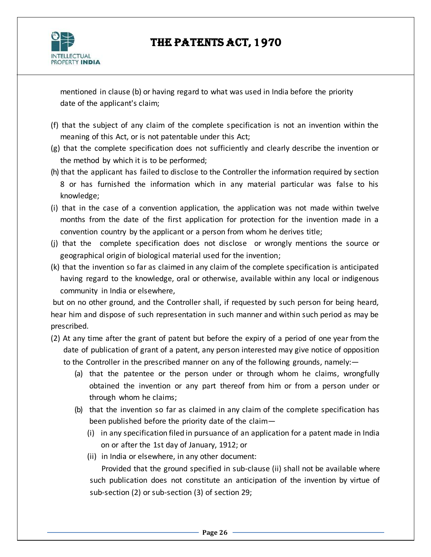

mentioned in clause (b) or having regard to what was used in India before the priority date of the applicant's claim;

- (f) that the subject of any claim of the complete specification is not an invention within the meaning of this Act, or is not patentable under this Act;
- (g) that the complete specification does not sufficiently and clearly describe the invention or the method by which it is to be performed;
- (h) that the applicant has failed to disclose to the Controller the information required by section 8 or has furnished the information which in any material particular was false to his knowledge;
- (i) that in the case of a convention application, the application was not made within twelve months from the date of the first application for protection for the invention made in a convention country by the applicant or a person from whom he derives title;
- (j) that the complete specification does not disclose or wrongly mentions the source or geographical origin of biological material used for the invention;
- (k) that the invention so far as claimed in any claim of the complete specification is anticipated having regard to the knowledge, oral or otherwise, available within any local or indigenous community in India or elsewhere,

but on no other ground, and the Controller shall, if requested by such person for being heard, hear him and dispose of such representation in such manner and within such period as may be prescribed.

- (2) At any time after the grant of patent but before the expiry of a period of one year from the date of publication of grant of a patent, any person interested may give notice of opposition to the Controller in the prescribed manner on any of the following grounds, namely:—
	- (a) that the patentee or the person under or through whom he claims, wrongfully obtained the invention or any part thereof from him or from a person under or through whom he claims;
	- (b) that the invention so far as claimed in any claim of the complete specification has been published before the priority date of the claim—
		- (i) in any specification filed in pursuance of an application for a patent made in India on or after the 1st day of January, 1912; or
		- (ii) in India or elsewhere, in any other document:

 Provided that the ground specified in sub-clause (ii) shall not be available where such publication does not constitute an anticipation of the invention by virtue of sub-section (2) or sub-section (3) of section 29;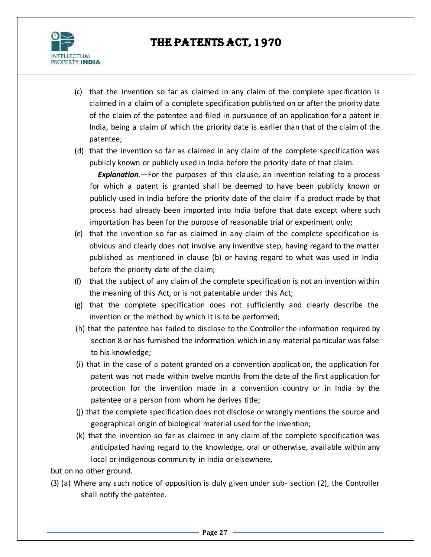

- (c) that the invention so far as claimed in any claim of the complete specification is claimed in a claim of a complete specification published on or after the priority date of the claim of the patentee and filed in pursuance of an application for a patent in India, being a claim of which the priority date is earlier than that of the claim of the patentee;
- (d) that the invention so far as claimed in any claim of the complete specification was publicly known or publicly used in India before the priority date of that claim.

*Explanation.*—For the purposes of this clause, an invention relating to a process for which a patent is granted shall be deemed to have been publicly known or publicly used in India before the priority date of the claim if a product made by that process had already been imported into India before that date except where such importation has been for the purpose of reasonable trial or experiment only;

- (e) that the invention so far as claimed in any claim of the complete specification is obvious and clearly does not involve any inventive step, having regard to the matter published as mentioned in clause (b) or having regard to what was used in India before the priority date of the claim;
- (f) that the subject of any claim of the complete specification is not an invention within the meaning of this Act, or is not patentable under this Act;
- (g) that the complete specification does not sufficiently and clearly describe the invention or the method by which it is to be performed;
- (h) that the patentee has failed to disclose to the Controller the information required by section 8 or has furnished the information which in any material particular was false to his knowledge;
- (i) that in the case of a patent granted on a convention application, the application for patent was not made within twelve months from the date of the first application for protection for the invention made in a convention country or in India by the patentee or a person from whom he derives title;
- (j) that the complete specification does not disclose or wrongly mentions the source and geographical origin of biological material used for the invention;
- (k) that the invention so far as claimed in any claim of the complete specification was anticipated having regard to the knowledge, oral or otherwise, available within any local or indigenous community in India or elsewhere,

but on no other ground.

(3) (a) Where any such notice of opposition is duly given under sub- section (2), the Controller shall notify the patentee.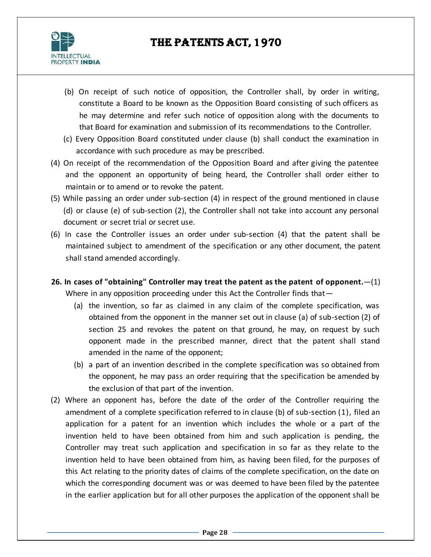

- (b) On receipt of such notice of opposition, the Controller shall, by order in writing, constitute a Board to be known as the Opposition Board consisting of such officers as he may determine and refer such notice of opposition along with the documents to that Board for examination and submission of its recommendations to the Controller.
- (c) Every Opposition Board constituted under clause (b) shall conduct the examination in accordance with such procedure as may be prescribed.
- (4) On receipt of the recommendation of the Opposition Board and after giving the patentee and the opponent an opportunity of being heard, the Controller shall order either to maintain or to amend or to revoke the patent.
- (5) While passing an order under sub-section (4) in respect of the ground mentioned in clause (d) or clause (e) of sub-section (2), the Controller shall not take into account any personal document or secret trial or secret use.
- (6) In case the Controller issues an order under sub-section (4) that the patent shall be maintained subject to amendment of the specification or any other document, the patent shall stand amended accordingly.
- **26. In cases of "obtaining" Controller may treat the patent as the patent of opponent.**—(1) Where in any opposition proceeding under this Act the Controller finds that—
	- (a) the invention, so far as claimed in any claim of the complete specification, was obtained from the opponent in the manner set out in clause (a) of sub-section (2) of section 25 and revokes the patent on that ground, he may, on request by such opponent made in the prescribed manner, direct that the patent shall stand amended in the name of the opponent;
	- (b) a part of an invention described in the complete specification was so obtained from the opponent, he may pass an order requiring that the specification be amended by the exclusion of that part of the invention.
- (2) Where an opponent has, before the date of the order of the Controller requiring the amendment of a complete specification referred to in clause (b) of sub-section (1), filed an application for a patent for an invention which includes the whole or a part of the invention held to have been obtained from him and such application is pending, the Controller may treat such application and specification in so far as they relate to the invention held to have been obtained from him, as having been filed, for the purposes of this Act relating to the priority dates of claims of the complete specification, on the date on which the corresponding document was or was deemed to have been filed by the patentee in the earlier application but for all other purposes the application of the opponent shall be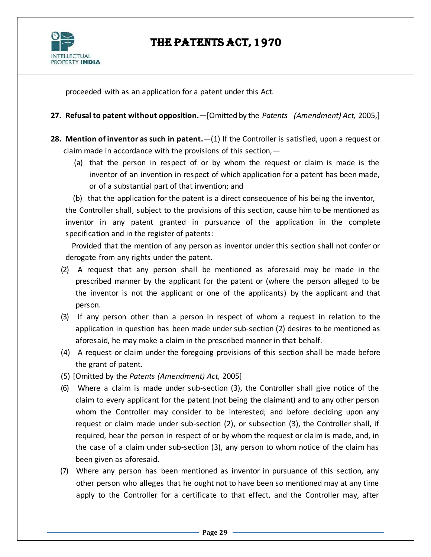

proceeded with as an application for a patent under this Act.

- **27. Refusal to patent without opposition.**—[Omitted by the *Patents (Amendment) Act,* 2005,]
- **28. Mention of inventor as such in patent.**—(1) If the Controller is satisfied, upon a request or claim made in accordance with the provisions of this section,  $-$ 
	- (a) that the person in respect of or by whom the request or claim is made is the inventor of an invention in respect of which application for a patent has been made, or of a substantial part of that invention; and
	- (b) that the application for the patent is a direct consequence of his being the inventor,

the Controller shall, subject to the provisions of this section, cause him to be mentioned as inventor in any patent granted in pursuance of the application in the complete specification and in the register of patents:

 Provided that the mention of any person as inventor under this section shall not confer or derogate from any rights under the patent.

- (2) A request that any person shall be mentioned as aforesaid may be made in the prescribed manner by the applicant for the patent or (where the person alleged to be the inventor is not the applicant or one of the applicants) by the applicant and that person.
- (3) If any person other than a person in respect of whom a request in relation to the application in question has been made under sub-section (2) desires to be mentioned as aforesaid, he may make a claim in the prescribed manner in that behalf.
- (4) A request or claim under the foregoing provisions of this section shall be made before the grant of patent.
- (5) [Omitted by the *Patents (Amendment) Act,* 2005]
- (6) Where a claim is made under sub-section (3), the Controller shall give notice of the claim to every applicant for the patent (not being the claimant) and to any other person whom the Controller may consider to be interested; and before deciding upon any request or claim made under sub-section (2), or subsection (3), the Controller shall, if required, hear the person in respect of or by whom the request or claim is made, and, in the case of a claim under sub-section (3), any person to whom notice of the claim has been given as aforesaid.
- (7) Where any person has been mentioned as inventor in pursuance of this section, any other person who alleges that he ought not to have been so mentioned may at any time apply to the Controller for a certificate to that effect, and the Controller may, after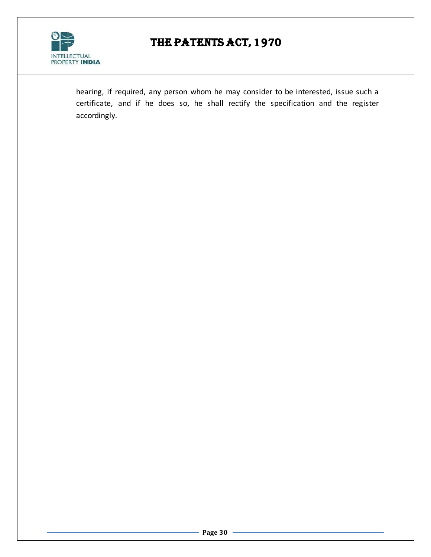

hearing, if required, any person whom he may consider to be interested, issue such a certificate, and if he does so, he shall rectify the specification and the register accordingly.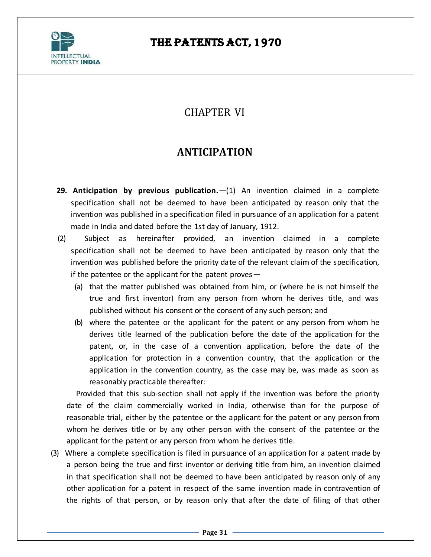

#### CHAPTER VI

#### **ANTICIPATION**

- **29. Anticipation by previous publication.**—(1) An invention claimed in a complete specification shall not be deemed to have been anticipated by reason only that the invention was published in a specification filed in pursuance of an application for a patent made in India and dated before the 1st day of January, 1912.
- (2) Subject as hereinafter provided, an invention claimed in a complete specification shall not be deemed to have been anticipated by reason only that the invention was published before the priority date of the relevant claim of the specification, if the patentee or the applicant for the patent proves  $-$ 
	- (a) that the matter published was obtained from him, or (where he is not himself the true and first inventor) from any person from whom he derives title, and was published without his consent or the consent of any such person; and
	- (b) where the patentee or the applicant for the patent or any person from whom he derives title learned of the publication before the date of the application for the patent, or, in the case of a convention application, before the date of the application for protection in a convention country, that the application or the application in the convention country, as the case may be, was made as soon as reasonably practicable thereafter:

Provided that this sub-section shall not apply if the invention was before the priority date of the claim commercially worked in India, otherwise than for the purpose of reasonable trial, either by the patentee or the applicant for the patent or any person from whom he derives title or by any other person with the consent of the patentee or the applicant for the patent or any person from whom he derives title.

(3) Where a complete specification is filed in pursuance of an application for a patent made by a person being the true and first inventor or deriving title from him, an invention claimed in that specification shall not be deemed to have been anticipated by reason only of any other application for a patent in respect of the same invention made in contravention of the rights of that person, or by reason only that after the date of filing of that other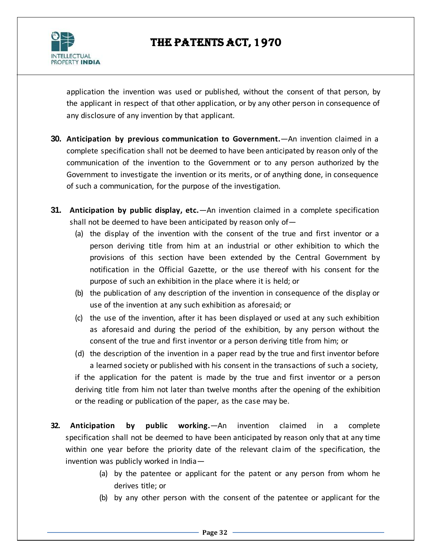

application the invention was used or published, without the consent of that person, by the applicant in respect of that other application, or by any other person in consequence of any disclosure of any invention by that applicant.

- **30. Anticipation by previous communication to Government.**—An invention claimed in a complete specification shall not be deemed to have been anticipated by reason only of the communication of the invention to the Government or to any person authorized by the Government to investigate the invention or its merits, or of anything done, in consequence of such a communication, for the purpose of the investigation.
- **31. Anticipation by public display, etc.**—An invention claimed in a complete specification shall not be deemed to have been anticipated by reason only of—
	- (a) the display of the invention with the consent of the true and first inventor or a person deriving title from him at an industrial or other exhibition to which the provisions of this section have been extended by the Central Government by notification in the Official Gazette, or the use thereof with his consent for the purpose of such an exhibition in the place where it is held; or
	- (b) the publication of any description of the invention in consequence of the display or use of the invention at any such exhibition as aforesaid; or
	- (c) the use of the invention, after it has been displayed or used at any such exhibition as aforesaid and during the period of the exhibition, by any person without the consent of the true and first inventor or a person deriving title from him; or
	- (d) the description of the invention in a paper read by the true and first inventor before a learned society or published with his consent in the transactions of such a society, if the application for the patent is made by the true and first inventor or a person deriving title from him not later than twelve months after the opening of the exhibition or the reading or publication of the paper, as the case may be.
- **32. Anticipation by public working.**—An invention claimed in a complete specification shall not be deemed to have been anticipated by reason only that at any time within one year before the priority date of the relevant claim of the specification, the invention was publicly worked in India—
	- (a) by the patentee or applicant for the patent or any person from whom he derives title; or
	- (b) by any other person with the consent of the patentee or applicant for the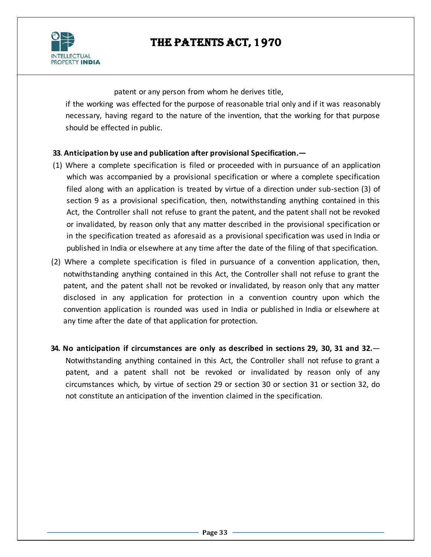

patent or any person from whom he derives title,

if the working was effected for the purpose of reasonable trial only and if it was reasonably necessary, having regard to the nature of the invention, that the working for that purpose should be effected in public.

#### **33**. **Anticipation by use and publication after provisional Specification.—**

- (1) Where a complete specification is filed or proceeded with in pursuance of an application which was accompanied by a provisional specification or where a complete specification filed along with an application is treated by virtue of a direction under sub-section (3) of section 9 as a provisional specification, then, notwithstanding anything contained in this Act, the Controller shall not refuse to grant the patent, and the patent shall not be revoked or invalidated, by reason only that any matter described in the provisional specification or in the specification treated as aforesaid as a provisional specification was used in India or published in India or elsewhere at any time after the date of the filing of that specification.
- (2) Where a complete specification is filed in pursuance of a convention application, then, notwithstanding anything contained in this Act, the Controller shall not refuse to grant the patent, and the patent shall not be revoked or invalidated, by reason only that any matter disclosed in any application for protection in a convention country upon which the convention application is rounded was used in India or published in India or elsewhere at any time after the date of that application for protection.
- **34. No anticipation if circumstances are only as described in sections 29, 30, 31 and 32.** Notwithstanding anything contained in this Act, the Controller shall not refuse to grant a patent, and a patent shall not be revoked or invalidated by reason only of any circumstances which, by virtue of section 29 or section 30 or section 31 or section 32, do not constitute an anticipation of the invention claimed in the specification.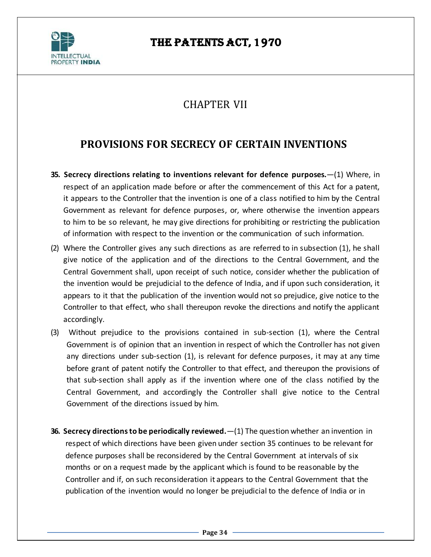

#### CHAPTER VII

## **PROVISIONS FOR SECRECY OF CERTAIN INVENTIONS**

- **35. Secrecy directions relating to inventions relevant for defence purposes.**—(1) Where, in respect of an application made before or after the commencement of this Act for a patent, it appears to the Controller that the invention is one of a class notified to him by the Central Government as relevant for defence purposes, or, where otherwise the invention appears to him to be so relevant, he may give directions for prohibiting or restricting the publication of information with respect to the invention or the communication of such information.
- (2) Where the Controller gives any such directions as are referred to in subsection (1), he shall give notice of the application and of the directions to the Central Government, and the Central Government shall, upon receipt of such notice, consider whether the publication of the invention would be prejudicial to the defence of India, and if upon such consideration, it appears to it that the publication of the invention would not so prejudice, give notice to the Controller to that effect, who shall thereupon revoke the directions and notify the applicant accordingly.
- (3) Without prejudice to the provisions contained in sub-section (1), where the Central Government is of opinion that an invention in respect of which the Controller has not given any directions under sub-section (1), is relevant for defence purposes, it may at any time before grant of patent notify the Controller to that effect, and thereupon the provisions of that sub-section shall apply as if the invention where one of the class notified by the Central Government, and accordingly the Controller shall give notice to the Central Government of the directions issued by him.
- **36. Secrecy directions to be periodically reviewed.**—(1) The question whether an invention in respect of which directions have been given under section 35 continues to be relevant for defence purposes shall be reconsidered by the Central Government at intervals of six months or on a request made by the applicant which is found to be reasonable by the Controller and if, on such reconsideration it appears to the Central Government that the publication of the invention would no longer be prejudicial to the defence of India or in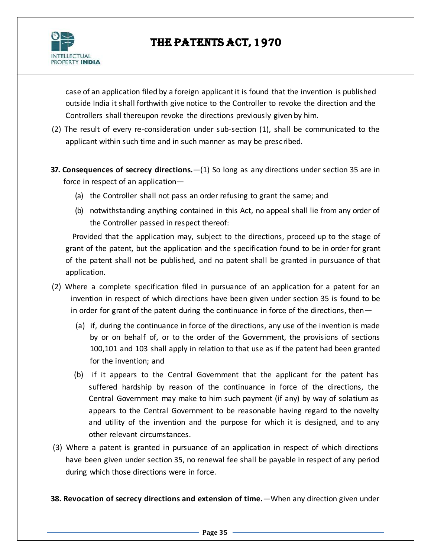

case of an application filed by a foreign applicant it is found that the invention is published outside India it shall forthwith give notice to the Controller to revoke the direction and the Controllers shall thereupon revoke the directions previously given by him.

- (2) The result of every re-consideration under sub-section (1), shall be communicated to the applicant within such time and in such manner as may be prescribed.
- **37. Consequences of secrecy directions.**—(1) So long as any directions under section 35 are in force in respect of an application—
	- (a) the Controller shall not pass an order refusing to grant the same; and
	- (b) notwithstanding anything contained in this Act, no appeal shall lie from any order of the Controller passed in respect thereof:

 Provided that the application may, subject to the directions, proceed up to the stage of grant of the patent, but the application and the specification found to be in order for grant of the patent shall not be published, and no patent shall be granted in pursuance of that application.

- (2) Where a complete specification filed in pursuance of an application for a patent for an invention in respect of which directions have been given under section 35 is found to be in order for grant of the patent during the continuance in force of the directions, then—
	- (a) if, during the continuance in force of the directions, any use of the invention is made by or on behalf of, or to the order of the Government, the provisions of sections 100,101 and 103 shall apply in relation to that use as if the patent had been granted for the invention; and
	- (b) if it appears to the Central Government that the applicant for the patent has suffered hardship by reason of the continuance in force of the directions, the Central Government may make to him such payment (if any) by way of solatium as appears to the Central Government to be reasonable having regard to the novelty and utility of the invention and the purpose for which it is designed, and to any other relevant circumstances.
- (3) Where a patent is granted in pursuance of an application in respect of which directions have been given under section 35, no renewal fee shall be payable in respect of any period during which those directions were in force.
- **38. Revocation of secrecy directions and extension of time.**—When any direction given under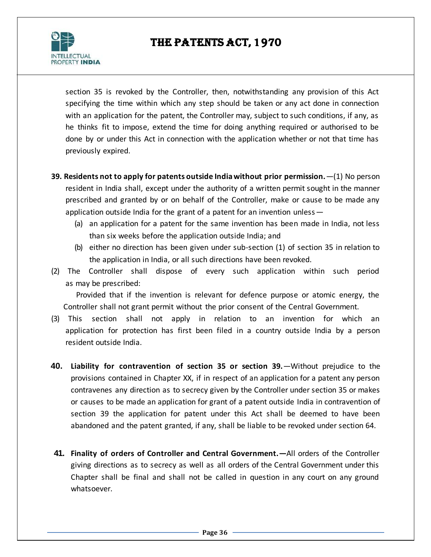

section 35 is revoked by the Controller, then, notwithstanding any provision of this Act specifying the time within which any step should be taken or any act done in connection with an application for the patent, the Controller may, subject to such conditions, if any, as he thinks fit to impose, extend the time for doing anything required or authorised to be done by or under this Act in connection with the application whether or not that time has previously expired.

- **39. Residents not to apply for patents outside India without prior permission.**—(1) No person resident in India shall, except under the authority of a written permit sought in the manner prescribed and granted by or on behalf of the Controller, make or cause to be made any application outside India for the grant of a patent for an invention unless—
	- (a) an application for a patent for the same invention has been made in India, not less than six weeks before the application outside India; and
	- (b) either no direction has been given under sub-section (1) of section 35 in relation to the application in India, or all such directions have been revoked.
- (2) The Controller shall dispose of every such application within such period as may be prescribed:

Provided that if the invention is relevant for defence purpose or atomic energy, the Controller shall not grant permit without the prior consent of the Central Government.

- (3) This section shall not apply in relation to an invention for which an application for protection has first been filed in a country outside India by a person resident outside India.
- **40. Liability for contravention of section 35 or section 39.**—Without prejudice to the provisions contained in Chapter XX, if in respect of an application for a patent any person contravenes any direction as to secrecy given by the Controller under section 35 or makes or causes to be made an application for grant of a patent outside India in contravention of section 39 the application for patent under this Act shall be deemed to have been abandoned and the patent granted, if any, shall be liable to be revoked under section 64.
- **41. Finality of orders of Controller and Central Government.—**All orders of the Controller giving directions as to secrecy as well as all orders of the Central Government under this Chapter shall be final and shall not be called in question in any court on any ground whatsoever.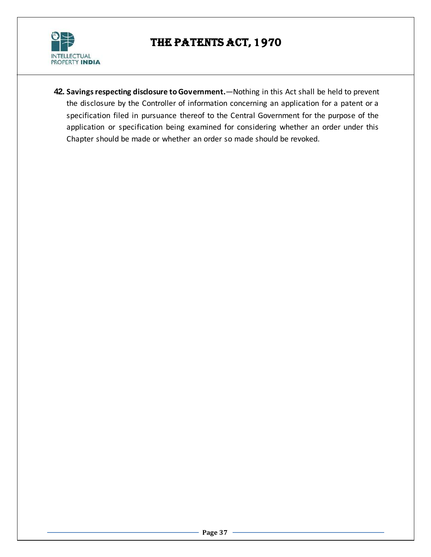

**42. Savings respecting disclosure to Government.**—Nothing in this Act shall be held to prevent the disclosure by the Controller of information concerning an application for a patent or a specification filed in pursuance thereof to the Central Government for the purpose of the application or specification being examined for considering whether an order under this Chapter should be made or whether an order so made should be revoked.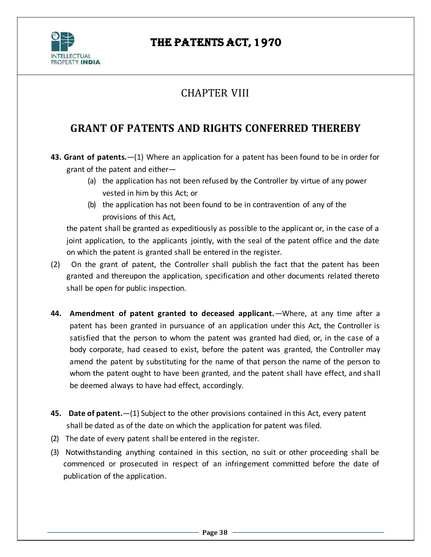

### CHAPTER VIII

#### **GRANT OF PATENTS AND RIGHTS CONFERRED THEREBY**

**43. Grant of patents.**—(1) Where an application for a patent has been found to be in order for grant of the patent and either—

- (a) the application has not been refused by the Controller by virtue of any power vested in him by this Act; or
- (b) the application has not been found to be in contravention of any of the provisions of this Act,

the patent shall be granted as expeditiously as possible to the applicant or, in the case of a joint application, to the applicants jointly, with the seal of the patent office and the date on which the patent is granted shall be entered in the register.

- (2) On the grant of patent, the Controller shall publish the fact that the patent has been granted and thereupon the application, specification and other documents related thereto shall be open for public inspection.
- **44. Amendment of patent granted to deceased applicant.**—Where, at any time after a patent has been granted in pursuance of an application under this Act, the Controller is satisfied that the person to whom the patent was granted had died, or, in the case of a body corporate, had ceased to exist, before the patent was granted, the Controller may amend the patent by substituting for the name of that person the name of the person to whom the patent ought to have been granted, and the patent shall have effect, and shall be deemed always to have had effect, accordingly.
- **45. Date of patent.**—(1) Subject to the other provisions contained in this Act, every patent shall be dated as of the date on which the application for patent was filed.
- (2) The date of every patent shall be entered in the register.
- (3) Notwithstanding anything contained in this section, no suit or other proceeding shall be commenced or prosecuted in respect of an infringement committed before the date of publication of the application.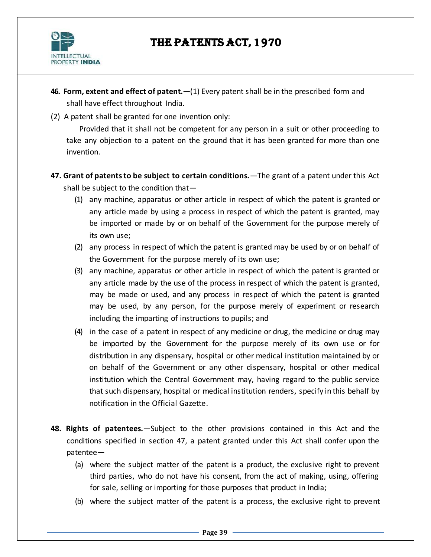

- **46. Form, extent and effect of patent.**—(1) Every patent shall be in the prescribed form and shall have effect throughout India.
- (2) A patent shall be granted for one invention only:

Provided that it shall not be competent for any person in a suit or other proceeding to take any objection to a patent on the ground that it has been granted for more than one invention.

- **47. Grant of patents to be subject to certain conditions.**—The grant of a patent under this Act shall be subject to the condition that—
	- (1) any machine, apparatus or other article in respect of which the patent is granted or any article made by using a process in respect of which the patent is granted, may be imported or made by or on behalf of the Government for the purpose merely of its own use;
	- (2) any process in respect of which the patent is granted may be used by or on behalf of the Government for the purpose merely of its own use;
	- (3) any machine, apparatus or other article in respect of which the patent is granted or any article made by the use of the process in respect of which the patent is granted, may be made or used, and any process in respect of which the patent is granted may be used, by any person, for the purpose merely of experiment or research including the imparting of instructions to pupils; and
	- (4) in the case of a patent in respect of any medicine or drug, the medicine or drug may be imported by the Government for the purpose merely of its own use or for distribution in any dispensary, hospital or other medical institution maintained by or on behalf of the Government or any other dispensary, hospital or other medical institution which the Central Government may, having regard to the public service that such dispensary, hospital or medical institution renders, specify in this behalf by notification in the Official Gazette.
- **48. Rights of patentees.**—Subject to the other provisions contained in this Act and the conditions specified in section 47, a patent granted under this Act shall confer upon the patentee—
	- (a) where the subject matter of the patent is a product, the exclusive right to prevent third parties, who do not have his consent, from the act of making, using, offering for sale, selling or importing for those purposes that product in India;
	- (b) where the subject matter of the patent is a process, the exclusive right to prevent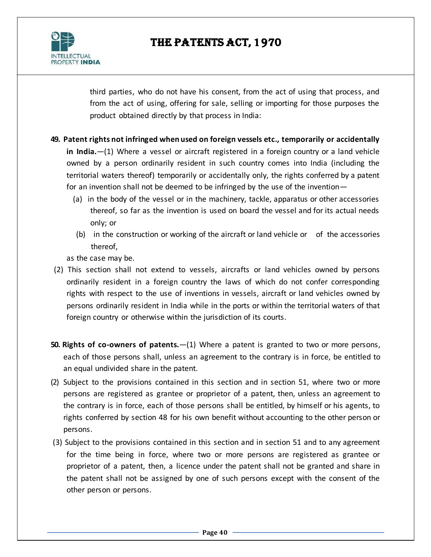



third parties, who do not have his consent, from the act of using that process, and from the act of using, offering for sale, selling or importing for those purposes the product obtained directly by that process in India:

- **49. Patent rights not infringed when used on foreign vessels etc., temporarily or accidentally in India.**—(1) Where a vessel or aircraft registered in a foreign country or a land vehicle owned by a person ordinarily resident in such country comes into India (including the territorial waters thereof) temporarily or accidentally only, the rights conferred by a patent for an invention shall not be deemed to be infringed by the use of the invention—
	- (a) in the body of the vessel or in the machinery, tackle, apparatus or other accessories thereof, so far as the invention is used on board the vessel and for its actual needs only; or
	- (b) in the construction or working of the aircraft or land vehicle or of the accessories thereof,

as the case may be.

- (2) This section shall not extend to vessels, aircrafts or land vehicles owned by persons ordinarily resident in a foreign country the laws of which do not confer corresponding rights with respect to the use of inventions in vessels, aircraft or land vehicles owned by persons ordinarily resident in India while in the ports or within the territorial waters of that foreign country or otherwise within the jurisdiction of its courts.
- **50. Rights of co-owners of patents.**—(1) Where a patent is granted to two or more persons, each of those persons shall, unless an agreement to the contrary is in force, be entitled to an equal undivided share in the patent.
- (2) Subject to the provisions contained in this section and in section 51, where two or more persons are registered as grantee or proprietor of a patent, then, unless an agreement to the contrary is in force, each of those persons shall be entitled, by himself or his agents, to rights conferred by section 48 for his own benefit without accounting to the other person or persons.
- (3) Subject to the provisions contained in this section and in section 51 and to any agreement for the time being in force, where two or more persons are registered as grantee or proprietor of a patent, then, a licence under the patent shall not be granted and share in the patent shall not be assigned by one of such persons except with the consent of the other person or persons.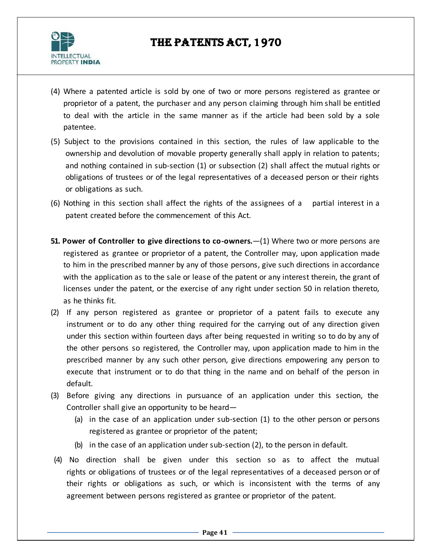

- (4) Where a patented article is sold by one of two or more persons registered as grantee or proprietor of a patent, the purchaser and any person claiming through him shall be entitled to deal with the article in the same manner as if the article had been sold by a sole patentee.
- (5) Subject to the provisions contained in this section, the rules of law applicable to the ownership and devolution of movable property generally shall apply in relation to patents; and nothing contained in sub-section (1) or subsection (2) shall affect the mutual rights or obligations of trustees or of the legal representatives of a deceased person or their rights or obligations as such.
- (6) Nothing in this section shall affect the rights of the assignees of a partial interest in a patent created before the commencement of this Act.
- **51. Power of Controller to give directions to co-owners.**—(1) Where two or more persons are registered as grantee or proprietor of a patent, the Controller may, upon application made to him in the prescribed manner by any of those persons, give such directions in accordance with the application as to the sale or lease of the patent or any interest therein, the grant of licenses under the patent, or the exercise of any right under section 50 in relation thereto, as he thinks fit.
- (2) If any person registered as grantee or proprietor of a patent fails to execute any instrument or to do any other thing required for the carrying out of any direction given under this section within fourteen days after being requested in writing so to do by any of the other persons so registered, the Controller may, upon application made to him in the prescribed manner by any such other person, give directions empowering any person to execute that instrument or to do that thing in the name and on behalf of the person in default.
- (3) Before giving any directions in pursuance of an application under this section, the Controller shall give an opportunity to be heard—
	- (a) in the case of an application under sub-section (1) to the other person or persons registered as grantee or proprietor of the patent;
	- (b) in the case of an application under sub-section (2), to the person in default.
- (4) No direction shall be given under this section so as to affect the mutual rights or obligations of trustees or of the legal representatives of a deceased person or of their rights or obligations as such, or which is inconsistent with the terms of any agreement between persons registered as grantee or proprietor of the patent.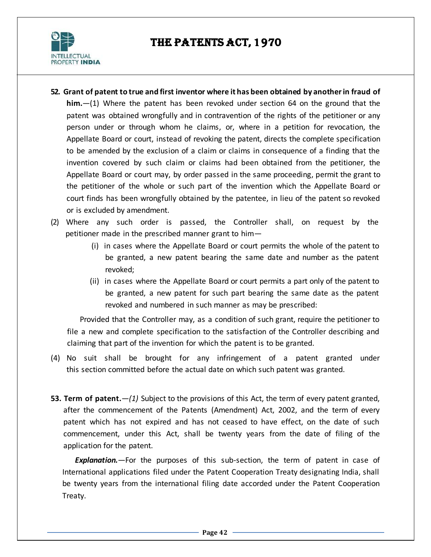

- **52. Grant of patent to true and first inventor where it has been obtained by another in fraud of him.**—(1) Where the patent has been revoked under section 64 on the ground that the patent was obtained wrongfully and in contravention of the rights of the petitioner or any person under or through whom he claims, or, where in a petition for revocation, the Appellate Board or court, instead of revoking the patent, directs the complete specification to be amended by the exclusion of a claim or claims in consequence of a finding that the invention covered by such claim or claims had been obtained from the petitioner, the Appellate Board or court may, by order passed in the same proceeding, permit the grant to the petitioner of the whole or such part of the invention which the Appellate Board or court finds has been wrongfully obtained by the patentee, in lieu of the patent so revoked or is excluded by amendment.
- (2) Where any such order is passed, the Controller shall, on request by the petitioner made in the prescribed manner grant to him—
	- (i) in cases where the Appellate Board or court permits the whole of the patent to be granted, a new patent bearing the same date and number as the patent revoked;
	- (ii) in cases where the Appellate Board or court permits a part only of the patent to be granted, a new patent for such part bearing the same date as the patent revoked and numbered in such manner as may be prescribed:

Provided that the Controller may, as a condition of such grant, require the petitioner to file a new and complete specification to the satisfaction of the Controller describing and claiming that part of the invention for which the patent is to be granted.

- (4) No suit shall be brought for any infringement of a patent granted under this section committed before the actual date on which such patent was granted.
- **53. Term of patent.**—*(1)* Subject to the provisions of this Act, the term of every patent granted, after the commencement of the Patents (Amendment) Act, 2002, and the term of every patent which has not expired and has not ceased to have effect, on the date of such commencement, under this Act, shall be twenty years from the date of filing of the application for the patent.

*Explanation.*—For the purposes of this sub-section, the term of patent in case of International applications filed under the Patent Cooperation Treaty designating India, shall be twenty years from the international filing date accorded under the Patent Cooperation Treaty.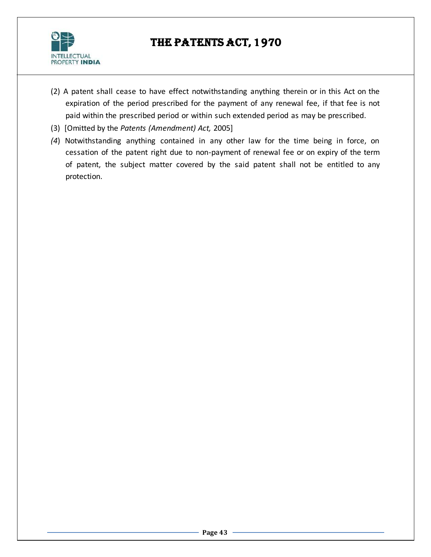

- (2) A patent shall cease to have effect notwithstanding anything therein or in this Act on the expiration of the period prescribed for the payment of any renewal fee, if that fee is not paid within the prescribed period or within such extended period as may be prescribed.
- (3) [Omitted by the *Patents (Amendment) Act,* 2005]
- *(4*) Notwithstanding anything contained in any other law for the time being in force, on cessation of the patent right due to non-payment of renewal fee or on expiry of the term of patent, the subject matter covered by the said patent shall not be entitled to any protection.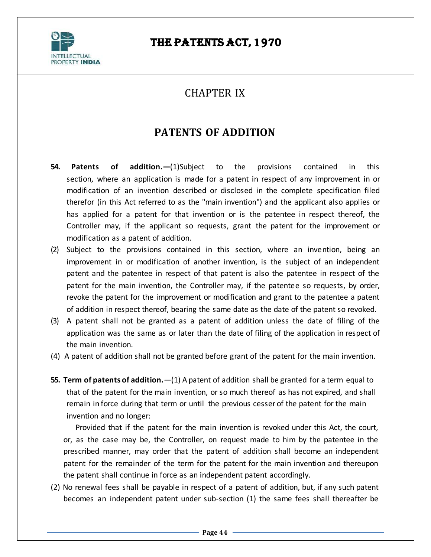

#### CHAPTER IX

#### **PATENTS OF ADDITION**

- **54. Patents of addition.—**(1)Subject to the provisions contained in this section, where an application is made for a patent in respect of any improvement in or modification of an invention described or disclosed in the complete specification filed therefor (in this Act referred to as the "main invention") and the applicant also applies or has applied for a patent for that invention or is the patentee in respect thereof, the Controller may, if the applicant so requests, grant the patent for the improvement or modification as a patent of addition.
- (2) Subject to the provisions contained in this section, where an invention, being an improvement in or modification of another invention, is the subject of an independent patent and the patentee in respect of that patent is also the patentee in respect of the patent for the main invention, the Controller may, if the patentee so requests, by order, revoke the patent for the improvement or modification and grant to the patentee a patent of addition in respect thereof, bearing the same date as the date of the patent so revoked.
- (3) A patent shall not be granted as a patent of addition unless the date of filing of the application was the same as or later than the date of filing of the application in respect of the main invention.
- (4) A patent of addition shall not be granted before grant of the patent for the main invention.
- **55. Term of patents of addition.**—(1) A patent of addition shall be granted for a term equal to that of the patent for the main invention, or so much thereof as has not expired, and shall remain in force during that term or until the previous cesser of the patent for the main invention and no longer:

Provided that if the patent for the main invention is revoked under this Act, the court, or, as the case may be, the Controller, on request made to him by the patentee in the prescribed manner, may order that the patent of addition shall become an independent patent for the remainder of the term for the patent for the main invention and thereupon the patent shall continue in force as an independent patent accordingly.

(2) No renewal fees shall be payable in respect of a patent of addition, but, if any such patent becomes an independent patent under sub-section (1) the same fees shall thereafter be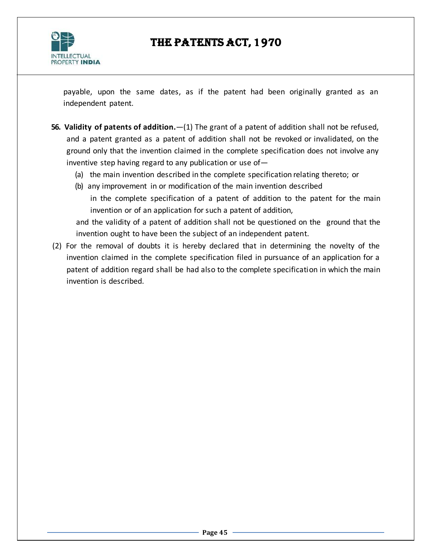

payable, upon the same dates, as if the patent had been originally granted as an independent patent.

- **56. Validity of patents of addition.**—(1) The grant of a patent of addition shall not be refused, and a patent granted as a patent of addition shall not be revoked or invalidated, on the ground only that the invention claimed in the complete specification does not involve any inventive step having regard to any publication or use of—
	- (a) the main invention described in the complete specification relating thereto; or
	- (b) any improvement in or modification of the main invention described in the complete specification of a patent of addition to the patent for the main invention or of an application for such a patent of addition,

and the validity of a patent of addition shall not be questioned on the ground that the invention ought to have been the subject of an independent patent.

(2) For the removal of doubts it is hereby declared that in determining the novelty of the invention claimed in the complete specification filed in pursuance of an application for a patent of addition regard shall be had also to the complete specification in which the main invention is described.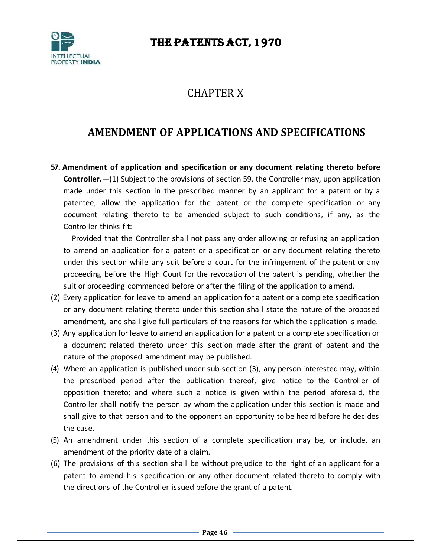



#### CHAPTER X

#### **AMENDMENT OF APPLICATIONS AND SPECIFICATIONS**

**57. Amendment of application and specification or any document relating thereto before Controller.**—(1) Subject to the provisions of section 59, the Controller may, upon application made under this section in the prescribed manner by an applicant for a patent or by a patentee, allow the application for the patent or the complete specification or any document relating thereto to be amended subject to such conditions, if any, as the Controller thinks fit:

Provided that the Controller shall not pass any order allowing or refusing an application to amend an application for a patent or a specification or any document relating thereto under this section while any suit before a court for the infringement of the patent or any proceeding before the High Court for the revocation of the patent is pending, whether the suit or proceeding commenced before or after the filing of the application to amend.

- (2) Every application for leave to amend an application for a patent or a complete specification or any document relating thereto under this section shall state the nature of the proposed amendment, and shall give full particulars of the reasons for which the application is made.
- (3) Any application for leave to amend an application for a patent or a complete specification or a document related thereto under this section made after the grant of patent and the nature of the proposed amendment may be published.
- (4) Where an application is published under sub-section (3), any person interested may, within the prescribed period after the publication thereof, give notice to the Controller of opposition thereto; and where such a notice is given within the period aforesaid, the Controller shall notify the person by whom the application under this section is made and shall give to that person and to the opponent an opportunity to be heard before he decides the case.
- (5) An amendment under this section of a complete specification may be, or include, an amendment of the priority date of a claim.
- (6) The provisions of this section shall be without prejudice to the right of an applicant for a patent to amend his specification or any other document related thereto to comply with the directions of the Controller issued before the grant of a patent.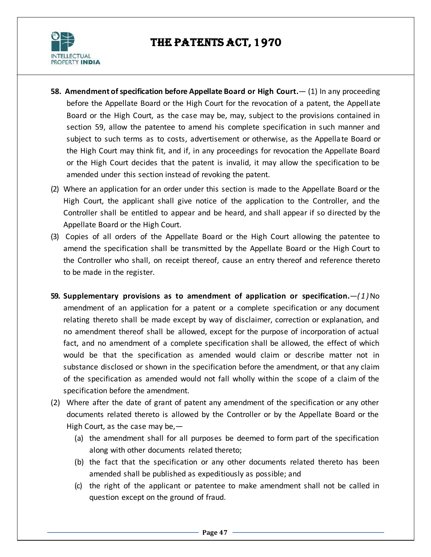

- **58. Amendment of specification before Appellate Board or High Court.** (1) In any proceeding before the Appellate Board or the High Court for the revocation of a patent, the Appellate Board or the High Court, as the case may be, may, subject to the provisions contained in section 59, allow the patentee to amend his complete specification in such manner and subject to such terms as to costs, advertisement or otherwise, as the Appellate Board or the High Court may think fit, and if, in any proceedings for revocation the Appellate Board or the High Court decides that the patent is invalid, it may allow the specification to be amended under this section instead of revoking the patent.
- (2) Where an application for an order under this section is made to the Appellate Board or the High Court, the applicant shall give notice of the application to the Controller, and the Controller shall be entitled to appear and be heard, and shall appear if so directed by the Appellate Board or the High Court.
- (3) Copies of all orders of the Appellate Board or the High Court allowing the patentee to amend the specification shall be transmitted by the Appellate Board or the High Court to the Controller who shall, on receipt thereof, cause an entry thereof and reference thereto to be made in the register.
- **59. Supplementary provisions as to amendment of application or specification.**—*( 1)*No amendment of an application for a patent or a complete specification or any document relating thereto shall be made except by way of disclaimer, correction or explanation, and no amendment thereof shall be allowed, except for the purpose of incorporation of actual fact, and no amendment of a complete specification shall be allowed, the effect of which would be that the specification as amended would claim or describe matter not in substance disclosed or shown in the specification before the amendment, or that any claim of the specification as amended would not fall wholly within the scope of a claim of the specification before the amendment.
- (2) Where after the date of grant of patent any amendment of the specification or any other documents related thereto is allowed by the Controller or by the Appellate Board or the High Court, as the case may be,  $-$ 
	- (a) the amendment shall for all purposes be deemed to form part of the specification along with other documents related thereto;
	- (b) the fact that the specification or any other documents related thereto has been amended shall be published as expeditiously as possible; and
	- (c) the right of the applicant or patentee to make amendment shall not be called in question except on the ground of fraud.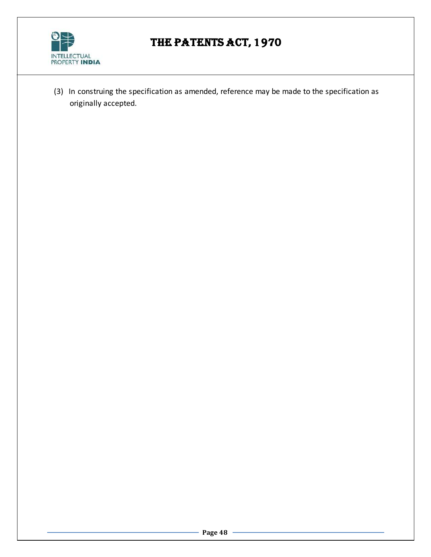

(3) In construing the specification as amended, reference may be made to the specification as originally accepted.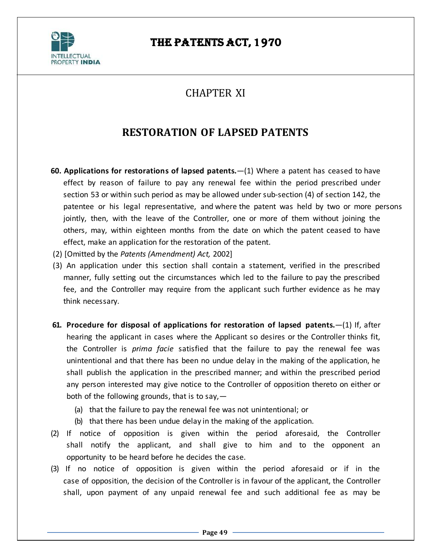

#### CHAPTER XI

#### **RESTORATION OF LAPSED PATENTS**

- **60. Applications for restorations of lapsed patents.**—(1) Where a patent has ceased to have effect by reason of failure to pay any renewal fee within the period prescribed under section 53 or within such period as may be allowed under sub-section (4) of section 142, the patentee or his legal representative, and where the patent was held by two or more persons jointly, then, with the leave of the Controller, one or more of them without joining the others, may, within eighteen months from the date on which the patent ceased to have effect, make an application for the restoration of the patent.
- (2) [Omitted by the *Patents (Amendment) Act,* 2002]
- (3) An application under this section shall contain a statement, verified in the prescribed manner, fully setting out the circumstances which led to the failure to pay the prescribed fee, and the Controller may require from the applicant such further evidence as he may think necessary.
- **61. Procedure for disposal of applications for restoration of lapsed patents.**—(1) If, after hearing the applicant in cases where the Applicant so desires or the Controller thinks fit, the Controller is *prima facie* satisfied that the failure to pay the renewal fee was unintentional and that there has been no undue delay in the making of the application, he shall publish the application in the prescribed manner; and within the prescribed period any person interested may give notice to the Controller of opposition thereto on either or both of the following grounds, that is to say,  $-$ 
	- (a) that the failure to pay the renewal fee was not unintentional; or
	- (b) that there has been undue delay in the making of the application.
- (2) If notice of opposition is given within the period aforesaid, the Controller shall notify the applicant, and shall give to him and to the opponent an opportunity to be heard before he decides the case.
- (3) If no notice of opposition is given within the period aforesaid or if in the case of opposition, the decision of the Controller is in favour of the applicant, the Controller shall, upon payment of any unpaid renewal fee and such additional fee as may be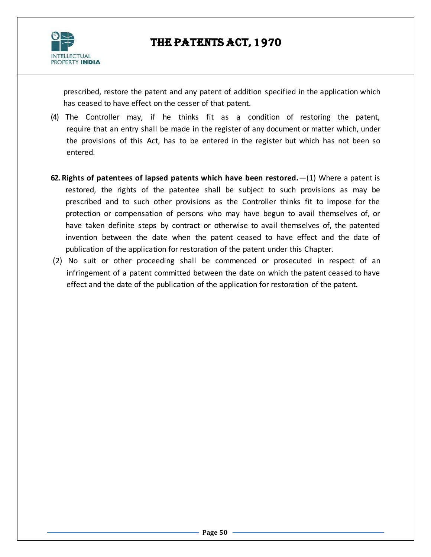

prescribed, restore the patent and any patent of addition specified in the application which has ceased to have effect on the cesser of that patent.

- (4) The Controller may, if he thinks fit as a condition of restoring the patent, require that an entry shall be made in the register of any document or matter which, under the provisions of this Act, has to be entered in the register but which has not been so entered.
- **62. Rights of patentees of lapsed patents which have been restored.**—(1) Where a patent is restored, the rights of the patentee shall be subject to such provisions as may be prescribed and to such other provisions as the Controller thinks fit to impose for the protection or compensation of persons who may have begun to avail themselves of, or have taken definite steps by contract or otherwise to avail themselves of, the patented invention between the date when the patent ceased to have effect and the date of publication of the application for restoration of the patent under this Chapter.
- (2) No suit or other proceeding shall be commenced or prosecuted in respect of an infringement of a patent committed between the date on which the patent ceased to have effect and the date of the publication of the application for restoration of the patent.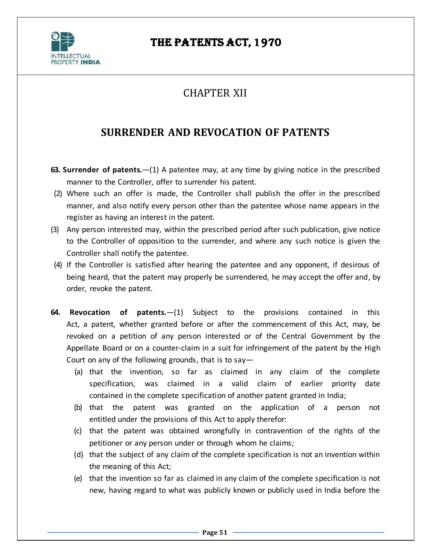

#### CHAPTER XII

#### **SURRENDER AND REVOCATION OF PATENTS**

- **63. Surrender of patents.**—(1) A patentee may, at any time by giving notice in the prescribed manner to the Controller, offer to surrender his patent.
- (2) Where such an offer is made, the Controller shall publish the offer in the prescribed manner, and also notify every person other than the patentee whose name appears in the register as having an interest in the patent.
- (3) Any person interested may, within the prescribed period after such publication, give notice to the Controller of opposition to the surrender, and where any such notice is given the Controller shall notify the patentee.
- (4) If the Controller is satisfied after hearing the patentee and any opponent, if desirous of being heard, that the patent may properly be surrendered, he may accept the offer and, by order, revoke the patent.
- **64. Revocation of patents.**—(1) Subject to the provisions contained in this Act, a patent, whether granted before or after the commencement of this Act, may, be revoked on a petition of any person interested or of the Central Government by the Appellate Board or on a counter-claim in a suit for infringement of the patent by the High Court on any of the following grounds, that is to say—
	- (a) that the invention, so far as claimed in any claim of the complete specification, was claimed in a valid claim of earlier priority date contained in the complete specification of another patent granted in India;
	- (b) that the patent was granted on the application of a person not entitled under the provisions of this Act to apply therefor:
	- (c) that the patent was obtained wrongfully in contravention of the rights of the petitioner or any person under or through whom he claims;
	- (d) that the subject of any claim of the complete specification is not an invention within the meaning of this Act;
	- (e) that the invention so far as claimed in any claim of the complete specification is not new, having regard to what was publicly known or publicly used in India before the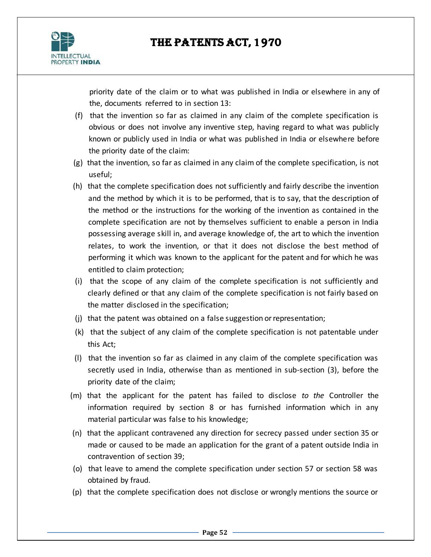

priority date of the claim or to what was published in India or elsewhere in any of the, documents referred to in section 13:

- (f) that the invention so far as claimed in any claim of the complete specification is obvious or does not involve any inventive step, having regard to what was publicly known or publicly used in India or what was published in India or elsewhere before the priority date of the claim:
- (g) that the invention, so far as claimed in any claim of the complete specification, is not useful;
- (h) that the complete specification does not sufficiently and fairly describe the invention and the method by which it is to be performed, that is to say, that the description of the method or the instructions for the working of the invention as contained in the complete specification are not by themselves sufficient to enable a person in India possessing average skill in, and average knowledge of, the art to which the invention relates, to work the invention, or that it does not disclose the best method of performing it which was known to the applicant for the patent and for which he was entitled to claim protection;
- (i) that the scope of any claim of the complete specification is not sufficiently and clearly defined or that any claim of the complete specification is not fairly based on the matter disclosed in the specification;
- (j) that the patent was obtained on a false suggestion or representation;
- (k) that the subject of any claim of the complete specification is not patentable under this Act;
- (l) that the invention so far as claimed in any claim of the complete specification was secretly used in India, otherwise than as mentioned in sub-section (3), before the priority date of the claim;
- (m) that the applicant for the patent has failed to disclose *to the* Controller the information required by section 8 or has furnished information which in any material particular was false to his knowledge;
- (n) that the applicant contravened any direction for secrecy passed under section 35 or made or caused to be made an application for the grant of a patent outside India in contravention of section 39;
- (o) that leave to amend the complete specification under section 57 or section 58 was obtained by fraud.
- (p) that the complete specification does not disclose or wrongly mentions the source or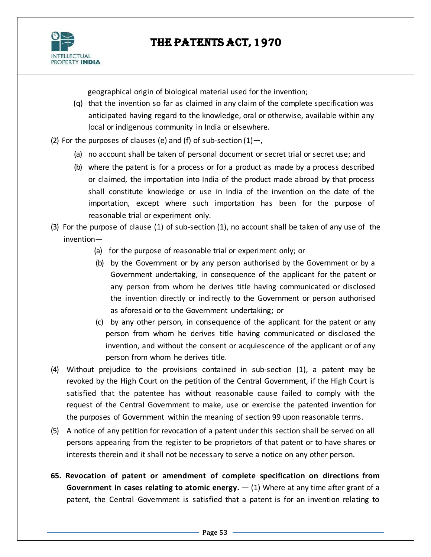

geographical origin of biological material used for the invention;

- (q) that the invention so far as claimed in any claim of the complete specification was anticipated having regard to the knowledge, oral or otherwise, available within any local or indigenous community in India or elsewhere.
- (2) For the purposes of clauses (e) and (f) of sub-section  $(1)$ -,
	- (a) no account shall be taken of personal document or secret trial or secret use; and
	- (b) where the patent is for a process or for a product as made by a process described or claimed, the importation into India of the product made abroad by that process shall constitute knowledge or use in India of the invention on the date of the importation, except where such importation has been for the purpose of reasonable trial or experiment only.
- (3) For the purpose of clause (1) of sub-section (1), no account shall be taken of any use of the invention—
	- (a) for the purpose of reasonable trial or experiment only; or
	- (b) by the Government or by any person authorised by the Government or by a Government undertaking, in consequence of the applicant for the patent or any person from whom he derives title having communicated or disclosed the invention directly or indirectly to the Government or person authorised as aforesaid or to the Government undertaking; or
	- (c) by any other person, in consequence of the applicant for the patent or any person from whom he derives title having communicated or disclosed the invention, and without the consent or acquiescence of the applicant or of any person from whom he derives title.
- (4) Without prejudice to the provisions contained in sub-section (1), a patent may be revoked by the High Court on the petition of the Central Government, if the High Court is satisfied that the patentee has without reasonable cause failed to comply with the request of the Central Government to make, use or exercise the patented invention for the purposes of Government within the meaning of section 99 upon reasonable terms.
- (5) A notice of any petition for revocation of a patent under this section shall be served on all persons appearing from the register to be proprietors of that patent or to have shares or interests therein and it shall not be necessary to serve a notice on any other person.
- **65. Revocation of patent or amendment of complete specification on directions from Government in cases relating to atomic energy.** — (1) Where at any time after grant of a patent, the Central Government is satisfied that a patent is for an invention relating to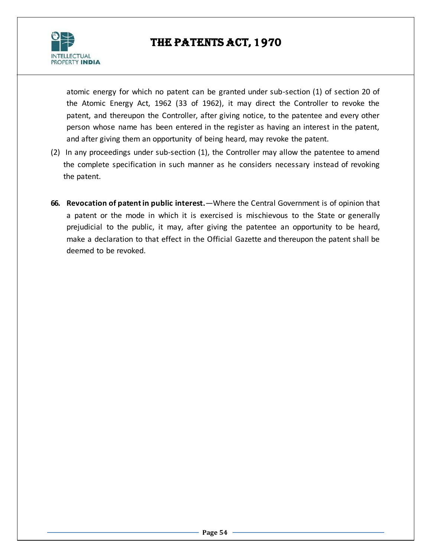

atomic energy for which no patent can be granted under sub-section (1) of section 20 of the Atomic Energy Act, 1962 (33 of 1962), it may direct the Controller to revoke the patent, and thereupon the Controller, after giving notice, to the patentee and every other person whose name has been entered in the register as having an interest in the patent, and after giving them an opportunity of being heard, may revoke the patent.

- (2) In any proceedings under sub-section (1), the Controller may allow the patentee to amend the complete specification in such manner as he considers necessary instead of revoking the patent.
- **66. Revocation of patent in public interest.**—Where the Central Government is of opinion that a patent or the mode in which it is exercised is mischievous to the State or generally prejudicial to the public, it may, after giving the patentee an opportunity to be heard, make a declaration to that effect in the Official Gazette and thereupon the patent shall be deemed to be revoked.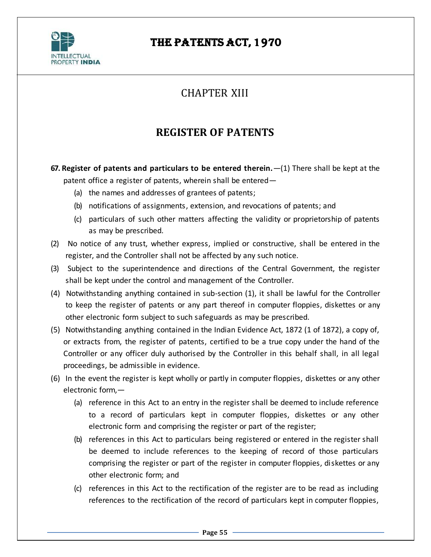

## CHAPTER XIII

# **REGISTER OF PATENTS**

**67. Register of patents and particulars to be entered therein.**—(1) There shall be kept at the patent office a register of patents, wherein shall be entered—

- (a) the names and addresses of grantees of patents;
- (b) notifications of assignments, extension, and revocations of patents; and
- (c) particulars of such other matters affecting the validity or proprietorship of patents as may be prescribed.
- (2) No notice of any trust, whether express, implied or constructive, shall be entered in the register, and the Controller shall not be affected by any such notice.
- (3) Subject to the superintendence and directions of the Central Government, the register shall be kept under the control and management of the Controller.
- (4) Notwithstanding anything contained in sub-section (1), it shall be lawful for the Controller to keep the register of patents or any part thereof in computer floppies, diskettes or any other electronic form subject to such safeguards as may be prescribed.
- (5) Notwithstanding anything contained in the Indian Evidence Act, 1872 (1 of 1872), a copy of, or extracts from, the register of patents, certified to be a true copy under the hand of the Controller or any officer duly authorised by the Controller in this behalf shall, in all legal proceedings, be admissible in evidence.
- (6) In the event the register is kept wholly or partly in computer floppies, diskettes or any other electronic form,—
	- (a) reference in this Act to an entry in the register shall be deemed to include reference to a record of particulars kept in computer floppies, diskettes or any other electronic form and comprising the register or part of the register;
	- (b) references in this Act to particulars being registered or entered in the register shall be deemed to include references to the keeping of record of those particulars comprising the register or part of the register in computer floppies, diskettes or any other electronic form; and
	- (c) references in this Act to the rectification of the register are to be read as including references to the rectification of the record of particulars kept in computer floppies,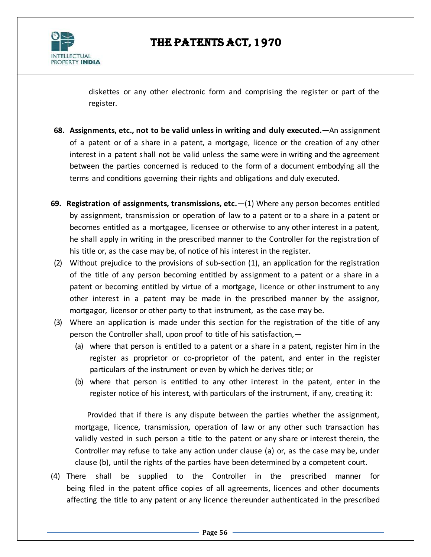

diskettes or any other electronic form and comprising the register or part of the register.

- **68. Assignments, etc., not to be valid unless in writing and duly executed.**—An assignment of a patent or of a share in a patent, a mortgage, licence or the creation of any other interest in a patent shall not be valid unless the same were in writing and the agreement between the parties concerned is reduced to the form of a document embodying all the terms and conditions governing their rights and obligations and duly executed.
- **69. Registration of assignments, transmissions, etc.**—(1) Where any person becomes entitled by assignment, transmission or operation of law to a patent or to a share in a patent or becomes entitled as a mortgagee, licensee or otherwise to any other interest in a patent, he shall apply in writing in the prescribed manner to the Controller for the registration of his title or, as the case may be, of notice of his interest in the register.
- (2) Without prejudice to the provisions of sub-section (1), an application for the registration of the title of any person becoming entitled by assignment to a patent or a share in a patent or becoming entitled by virtue of a mortgage, licence or other instrument to any other interest in a patent may be made in the prescribed manner by the assignor, mortgagor, licensor or other party to that instrument, as the case may be.
- (3) Where an application is made under this section for the registration of the title of any person the Controller shall, upon proof to title of his satisfaction,—
	- (a) where that person is entitled to a patent or a share in a patent, register him in the register as proprietor or co-proprietor of the patent, and enter in the register particulars of the instrument or even by which he derives title; or
	- (b) where that person is entitled to any other interest in the patent, enter in the register notice of his interest, with particulars of the instrument, if any, creating it:

Provided that if there is any dispute between the parties whether the assignment, mortgage, licence, transmission, operation of law or any other such transaction has validly vested in such person a title to the patent or any share or interest therein, the Controller may refuse to take any action under clause (a) or, as the case may be, under clause (b), until the rights of the parties have been determined by a competent court.

(4) There shall be supplied to the Controller in the prescribed manner for being filed in the patent office copies of all agreements, licences and other documents affecting the title to any patent or any licence thereunder authenticated in the prescribed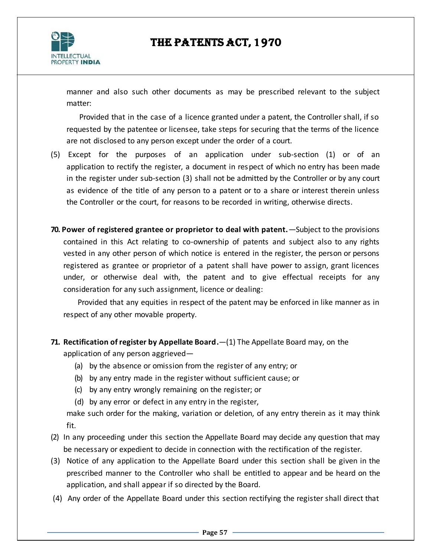

manner and also such other documents as may be prescribed relevant to the subject matter:

Provided that in the case of a licence granted under a patent, the Controller shall, if so requested by the patentee or licensee, take steps for securing that the terms of the licence are not disclosed to any person except under the order of a court.

- (5) Except for the purposes of an application under sub-section (1) or of an application to rectify the register, a document in respect of which no entry has been made in the register under sub-section (3) shall not be admitted by the Controller or by any court as evidence of the title of any person to a patent or to a share or interest therein unless the Controller or the court, for reasons to be recorded in writing, otherwise directs.
- **70. Power of registered grantee or proprietor to deal with patent.**—Subject to the provisions contained in this Act relating to co-ownership of patents and subject also to any rights vested in any other person of which notice is entered in the register, the person or persons registered as grantee or proprietor of a patent shall have power to assign, grant licences under, or otherwise deal with, the patent and to give effectual receipts for any consideration for any such assignment, licence or dealing:

Provided that any equities in respect of the patent may be enforced in like manner as in respect of any other movable property.

**71. Rectification of register by Appellate Board.**—(1) The Appellate Board may, on the application of any person aggrieved—

- (a) by the absence or omission from the register of any entry; or
- (b) by any entry made in the register without sufficient cause; or
- (c) by any entry wrongly remaining on the register; or
- (d) by any error or defect in any entry in the register,

make such order for the making, variation or deletion, of any entry therein as it may think fit.

- (2) In any proceeding under this section the Appellate Board may decide any question that may be necessary or expedient to decide in connection with the rectification of the register.
- (3) Notice of any application to the Appellate Board under this section shall be given in the prescribed manner to the Controller who shall be entitled to appear and be heard on the application, and shall appear if so directed by the Board.
- (4) Any order of the Appellate Board under this section rectifying the register shall direct that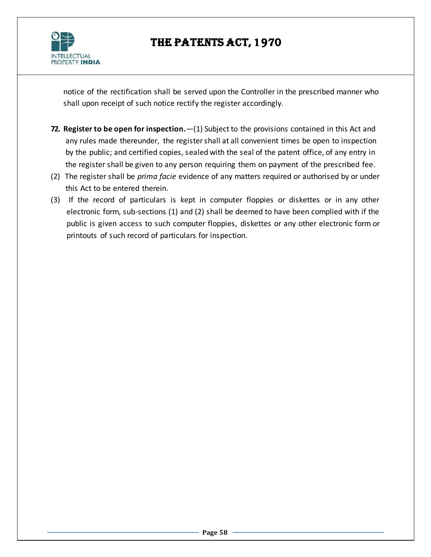

notice of the rectification shall be served upon the Controller in the prescribed manner who shall upon receipt of such notice rectify the register accordingly.

- **72. Register to be open for inspection.**—(1) Subject to the provisions contained in this Act and any rules made thereunder, the register shall at all convenient times be open to inspection by the public; and certified copies, sealed with the seal of the patent office, of any entry in the register shall be given to any person requiring them on payment of the prescribed fee.
- (2) The register shall be *prima facie* evidence of any matters required or authorised by or under this Act to be entered therein.
- (3) If the record of particulars is kept in computer floppies or diskettes or in any other electronic form, sub-sections (1) and (2) shall be deemed to have been complied with if the public is given access to such computer floppies, diskettes or any other electronic form or printouts of such record of particulars for inspection.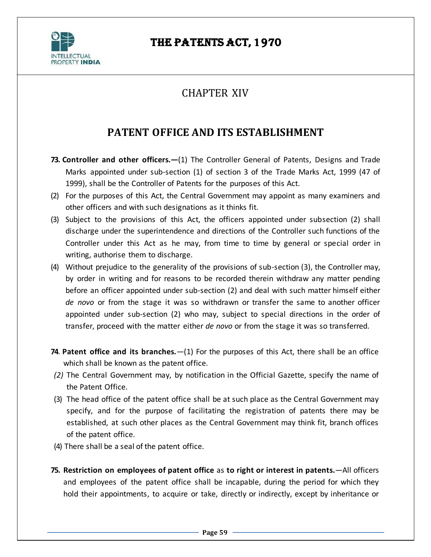



#### CHAPTER XIV

#### **PATENT OFFICE AND ITS ESTABLISHMENT**

- **73. Controller and other officers.—**(1) The Controller General of Patents, Designs and Trade Marks appointed under sub-section (1) of section 3 of the Trade Marks Act, 1999 (47 of 1999), shall be the Controller of Patents for the purposes of this Act.
- (2) For the purposes of this Act, the Central Government may appoint as many examiners and other officers and with such designations as it thinks fit.
- (3) Subject to the provisions of this Act, the officers appointed under subsection (2) shall discharge under the superintendence and directions of the Controller such functions of the Controller under this Act as he may, from time to time by general or special order in writing, authorise them to discharge.
- (4) Without prejudice to the generality of the provisions of sub-section (3), the Controller may, by order in writing and for reasons to be recorded therein withdraw any matter pending before an officer appointed under sub-section (2) and deal with such matter himself either *de novo* or from the stage it was so withdrawn or transfer the same to another officer appointed under sub-section (2) who may, subject to special directions in the order of transfer, proceed with the matter either *de novo* or from the stage it was so transferred.
- **74**. **Patent office and its branches.**—(1) For the purposes of this Act, there shall be an office which shall be known as the patent office.
- *(2)* The Central Government may, by notification in the Official Gazette, specify the name of the Patent Office.
- (3) The head office of the patent office shall be at such place as the Central Government may specify, and for the purpose of facilitating the registration of patents there may be established, at such other places as the Central Government may think fit, branch offices of the patent office.
- (4) There shall be a seal of the patent office.
- **75. Restriction on employees of patent office** as **to right or interest in patents.**—All officers and employees of the patent office shall be incapable, during the period for which they hold their appointments, to acquire or take, directly or indirectly, except by inheritance or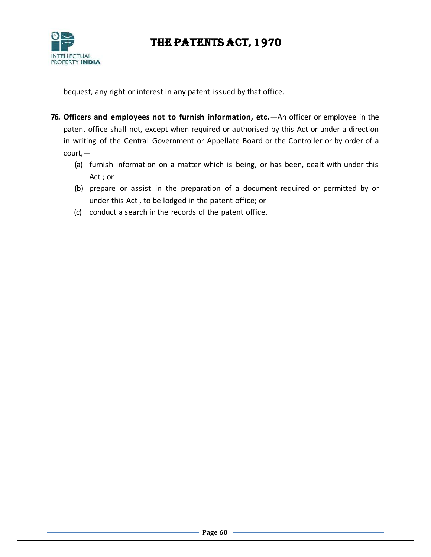

bequest, any right or interest in any patent issued by that office.

- **76. Officers and employees not to furnish information, etc.**—An officer or employee in the patent office shall not, except when required or authorised by this Act or under a direction in writing of the Central Government or Appellate Board or the Controller or by order of a court,—
	- (a) furnish information on a matter which is being, or has been, dealt with under this Act ; or
	- (b) prepare or assist in the preparation of a document required or permitted by or under this Act , to be lodged in the patent office; or
	- (c) conduct a search in the records of the patent office.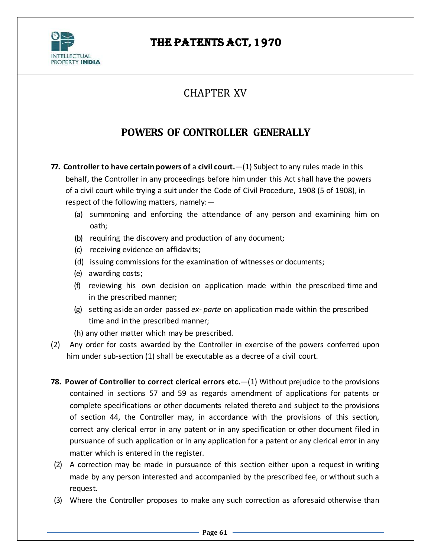

#### CHAPTER XV

### **POWERS OF CONTROLLER GENERALLY**

**77. Controller to have certain powers of** a **civil court.**—(1) Subject to any rules made in this behalf, the Controller in any proceedings before him under this Act shall have the powers of a civil court while trying a suit under the Code of Civil Procedure, 1908 (5 of 1908), in respect of the following matters, namely:—

- (a) summoning and enforcing the attendance of any person and examining him on oath;
- (b) requiring the discovery and production of any document;
- (c) receiving evidence on affidavits;
- (d) issuing commissions for the examination of witnesses or documents;
- (e) awarding costs;
- (f) reviewing his own decision on application made within the prescribed time and in the prescribed manner;
- (g) setting aside an order passed *ex- parte* on application made within the prescribed time and in the prescribed manner;
- (h) any other matter which may be prescribed.
- (2) Any order for costs awarded by the Controller in exercise of the powers conferred upon him under sub-section (1) shall be executable as a decree of a civil court.
- **78. Power of Controller to correct clerical errors etc.**—(1) Without prejudice to the provisions contained in sections 57 and 59 as regards amendment of applications for patents or complete specifications or other documents related thereto and subject to the provisions of section 44, the Controller may, in accordance with the provisions of this section, correct any clerical error in any patent or in any specification or other document filed in pursuance of such application or in any application for a patent or any clerical error in any matter which is entered in the register.
- (2) A correction may be made in pursuance of this section either upon a request in writing made by any person interested and accompanied by the prescribed fee, or without such a request.
- (3) Where the Controller proposes to make any such correction as aforesaid otherwise than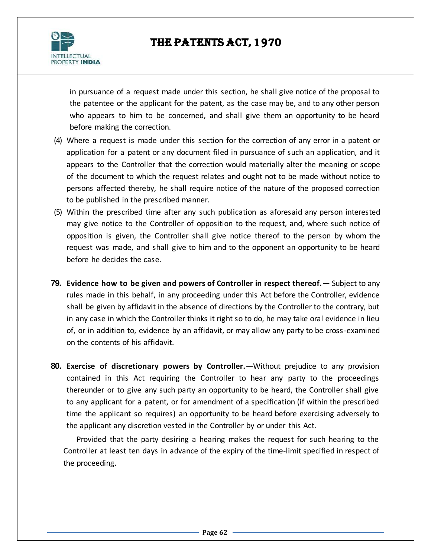

in pursuance of a request made under this section, he shall give notice of the proposal to the patentee or the applicant for the patent, as the case may be, and to any other person who appears to him to be concerned, and shall give them an opportunity to be heard before making the correction.

- (4) Where a request is made under this section for the correction of any error in a patent or application for a patent or any document filed in pursuance of such an application, and it appears to the Controller that the correction would materially alter the meaning or scope of the document to which the request relates and ought not to be made without notice to persons affected thereby, he shall require notice of the nature of the proposed correction to be published in the prescribed manner.
- (5) Within the prescribed time after any such publication as aforesaid any person interested may give notice to the Controller of opposition to the request, and, where such notice of opposition is given, the Controller shall give notice thereof to the person by whom the request was made, and shall give to him and to the opponent an opportunity to be heard before he decides the case.
- **79. Evidence how to be given and powers of Controller in respect thereof.** Subject to any rules made in this behalf, in any proceeding under this Act before the Controller, evidence shall be given by affidavit in the absence of directions by the Controller to the contrary, but in any case in which the Controller thinks it right so to do, he may take oral evidence in lieu of, or in addition to, evidence by an affidavit, or may allow any party to be cross-examined on the contents of his affidavit.
- **80. Exercise of discretionary powers by Controller.**—Without prejudice to any provision contained in this Act requiring the Controller to hear any party to the proceedings thereunder or to give any such party an opportunity to be heard, the Controller shall give to any applicant for a patent, or for amendment of a specification (if within the prescribed time the applicant so requires) an opportunity to be heard before exercising adversely to the applicant any discretion vested in the Controller by or under this Act.

Provided that the party desiring a hearing makes the request for such hearing to the Controller at least ten days in advance of the expiry of the time-limit specified in respect of the proceeding.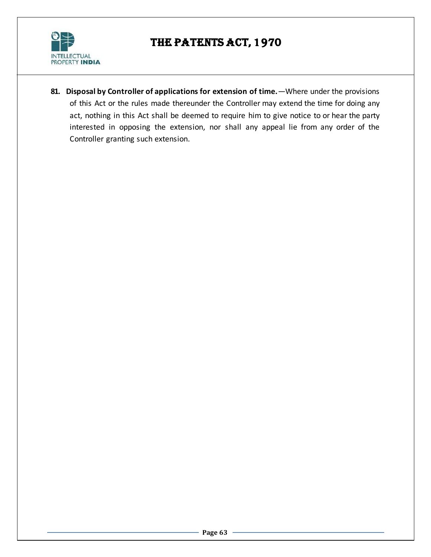

**81. Disposal by Controller of applications for extension of time.**—Where under the provisions of this Act or the rules made thereunder the Controller may extend the time for doing any act, nothing in this Act shall be deemed to require him to give notice to or hear the party interested in opposing the extension, nor shall any appeal lie from any order of the Controller granting such extension.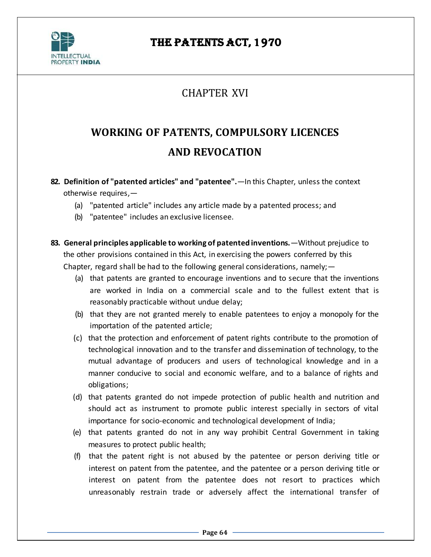

### CHAPTER XVI

# **WORKING OF PATENTS, COMPULSORY LICENCES AND REVOCATION**

**82. Definition of "patented articles" and "patentee".**—In this Chapter, unless the context otherwise requires,—

- (a) "patented article" includes any article made by a patented process; and
- (b) "patentee" includes an exclusive licensee.
- **83. General principles applicable to working of patented inventions.**—Without prejudice to the other provisions contained in this Act, in exercising the powers conferred by this Chapter, regard shall be had to the following general considerations, namely;—
	- (a) that patents are granted to encourage inventions and to secure that the inventions are worked in India on a commercial scale and to the fullest extent that is reasonably practicable without undue delay;
	- (b) that they are not granted merely to enable patentees to enjoy a monopoly for the importation of the patented article;
	- (c) that the protection and enforcement of patent rights contribute to the promotion of technological innovation and to the transfer and dissemination of technology, to the mutual advantage of producers and users of technological knowledge and in a manner conducive to social and economic welfare, and to a balance of rights and obligations;
	- (d) that patents granted do not impede protection of public health and nutrition and should act as instrument to promote public interest specially in sectors of vital importance for socio-economic and technological development of India;
	- (e) that patents granted do not in any way prohibit Central Government in taking measures to protect public health;
	- (f) that the patent right is not abused by the patentee or person deriving title or interest on patent from the patentee, and the patentee or a person deriving title or interest on patent from the patentee does not resort to practices which unreasonably restrain trade or adversely affect the international transfer of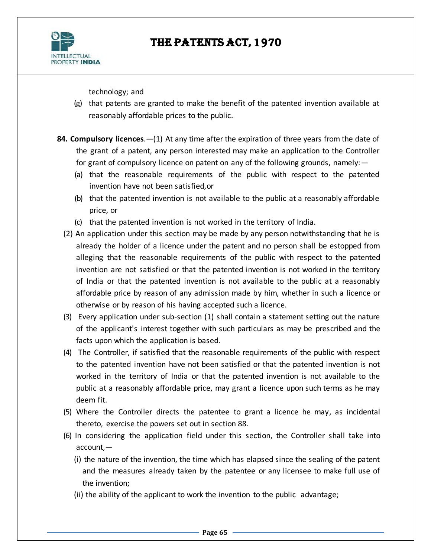

technology; and

- (g) that patents are granted to make the benefit of the patented invention available at reasonably affordable prices to the public.
- **84. Compulsory licences**.—(1) At any time after the expiration of three years from the date of the grant of a patent, any person interested may make an application to the Controller for grant of compulsory licence on patent on any of the following grounds, namely: —
	- (a) that the reasonable requirements of the public with respect to the patented invention have not been satisfied,or
	- (b) that the patented invention is not available to the public at a reasonably affordable price, or
	- (c) that the patented invention is not worked in the territory of India.
	- (2) An application under this section may be made by any person notwithstanding that he is already the holder of a licence under the patent and no person shall be estopped from alleging that the reasonable requirements of the public with respect to the patented invention are not satisfied or that the patented invention is not worked in the territory of India or that the patented invention is not available to the public at a reasonably affordable price by reason of any admission made by him, whether in such a licence or otherwise or by reason of his having accepted such a licence.
	- (3) Every application under sub-section (1) shall contain a statement setting out the nature of the applicant's interest together with such particulars as may be prescribed and the facts upon which the application is based.
	- (4) The Controller, if satisfied that the reasonable requirements of the public with respect to the patented invention have not been satisfied or that the patented invention is not worked in the territory of India or that the patented invention is not available to the public at a reasonably affordable price, may grant a licence upon such terms as he may deem fit.
	- (5) Where the Controller directs the patentee to grant a licence he may, as incidental thereto, exercise the powers set out in section 88.
	- (6) In considering the application field under this section, the Controller shall take into account,—
		- (i) the nature of the invention, the time which has elapsed since the sealing of the patent and the measures already taken by the patentee or any licensee to make full use of the invention;
		- (ii) the ability of the applicant to work the invention to the public advantage;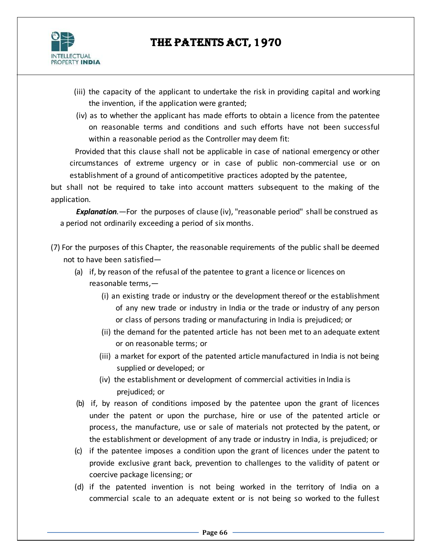

- (iii) the capacity of the applicant to undertake the risk in providing capital and working the invention, if the application were granted;
- (iv) as to whether the applicant has made efforts to obtain a licence from the patentee on reasonable terms and conditions and such efforts have not been successful within a reasonable period as the Controller may deem fit:

 Provided that this clause shall not be applicable in case of national emergency or other circumstances of extreme urgency or in case of public non-commercial use or on establishment of a ground of anticompetitive practices adopted by the patentee,

but shall not be required to take into account matters subsequent to the making of the application.

*Explanation.*—For the purposes of clause (iv), "reasonable period" shall be construed as a period not ordinarily exceeding a period of six months.

- (7) For the purposes of this Chapter, the reasonable requirements of the public shall be deemed not to have been satisfied—
	- (a) if, by reason of the refusal of the patentee to grant a licence or licences on reasonable terms,—
		- (i) an existing trade or industry or the development thereof or the establishment of any new trade or industry in India or the trade or industry of any person or class of persons trading or manufacturing in India is prejudiced; or
		- (ii) the demand for the patented article has not been met to an adequate extent or on reasonable terms; or
		- (iii) a market for export of the patented article manufactured in India is not being supplied or developed; or
		- (iv) the establishment or development of commercial activities in India is prejudiced; or
	- (b) if, by reason of conditions imposed by the patentee upon the grant of licences under the patent or upon the purchase, hire or use of the patented article or process, the manufacture, use or sale of materials not protected by the patent, or the establishment or development of any trade or industry in India, is prejudiced; or
	- (c) if the patentee imposes a condition upon the grant of licences under the patent to provide exclusive grant back, prevention to challenges to the validity of patent or coercive package licensing; or
	- (d) if the patented invention is not being worked in the territory of India on a commercial scale to an adequate extent or is not being so worked to the fullest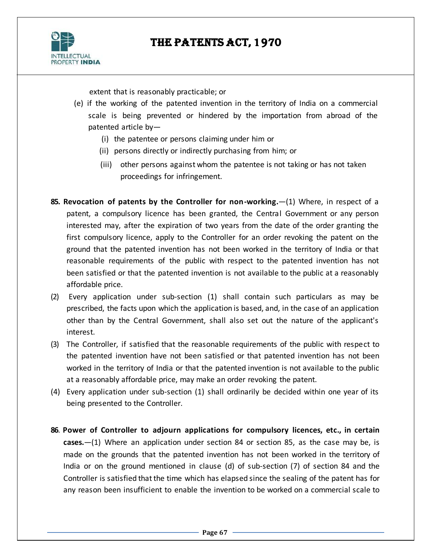

extent that is reasonably practicable; or

- (e) if the working of the patented invention in the territory of India on a commercial scale is being prevented or hindered by the importation from abroad of the patented article by—
	- (i) the patentee or persons claiming under him or
	- (ii) persons directly or indirectly purchasing from him; or
	- (iii) other persons against whom the patentee is not taking or has not taken proceedings for infringement.
- **85. Revocation of patents by the Controller for non-working.**—(1) Where, in respect of a patent, a compulsory licence has been granted, the Central Government or any person interested may, after the expiration of two years from the date of the order granting the first compulsory licence, apply to the Controller for an order revoking the patent on the ground that the patented invention has not been worked in the territory of India or that reasonable requirements of the public with respect to the patented invention has not been satisfied or that the patented invention is not available to the public at a reasonably affordable price.
- (2) Every application under sub-section (1) shall contain such particulars as may be prescribed, the facts upon which the application is based, and, in the case of an application other than by the Central Government, shall also set out the nature of the applicant's interest.
- (3) The Controller, if satisfied that the reasonable requirements of the public with respect to the patented invention have not been satisfied or that patented invention has not been worked in the territory of India or that the patented invention is not available to the public at a reasonably affordable price, may make an order revoking the patent.
- (4) Every application under sub-section (1) shall ordinarily be decided within one year of its being presented to the Controller.
- **86**. **Power of Controller to adjourn applications for compulsory licences, etc., in certain cases.**—(1) Where an application under section 84 or section 85, as the case may be, is made on the grounds that the patented invention has not been worked in the territory of India or on the ground mentioned in clause (d) of sub-section (7) of section 84 and the Controller is satisfied that the time which has elapsed since the sealing of the patent has for any reason been insufficient to enable the invention to be worked on a commercial scale to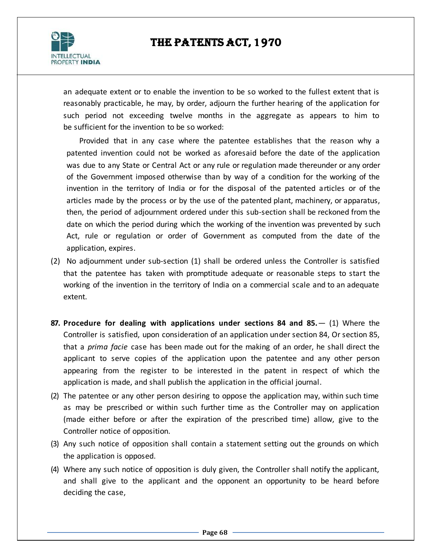



an adequate extent or to enable the invention to be so worked to the fullest extent that is reasonably practicable, he may, by order, adjourn the further hearing of the application for such period not exceeding twelve months in the aggregate as appears to him to be sufficient for the invention to be so worked:

Provided that in any case where the patentee establishes that the reason why a patented invention could not be worked as aforesaid before the date of the application was due to any State or Central Act or any rule or regulation made thereunder or any order of the Government imposed otherwise than by way of a condition for the working of the invention in the territory of India or for the disposal of the patented articles or of the articles made by the process or by the use of the patented plant, machinery, or apparatus, then, the period of adjournment ordered under this sub-section shall be reckoned from the date on which the period during which the working of the invention was prevented by such Act, rule or regulation or order of Government as computed from the date of the application, expires.

- (2) No adjournment under sub-section (1) shall be ordered unless the Controller is satisfied that the patentee has taken with promptitude adequate or reasonable steps to start the working of the invention in the territory of India on a commercial scale and to an adequate extent.
- **87. Procedure for dealing with applications under sections 84 and 85.** (1) Where the Controller is satisfied, upon consideration of an application under section 84, Or section 85, that a *prima facie* case has been made out for the making of an order, he shall direct the applicant to serve copies of the application upon the patentee and any other person appearing from the register to be interested in the patent in respect of which the application is made, and shall publish the application in the official journal.
- (2) The patentee or any other person desiring to oppose the application may, within such time as may be prescribed or within such further time as the Controller may on application (made either before or after the expiration of the prescribed time) allow, give to the Controller notice of opposition.
- (3) Any such notice of opposition shall contain a statement setting out the grounds on which the application is opposed.
- (4) Where any such notice of opposition is duly given, the Controller shall notify the applicant, and shall give to the applicant and the opponent an opportunity to be heard before deciding the case,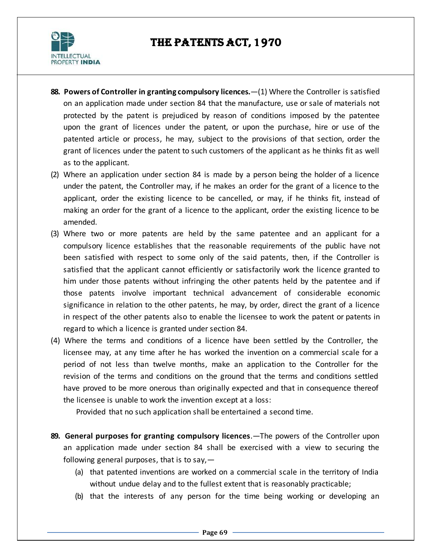

- **88. Powers of Controller in granting compulsory licences.**—(1) Where the Controller is satisfied on an application made under section 84 that the manufacture, use or sale of materials not protected by the patent is prejudiced by reason of conditions imposed by the patentee upon the grant of licences under the patent, or upon the purchase, hire or use of the patented article or process, he may, subject to the provisions of that section, order the grant of licences under the patent to such customers of the applicant as he thinks fit as well as to the applicant.
- (2) Where an application under section 84 is made by a person being the holder of a licence under the patent, the Controller may, if he makes an order for the grant of a licence to the applicant, order the existing licence to be cancelled, or may, if he thinks fit, instead of making an order for the grant of a licence to the applicant, order the existing licence to be amended.
- (3) Where two or more patents are held by the same patentee and an applicant for a compulsory licence establishes that the reasonable requirements of the public have not been satisfied with respect to some only of the said patents, then, if the Controller is satisfied that the applicant cannot efficiently or satisfactorily work the licence granted to him under those patents without infringing the other patents held by the patentee and if those patents involve important technical advancement of considerable economic significance in relation to the other patents, he may, by order, direct the grant of a licence in respect of the other patents also to enable the licensee to work the patent or patents in regard to which a licence is granted under section 84.
- (4) Where the terms and conditions of a licence have been settled by the Controller, the licensee may, at any time after he has worked the invention on a commercial scale for a period of not less than twelve months, make an application to the Controller for the revision of the terms and conditions on the ground that the terms and conditions settled have proved to be more onerous than originally expected and that in consequence thereof the licensee is unable to work the invention except at a loss:

Provided that no such application shall be entertained a second time.

- **89. General purposes for granting compulsory licences**.—The powers of the Controller upon an application made under section 84 shall be exercised with a view to securing the following general purposes, that is to say,  $-$ 
	- (a) that patented inventions are worked on a commercial scale in the territory of India without undue delay and to the fullest extent that is reasonably practicable;
	- (b) that the interests of any person for the time being working or developing an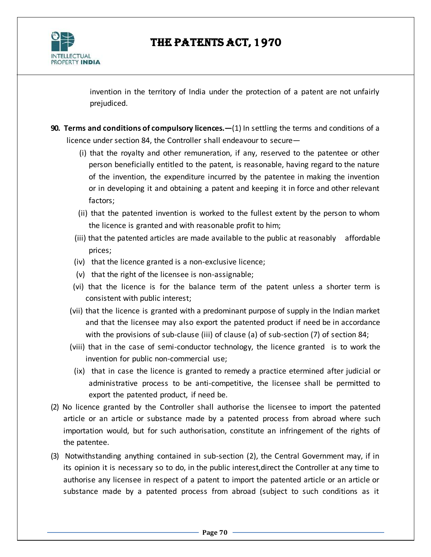

invention in the territory of India under the protection of a patent are not unfairly prejudiced.

- **90. Terms and conditions of compulsory licences.—**(1) In settling the terms and conditions of a licence under section 84, the Controller shall endeavour to secure—
	- (i) that the royalty and other remuneration, if any, reserved to the patentee or other person beneficially entitled to the patent, is reasonable, having regard to the nature of the invention, the expenditure incurred by the patentee in making the invention or in developing it and obtaining a patent and keeping it in force and other relevant factors;
	- (ii) that the patented invention is worked to the fullest extent by the person to whom the licence is granted and with reasonable profit to him;
	- (iii) that the patented articles are made available to the public at reasonably affordable prices;
	- (iv) that the licence granted is a non-exclusive licence;
	- (v) that the right of the licensee is non-assignable;
	- (vi) that the licence is for the balance term of the patent unless a shorter term is consistent with public interest;
	- (vii) that the licence is granted with a predominant purpose of supply in the Indian market and that the licensee may also export the patented product if need be in accordance with the provisions of sub-clause (iii) of clause (a) of sub-section (7) of section 84;
	- (viii) that in the case of semi-conductor technology, the licence granted is to work the invention for public non-commercial use;
	- (ix) that in case the licence is granted to remedy a practice etermined after judicial or administrative process to be anti-competitive, the licensee shall be permitted to export the patented product, if need be.
- (2) No licence granted by the Controller shall authorise the licensee to import the patented article or an article or substance made by a patented process from abroad where such importation would, but for such authorisation, constitute an infringement of the rights of the patentee.
- (3) Notwithstanding anything contained in sub-section (2), the Central Government may, if in its opinion it is necessary so to do, in the public interest,direct the Controller at any time to authorise any licensee in respect of a patent to import the patented article or an article or substance made by a patented process from abroad (subject to such conditions as it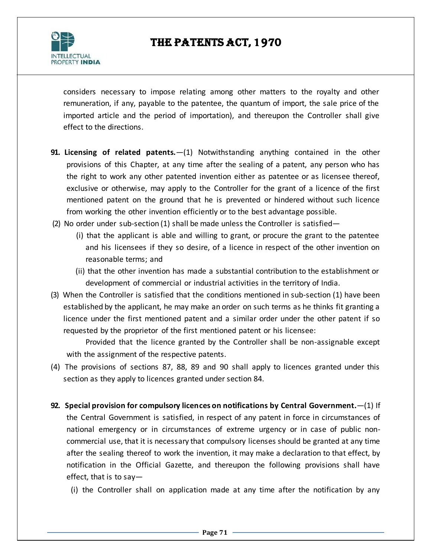

considers necessary to impose relating among other matters to the royalty and other remuneration, if any, payable to the patentee, the quantum of import, the sale price of the imported article and the period of importation), and thereupon the Controller shall give effect to the directions.

- **91. Licensing of related patents.**—(1) Notwithstanding anything contained in the other provisions of this Chapter, at any time after the sealing of a patent, any person who has the right to work any other patented invention either as patentee or as licensee thereof, exclusive or otherwise, may apply to the Controller for the grant of a licence of the first mentioned patent on the ground that he is prevented or hindered without such licence from working the other invention efficiently or to the best advantage possible.
- (2) No order under sub-section (1) shall be made unless the Controller is satisfied—
	- (i) that the applicant is able and willing to grant, or procure the grant to the patentee and his licensees if they so desire, of a licence in respect of the other invention on reasonable terms; and
	- (ii) that the other invention has made a substantial contribution to the establishment or development of commercial or industrial activities in the territory of India.
- (3) When the Controller is satisfied that the conditions mentioned in sub-section (1) have been established by the applicant, he may make an order on such terms as he thinks fit granting a licence under the first mentioned patent and a similar order under the other patent if so requested by the proprietor of the first mentioned patent or his licensee:

Provided that the licence granted by the Controller shall be non-assignable except with the assignment of the respective patents.

- (4) The provisions of sections 87, 88, 89 and 90 shall apply to licences granted under this section as they apply to licences granted under section 84.
- **92. Special provision for compulsory licences on notifications by Central Government.**—(1) If the Central Government is satisfied, in respect of any patent in force in circumstances of national emergency or in circumstances of extreme urgency or in case of public noncommercial use, that it is necessary that compulsory licenses should be granted at any time after the sealing thereof to work the invention, it may make a declaration to that effect, by notification in the Official Gazette, and thereupon the following provisions shall have effect, that is to say—
	- (i) the Controller shall on application made at any time after the notification by any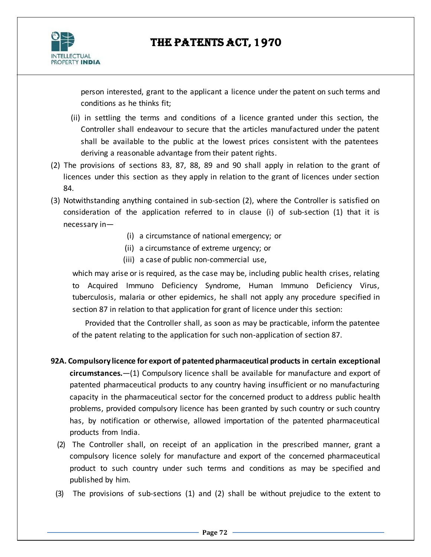

person interested, grant to the applicant a licence under the patent on such terms and conditions as he thinks fit;

- (ii) in settling the terms and conditions of a licence granted under this section, the Controller shall endeavour to secure that the articles manufactured under the patent shall be available to the public at the lowest prices consistent with the patentees deriving a reasonable advantage from their patent rights.
- (2) The provisions of sections 83, 87, 88, 89 and 90 shall apply in relation to the grant of licences under this section as they apply in relation to the grant of licences under section 84.
- (3) Notwithstanding anything contained in sub-section (2), where the Controller is satisfied on consideration of the application referred to in clause (i) of sub-section (1) that it is necessary in—
	- (i) a circumstance of national emergency; or
	- (ii) a circumstance of extreme urgency; or
	- (iii) a case of public non-commercial use,

which may arise or is required, as the case may be, including public health crises, relating to Acquired Immuno Deficiency Syndrome, Human Immuno Deficiency Virus, tuberculosis, malaria or other epidemics, he shall not apply any procedure specified in section 87 in relation to that application for grant of licence under this section:

Provided that the Controller shall, as soon as may be practicable, inform the patentee of the patent relating to the application for such non-application of section 87.

- **92A. Compulsory licence for export of patented pharmaceutical products in certain exceptional circumstances.**—(1) Compulsory licence shall be available for manufacture and export of patented pharmaceutical products to any country having insufficient or no manufacturing capacity in the pharmaceutical sector for the concerned product to address public health problems, provided compulsory licence has been granted by such country or such country has, by notification or otherwise, allowed importation of the patented pharmaceutical products from India.
	- (2) The Controller shall, on receipt of an application in the prescribed manner, grant a compulsory licence solely for manufacture and export of the concerned pharmaceutical product to such country under such terms and conditions as may be specified and published by him.
	- (3) The provisions of sub-sections (1) and (2) shall be without prejudice to the extent to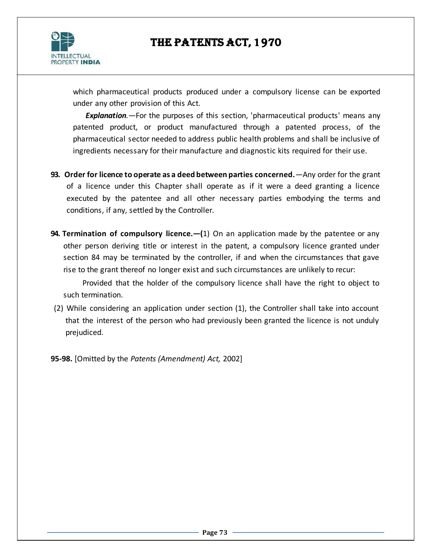

which pharmaceutical products produced under a compulsory license can be exported under any other provision of this Act.

*Explanation.*—For the purposes of this section, 'pharmaceutical products' means any patented product, or product manufactured through a patented process, of the pharmaceutical sector needed to address public health problems and shall be inclusive of ingredients necessary for their manufacture and diagnostic kits required for their use.

- **93. Order for licence to operate as a deed between parties concerned.**—Any order for the grant of a licence under this Chapter shall operate as if it were a deed granting a licence executed by the patentee and all other necessary parties embodying the terms and conditions, if any, settled by the Controller.
- **94. Termination of compulsory licence.—(**1) On an application made by the patentee or any other person deriving title or interest in the patent, a compulsory licence granted under section 84 may be terminated by the controller, if and when the circumstances that gave rise to the grant thereof no longer exist and such circumstances are unlikely to recur:

 Provided that the holder of the compulsory licence shall have the right to object to such termination.

(2) While considering an application under section (1), the Controller shall take into account that the interest of the person who had previously been granted the licence is not unduly prejudiced.

**95-98.** [Omitted by the *Patents (Amendment) Act,* 2002]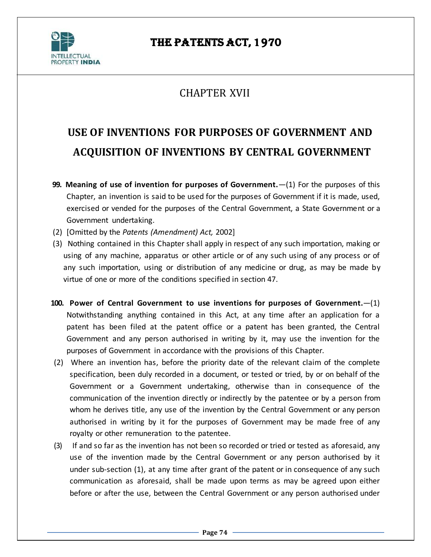



#### CHAPTER XVII

# **USE OF INVENTIONS FOR PURPOSES OF GOVERNMENT AND ACQUISITION OF INVENTIONS BY CENTRAL GOVERNMENT**

- **99. Meaning of use of invention for purposes of Government.**—(1) For the purposes of this Chapter, an invention is said to be used for the purposes of Government if it is made, used, exercised or vended for the purposes of the Central Government, a State Government or a Government undertaking.
- (2) [Omitted by the *Patents (Amendment) Act,* 2002]
- (3) Nothing contained in this Chapter shall apply in respect of any such importation, making or using of any machine, apparatus or other article or of any such using of any process or of any such importation, using or distribution of any medicine or drug, as may be made by virtue of one or more of the conditions specified in section 47.
- **100. Power of Central Government to use inventions for purposes of Government.**—(1) Notwithstanding anything contained in this Act, at any time after an application for a patent has been filed at the patent office or a patent has been granted, the Central Government and any person authorised in writing by it, may use the invention for the purposes of Government in accordance with the provisions of this Chapter.
- (2) Where an invention has, before the priority date of the relevant claim of the complete specification, been duly recorded in a document, or tested or tried, by or on behalf of the Government or a Government undertaking, otherwise than in consequence of the communication of the invention directly or indirectly by the patentee or by a person from whom he derives title, any use of the invention by the Central Government or any person authorised in writing by it for the purposes of Government may be made free of any royalty or other remuneration to the patentee.
- (3) If and so far as the invention has not been so recorded or tried or tested as aforesaid, any use of the invention made by the Central Government or any person authorised by it under sub-section (1), at any time after grant of the patent or in consequence of any such communication as aforesaid, shall be made upon terms as may be agreed upon either before or after the use, between the Central Government or any person authorised under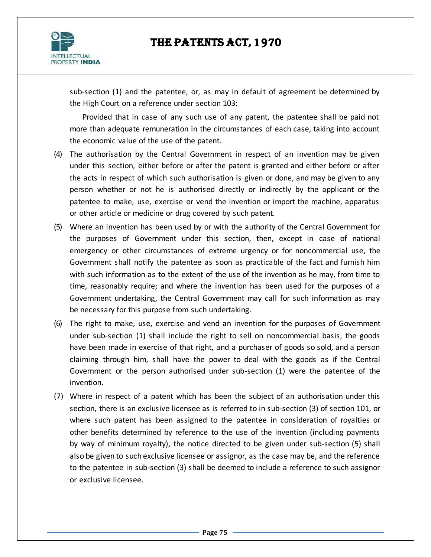

sub-section (1) and the patentee, or, as may in default of agreement be determined by the High Court on a reference under section 103:

Provided that in case of any such use of any patent, the patentee shall be paid not more than adequate remuneration in the circumstances of each case, taking into account the economic value of the use of the patent.

- (4) The authorisation by the Central Government in respect of an invention may be given under this section, either before or after the patent is granted and either before or after the acts in respect of which such authorisation is given or done, and may be given to any person whether or not he is authorised directly or indirectly by the applicant or the patentee to make, use, exercise or vend the invention or import the machine, apparatus or other article or medicine or drug covered by such patent.
- (5) Where an invention has been used by or with the authority of the Central Government for the purposes of Government under this section, then, except in case of national emergency or other circumstances of extreme urgency or for noncommercial use, the Government shall notify the patentee as soon as practicable of the fact and furnish him with such information as to the extent of the use of the invention as he may, from time to time, reasonably require; and where the invention has been used for the purposes of a Government undertaking, the Central Government may call for such information as may be necessary for this purpose from such undertaking.
- (6) The right to make, use, exercise and vend an invention for the purposes of Government under sub-section (1) shall include the right to sell on noncommercial basis, the goods have been made in exercise of that right, and a purchaser of goods so sold, and a person claiming through him, shall have the power to deal with the goods as if the Central Government or the person authorised under sub-section (1) were the patentee of the invention.
- (7) Where in respect of a patent which has been the subject of an authorisation under this section, there is an exclusive licensee as is referred to in sub-section (3) of section 101, or where such patent has been assigned to the patentee in consideration of royalties or other benefits determined by reference to the use of the invention (including payments by way of minimum royalty), the notice directed to be given under sub-section (5) shall also be given to such exclusive licensee or assignor, as the case may be, and the reference to the patentee in sub-section (3) shall be deemed to include a reference to such assignor or exclusive licensee.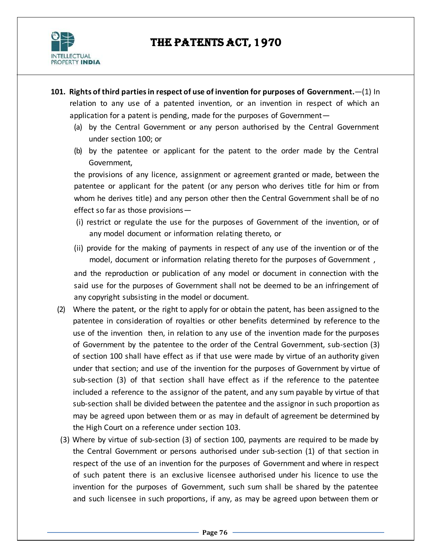

- **101. Rights of third parties in respect of use of invention for purposes of Government.**—(1) In relation to any use of a patented invention, or an invention in respect of which an application for a patent is pending, made for the purposes of Government—
	- (a) by the Central Government or any person authorised by the Central Government under section 100; or
	- (b) by the patentee or applicant for the patent to the order made by the Central Government,

the provisions of any licence, assignment or agreement granted or made, between the patentee or applicant for the patent (or any person who derives title for him or from whom he derives title) and any person other then the Central Government shall be of no effect so far as those provisions—

- (i) restrict or regulate the use for the purposes of Government of the invention, or of any model document or information relating thereto, or
- (ii) provide for the making of payments in respect of any use of the invention or of the model, document or information relating thereto for the purposes of Government ,

and the reproduction or publication of any model or document in connection with the said use for the purposes of Government shall not be deemed to be an infringement of any copyright subsisting in the model or document.

- (2) Where the patent, or the right to apply for or obtain the patent, has been assigned to the patentee in consideration of royalties or other benefits determined by reference to the use of the invention then, in relation to any use of the invention made for the purposes of Government by the patentee to the order of the Central Government, sub-section (3) of section 100 shall have effect as if that use were made by virtue of an authority given under that section; and use of the invention for the purposes of Government by virtue of sub-section (3) of that section shall have effect as if the reference to the patentee included a reference to the assignor of the patent, and any sum payable by virtue of that sub-section shall be divided between the patentee and the assignor in such proportion as may be agreed upon between them or as may in default of agreement be determined by the High Court on a reference under section 103.
- (3) Where by virtue of sub-section (3) of section 100, payments are required to be made by the Central Government or persons authorised under sub-section (1) of that section in respect of the use of an invention for the purposes of Government and where in respect of such patent there is an exclusive licensee authorised under his licence to use the invention for the purposes of Government, such sum shall be shared by the patentee and such licensee in such proportions, if any, as may be agreed upon between them or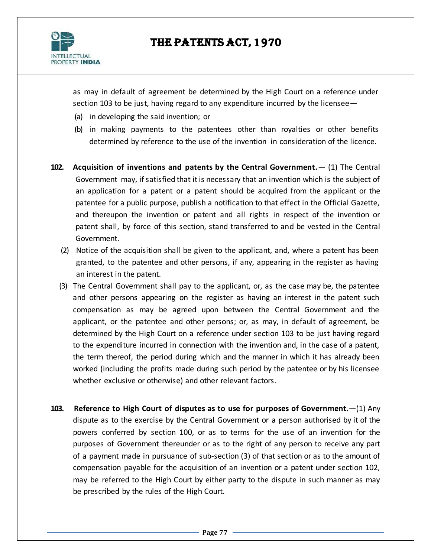

as may in default of agreement be determined by the High Court on a reference under section 103 to be just, having regard to any expenditure incurred by the licensee —

- (a) in developing the said invention; or
- (b) in making payments to the patentees other than royalties or other benefits determined by reference to the use of the invention in consideration of the licence.
- **102. Acquisition of inventions and patents by the Central Government.** (1) The Central Government may, if satisfied that it is necessary that an invention which is the subject of an application for a patent or a patent should be acquired from the applicant or the patentee for a public purpose, publish a notification to that effect in the Official Gazette, and thereupon the invention or patent and all rights in respect of the invention or patent shall, by force of this section, stand transferred to and be vested in the Central Government.
	- (2) Notice of the acquisition shall be given to the applicant, and, where a patent has been granted, to the patentee and other persons, if any, appearing in the register as having an interest in the patent.
	- (3) The Central Government shall pay to the applicant, or, as the case may be, the patentee and other persons appearing on the register as having an interest in the patent such compensation as may be agreed upon between the Central Government and the applicant, or the patentee and other persons; or, as may, in default of agreement, be determined by the High Court on a reference under section 103 to be just having regard to the expenditure incurred in connection with the invention and, in the case of a patent, the term thereof, the period during which and the manner in which it has already been worked (including the profits made during such period by the patentee or by his licensee whether exclusive or otherwise) and other relevant factors.
- **103. Reference to High Court of disputes as to use for purposes of Government.**—(1) Any dispute as to the exercise by the Central Government or a person authorised by it of the powers conferred by section 100, or as to terms for the use of an invention for the purposes of Government thereunder or as to the right of any person to receive any part of a payment made in pursuance of sub-section (3) of that section or as to the amount of compensation payable for the acquisition of an invention or a patent under section 102, may be referred to the High Court by either party to the dispute in such manner as may be prescribed by the rules of the High Court.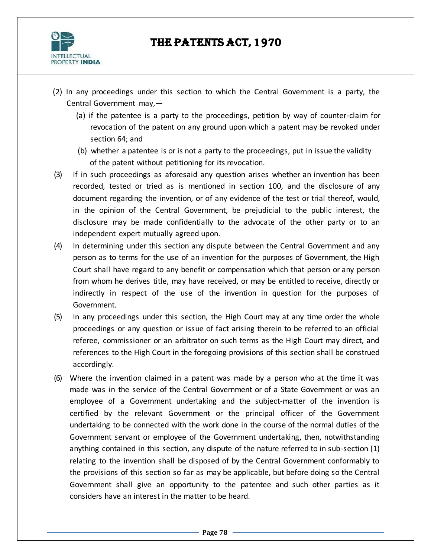

- (2) In any proceedings under this section to which the Central Government is a party, the Central Government may,—
	- (a) if the patentee is a party to the proceedings, petition by way of counter-claim for revocation of the patent on any ground upon which a patent may be revoked under section 64; and
	- (b) whether a patentee is or is not a party to the proceedings, put in issue the validity of the patent without petitioning for its revocation.
- (3) If in such proceedings as aforesaid any question arises whether an invention has been recorded, tested or tried as is mentioned in section 100, and the disclosure of any document regarding the invention, or of any evidence of the test or trial thereof, would, in the opinion of the Central Government, be prejudicial to the public interest, the disclosure may be made confidentially to the advocate of the other party or to an independent expert mutually agreed upon.
- (4) In determining under this section any dispute between the Central Government and any person as to terms for the use of an invention for the purposes of Government, the High Court shall have regard to any benefit or compensation which that person or any person from whom he derives title, may have received, or may be entitled to receive, directly or indirectly in respect of the use of the invention in question for the purposes of Government.
- (5) In any proceedings under this section, the High Court may at any time order the whole proceedings or any question or issue of fact arising therein to be referred to an official referee, commissioner or an arbitrator on such terms as the High Court may direct, and references to the High Court in the foregoing provisions of this section shall be construed accordingly.
- (6) Where the invention claimed in a patent was made by a person who at the time it was made was in the service of the Central Government or of a State Government or was an employee of a Government undertaking and the subject-matter of the invention is certified by the relevant Government or the principal officer of the Government undertaking to be connected with the work done in the course of the normal duties of the Government servant or employee of the Government undertaking, then, notwithstanding anything contained in this section, any dispute of the nature referred to in sub-section (1) relating to the invention shall be disposed of by the Central Government conformably to the provisions of this section so far as may be applicable, but before doing so the Central Government shall give an opportunity to the patentee and such other parties as it considers have an interest in the matter to be heard.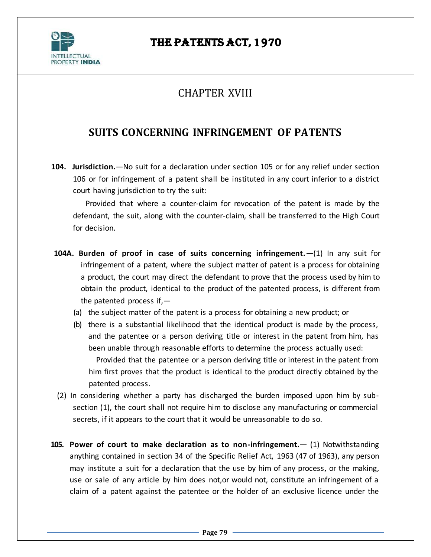

#### CHAPTER XVIII

#### **SUITS CONCERNING INFRINGEMENT OF PATENTS**

**104. Jurisdiction.**—No suit for a declaration under section 105 or for any relief under section 106 or for infringement of a patent shall be instituted in any court inferior to a district court having jurisdiction to try the suit:

Provided that where a counter-claim for revocation of the patent is made by the defendant, the suit, along with the counter-claim, shall be transferred to the High Court for decision.

- **104A. Burden of proof in case of suits concerning infringement.**—(1) In any suit for infringement of a patent, where the subject matter of patent is a process for obtaining a product, the court may direct the defendant to prove that the process used by him to obtain the product, identical to the product of the patented process, is different from the patented process if,—
	- (a) the subject matter of the patent is a process for obtaining a new product; or
	- (b) there is a substantial likelihood that the identical product is made by the process, and the patentee or a person deriving title or interest in the patent from him, has been unable through reasonable efforts to determine the process actually used: Provided that the patentee or a person deriving title or interest in the patent from him first proves that the product is identical to the product directly obtained by the patented process.
- (2) In considering whether a party has discharged the burden imposed upon him by subsection (1), the court shall not require him to disclose any manufacturing or commercial secrets, if it appears to the court that it would be unreasonable to do so.
- **105. Power of court to make declaration as to non-infringement.** (1) Notwithstanding anything contained in section 34 of the Specific Relief Act, 1963 (47 of 1963), any person may institute a suit for a declaration that the use by him of any process, or the making, use or sale of any article by him does not,or would not, constitute an infringement of a claim of a patent against the patentee or the holder of an exclusive licence under the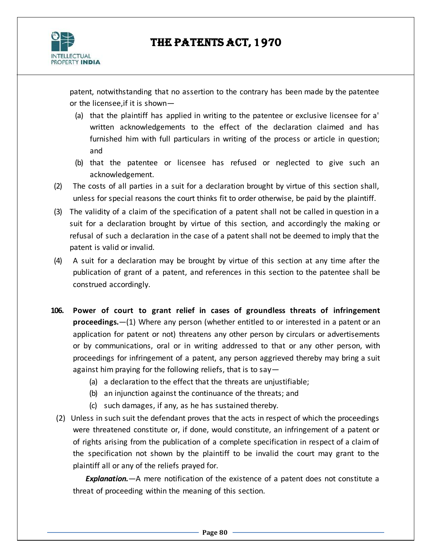

patent, notwithstanding that no assertion to the contrary has been made by the patentee or the licensee,if it is shown—

- (a) that the plaintiff has applied in writing to the patentee or exclusive licensee for a' written acknowledgements to the effect of the declaration claimed and has furnished him with full particulars in writing of the process or article in question; and
- (b) that the patentee or licensee has refused or neglected to give such an acknowledgement.
- (2) The costs of all parties in a suit for a declaration brought by virtue of this section shall, unless for special reasons the court thinks fit to order otherwise, be paid by the plaintiff.
- (3) The validity of a claim of the specification of a patent shall not be called in question in a suit for a declaration brought by virtue of this section, and accordingly the making or refusal of such a declaration in the case of a patent shall not be deemed to imply that the patent is valid or invalid.
- (4) A suit for a declaration may be brought by virtue of this section at any time after the publication of grant of a patent, and references in this section to the patentee shall be construed accordingly.
- **106. Power of court to grant relief in cases of groundless threats of infringement proceedings.**—(1) Where any person (whether entitled to or interested in a patent or an application for patent or not) threatens any other person by circulars or advertisements or by communications, oral or in writing addressed to that or any other person, with proceedings for infringement of a patent, any person aggrieved thereby may bring a suit against him praying for the following reliefs, that is to say—
	- (a) a declaration to the effect that the threats are unjustifiable;
	- (b) an injunction against the continuance of the threats; and
	- (c) such damages, if any, as he has sustained thereby.
	- (2) Unless in such suit the defendant proves that the acts in respect of which the proceedings were threatened constitute or, if done, would constitute, an infringement of a patent or of rights arising from the publication of a complete specification in respect of a claim of the specification not shown by the plaintiff to be invalid the court may grant to the plaintiff all or any of the reliefs prayed for.

*Explanation.*—A mere notification of the existence of a patent does not constitute a threat of proceeding within the meaning of this section.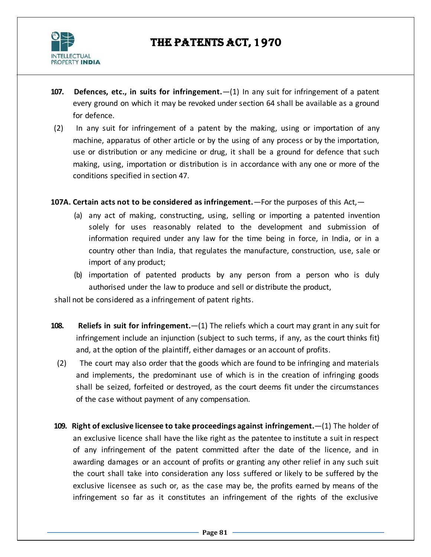

- **107. Defences, etc., in suits for infringement.**—(1) In any suit for infringement of a patent every ground on which it may be revoked under section 64 shall be available as a ground for defence.
- (2) In any suit for infringement of a patent by the making, using or importation of any machine, apparatus of other article or by the using of any process or by the importation, use or distribution or any medicine or drug, it shall be a ground for defence that such making, using, importation or distribution is in accordance with any one or more of the conditions specified in section 47.

**107A. Certain acts not to be considered as infringement.**—For the purposes of this Act,—

- (a) any act of making, constructing, using, selling or importing a patented invention solely for uses reasonably related to the development and submission of information required under any law for the time being in force, in India, or in a country other than India, that regulates the manufacture, construction, use, sale or import of any product;
- (b) importation of patented products by any person from a person who is duly authorised under the law to produce and sell or distribute the product,

shall not be considered as a infringement of patent rights.

- **108. Reliefs in suit for infringement.**—(1) The reliefs which a court may grant in any suit for infringement include an injunction (subject to such terms, if any, as the court thinks fit) and, at the option of the plaintiff, either damages or an account of profits.
	- (2) The court may also order that the goods which are found to be infringing and materials and implements, the predominant use of which is in the creation of infringing goods shall be seized, forfeited or destroyed, as the court deems fit under the circumstances of the case without payment of any compensation.
- **109. Right of exclusive licensee to take proceedings against infringement.**—(1) The holder of an exclusive licence shall have the like right as the patentee to institute a suit in respect of any infringement of the patent committed after the date of the licence, and in awarding damages or an account of profits or granting any other relief in any such suit the court shall take into consideration any loss suffered or likely to be suffered by the exclusive licensee as such or, as the case may be, the profits earned by means of the infringement so far as it constitutes an infringement of the rights of the exclusive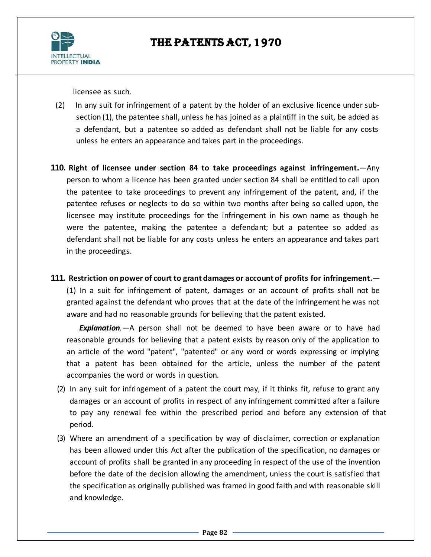

licensee as such.

- (2) In any suit for infringement of a patent by the holder of an exclusive licence under subsection (1), the patentee shall, unless he has joined as a plaintiff in the suit, be added as a defendant, but a patentee so added as defendant shall not be liable for any costs unless he enters an appearance and takes part in the proceedings.
- **110. Right of licensee under section 84 to take proceedings against infringement.**—Any person to whom a licence has been granted under section 84 shall be entitled to call upon the patentee to take proceedings to prevent any infringement of the patent, and, if the patentee refuses or neglects to do so within two months after being so called upon, the licensee may institute proceedings for the infringement in his own name as though he were the patentee, making the patentee a defendant; but a patentee so added as defendant shall not be liable for any costs unless he enters an appearance and takes part in the proceedings.

#### **111. Restriction on power of court to grant damages or account of profits for infringement.**—

(1) In a suit for infringement of patent, damages or an account of profits shall not be granted against the defendant who proves that at the date of the infringement he was not aware and had no reasonable grounds for believing that the patent existed.

*Explanation.*—A person shall not be deemed to have been aware or to have had reasonable grounds for believing that a patent exists by reason only of the application to an article of the word "patent", "patented" or any word or words expressing or implying that a patent has been obtained for the article, unless the number of the patent accompanies the word or words in question.

- (2) In any suit for infringement of a patent the court may, if it thinks fit, refuse to grant any damages or an account of profits in respect of any infringement committed after a failure to pay any renewal fee within the prescribed period and before any extension of that period.
- (3) Where an amendment of a specification by way of disclaimer, correction or explanation has been allowed under this Act after the publication of the specification, no damages or account of profits shall be granted in any proceeding in respect of the use of the invention before the date of the decision allowing the amendment, unless the court is satisfied that the specification as originally published was framed in good faith and with reasonable skill and knowledge.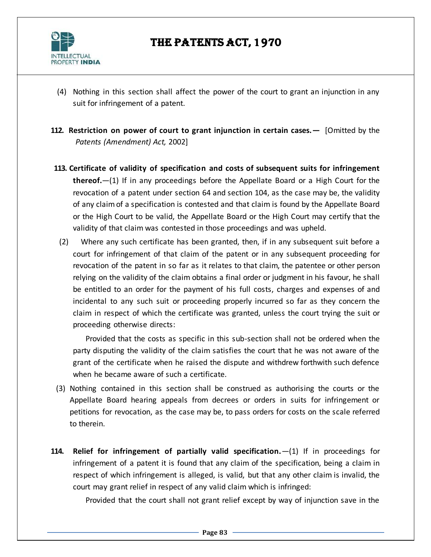

- (4) Nothing in this section shall affect the power of the court to grant an injunction in any suit for infringement of a patent.
- **112. Restriction on power of court to grant injunction in certain cases.—**[Omitted by the *Patents (Amendment) Act,* 2002]
- **113. Certificate of validity of specification and costs of subsequent suits for infringement thereof.**—(1) If in any proceedings before the Appellate Board or a High Court for the revocation of a patent under section 64 and section 104, as the case may be, the validity of any claim of a specification is contested and that claim is found by the Appellate Board or the High Court to be valid, the Appellate Board or the High Court may certify that the validity of that claim was contested in those proceedings and was upheld.
- (2) Where any such certificate has been granted, then, if in any subsequent suit before a court for infringement of that claim of the patent or in any subsequent proceeding for revocation of the patent in so far as it relates to that claim, the patentee or other person relying on the validity of the claim obtains a final order or judgment in his favour, he shall be entitled to an order for the payment of his full costs, charges and expenses of and incidental to any such suit or proceeding properly incurred so far as they concern the claim in respect of which the certificate was granted, unless the court trying the suit or proceeding otherwise directs:

Provided that the costs as specific in this sub-section shall not be ordered when the party disputing the validity of the claim satisfies the court that he was not aware of the grant of the certificate when he raised the dispute and withdrew forthwith such defence when he became aware of such a certificate.

- (3) Nothing contained in this section shall be construed as authorising the courts or the Appellate Board hearing appeals from decrees or orders in suits for infringement or petitions for revocation, as the case may be, to pass orders for costs on the scale referred to therein.
- **114. Relief for infringement of partially valid specification.**—(1) If in proceedings for infringement of a patent it is found that any claim of the specification, being a claim in respect of which infringement is alleged, is valid, but that any other claim is invalid, the court may grant relief in respect of any valid claim which is infringed:

Provided that the court shall not grant relief except by way of injunction save in the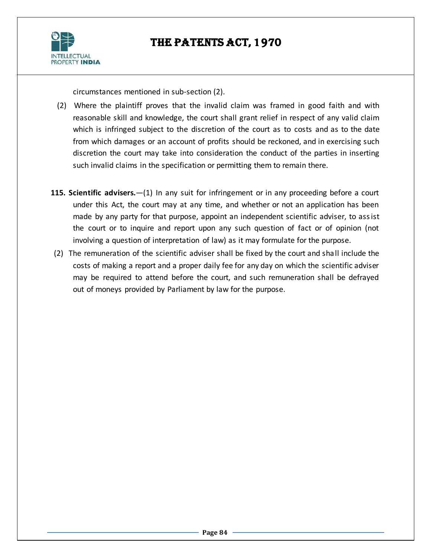

circumstances mentioned in sub-section (2).

- (2) Where the plaintiff proves that the invalid claim was framed in good faith and with reasonable skill and knowledge, the court shall grant relief in respect of any valid claim which is infringed subject to the discretion of the court as to costs and as to the date from which damages or an account of profits should be reckoned, and in exercising such discretion the court may take into consideration the conduct of the parties in inserting such invalid claims in the specification or permitting them to remain there.
- **115. Scientific advisers.**—(1) In any suit for infringement or in any proceeding before a court under this Act, the court may at any time, and whether or not an application has been made by any party for that purpose, appoint an independent scientific adviser, to assist the court or to inquire and report upon any such question of fact or of opinion (not involving a question of interpretation of law) as it may formulate for the purpose.
- (2) The remuneration of the scientific adviser shall be fixed by the court and shall include the costs of making a report and a proper daily fee for any day on which the scientific adviser may be required to attend before the court, and such remuneration shall be defrayed out of moneys provided by Parliament by law for the purpose.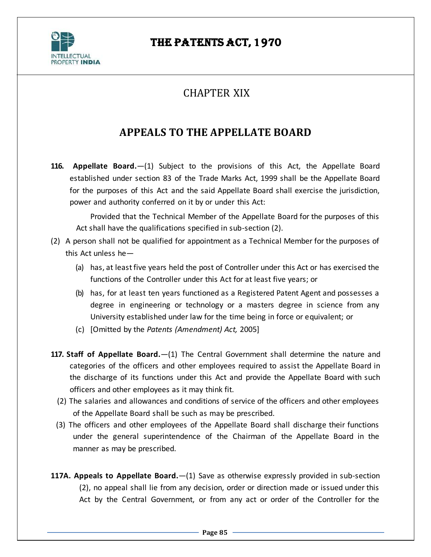

#### CHAPTER XIX

# **APPEALS TO THE APPELLATE BOARD**

**116. Appellate Board.**—(1) Subject to the provisions of this Act, the Appellate Board established under section 83 of the Trade Marks Act, 1999 shall be the Appellate Board for the purposes of this Act and the said Appellate Board shall exercise the jurisdiction, power and authority conferred on it by or under this Act:

Provided that the Technical Member of the Appellate Board for the purposes of this Act shall have the qualifications specified in sub-section (2).

- (2) A person shall not be qualified for appointment as a Technical Member for the purposes of this Act unless he—
	- (a) has, at least five years held the post of Controller under this Act or has exercised the functions of the Controller under this Act for at least five years; or
	- (b) has, for at least ten years functioned as a Registered Patent Agent and possesses a degree in engineering or technology or a masters degree in science from any University established under law for the time being in force or equivalent; or
	- (c) [Omitted by the *Patents (Amendment) Act,* 2005]
- **117. Staff of Appellate Board.**—(1) The Central Government shall determine the nature and categories of the officers and other employees required to assist the Appellate Board in the discharge of its functions under this Act and provide the Appellate Board with such officers and other employees as it may think fit.
	- (2) The salaries and allowances and conditions of service of the officers and other employees of the Appellate Board shall be such as may be prescribed.
	- (3) The officers and other employees of the Appellate Board shall discharge their functions under the general superintendence of the Chairman of the Appellate Board in the manner as may be prescribed.
- **117A. Appeals to Appellate Board.**—(1) Save as otherwise expressly provided in sub-section (2), no appeal shall lie from any decision, order or direction made or issued under this Act by the Central Government, or from any act or order of the Controller for the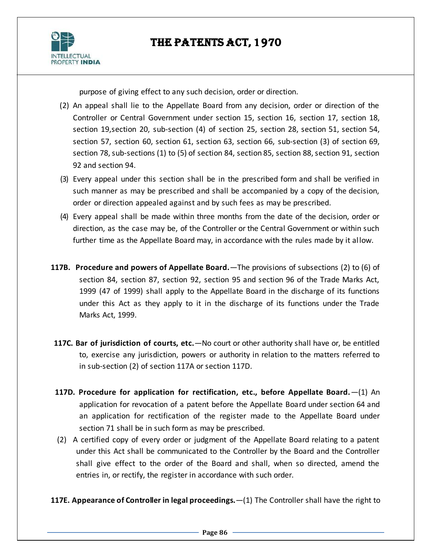

purpose of giving effect to any such decision, order or direction.

- (2) An appeal shall lie to the Appellate Board from any decision, order or direction of the Controller or Central Government under section 15, section 16, section 17, section 18, section 19,section 20, sub-section (4) of section 25, section 28, section 51, section 54, section 57, section 60, section 61, section 63, section 66, sub-section (3) of section 69, section 78, sub-sections (1) to (5) of section 84, section 85, section 88, section 91, section 92 and section 94.
- (3) Every appeal under this section shall be in the prescribed form and shall be verified in such manner as may be prescribed and shall be accompanied by a copy of the decision, order or direction appealed against and by such fees as may be prescribed.
- (4) Every appeal shall be made within three months from the date of the decision, order or direction, as the case may be, of the Controller or the Central Government or within such further time as the Appellate Board may, in accordance with the rules made by it allow.
- **117B. Procedure and powers of Appellate Board.**—The provisions of subsections (2) to (6) of section 84, section 87, section 92, section 95 and section 96 of the Trade Marks Act, 1999 (47 of 1999) shall apply to the Appellate Board in the discharge of its functions under this Act as they apply to it in the discharge of its functions under the Trade Marks Act, 1999.
- **117C. Bar of jurisdiction of courts, etc.**—No court or other authority shall have or, be entitled to, exercise any jurisdiction, powers or authority in relation to the matters referred to in sub-section (2) of section 117A or section 117D.
- **117D. Procedure for application for rectification, etc., before Appellate Board.**—(1) An application for revocation of a patent before the Appellate Board under section 64 and an application for rectification of the register made to the Appellate Board under section 71 shall be in such form as may be prescribed.
- (2) A certified copy of every order or judgment of the Appellate Board relating to a patent under this Act shall be communicated to the Controller by the Board and the Controller shall give effect to the order of the Board and shall, when so directed, amend the entries in, or rectify, the register in accordance with such order.
- **117E. Appearance of Controller in legal proceedings.**—(1) The Controller shall have the right to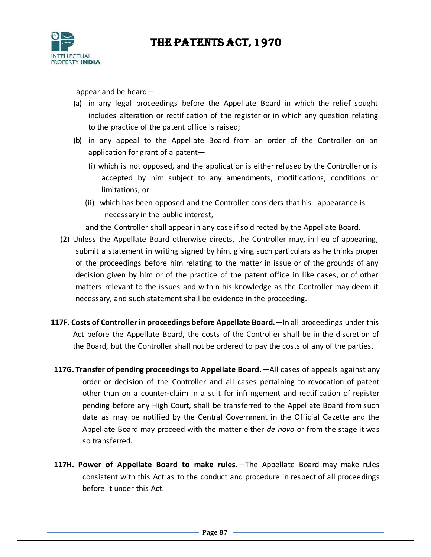

appear and be heard—

- (a) in any legal proceedings before the Appellate Board in which the relief sought includes alteration or rectification of the register or in which any question relating to the practice of the patent office is raised;
- (b) in any appeal to the Appellate Board from an order of the Controller on an application for grant of a patent—
	- (i) which is not opposed, and the application is either refused by the Controller or is accepted by him subject to any amendments, modifications, conditions or limitations, or
	- (ii) which has been opposed and the Controller considers that his appearance is necessary in the public interest,

and the Controller shall appear in any case if so directed by the Appellate Board.

- (2) Unless the Appellate Board otherwise directs, the Controller may, in lieu of appearing, submit a statement in writing signed by him, giving such particulars as he thinks proper of the proceedings before him relating to the matter in issue or of the grounds of any decision given by him or of the practice of the patent office in like cases, or of other matters relevant to the issues and within his knowledge as the Controller may deem it necessary, and such statement shall be evidence in the proceeding.
- **117F. Costs of Controller in proceedings before Appellate Board.**—In all proceedings under this Act before the Appellate Board, the costs of the Controller shall be in the discretion of the Board, but the Controller shall not be ordered to pay the costs of any of the parties.
- **117G. Transfer of pending proceedings to Appellate Board.**—All cases of appeals against any order or decision of the Controller and all cases pertaining to revocation of patent other than on a counter-claim in a suit for infringement and rectification of register pending before any High Court, shall be transferred to the Appellate Board from such date as may be notified by the Central Government in the Official Gazette and the Appellate Board may proceed with the matter either *de novo* or from the stage it was so transferred.
- **117H. Power of Appellate Board to make rules.**—The Appellate Board may make rules consistent with this Act as to the conduct and procedure in respect of all proceedings before it under this Act.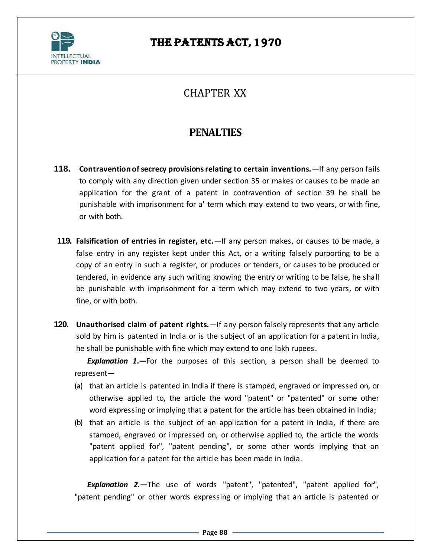

#### CHAPTER XX

#### **PENALTIES**

- **118. Contravention of secrecy provisions relating to certain inventions.**—If any person fails to comply with any direction given under section 35 or makes or causes to be made an application for the grant of a patent in contravention of section 39 he shall be punishable with imprisonment for a' term which may extend to two years, or with fine, or with both.
- **119. Falsification of entries in register, etc.**—If any person makes, or causes to be made, a false entry in any register kept under this Act, or a writing falsely purporting to be a copy of an entry in such a register, or produces or tenders, or causes to be produced or tendered, in evidence any such writing knowing the entry or writing to be false, he shall be punishable with imprisonment for a term which may extend to two years, or with fine, or with both.
- **120. Unauthorised claim of patent rights.**—If any person falsely represents that any article sold by him is patented in India or is the subject of an application for a patent in India, he shall be punishable with fine which may extend to one lakh rupees.

*Explanation 1***.—**For the purposes of this section, a person shall be deemed to represent—

- (a) that an article is patented in India if there is stamped, engraved or impressed on, or otherwise applied to, the article the word "patent" or "patented" or some other word expressing or implying that a patent for the article has been obtained in India;
- (b) that an article is the subject of an application for a patent in India, if there are stamped, engraved or impressed on, or otherwise applied to, the article the words "patent applied for", "patent pending", or some other words implying that an application for a patent for the article has been made in India.

*Explanation 2.***—**The use of words "patent", "patented", "patent applied for", "patent pending" or other words expressing or implying that an article is patented or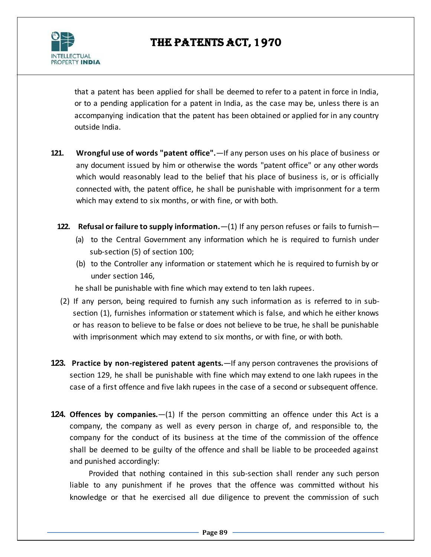

that a patent has been applied for shall be deemed to refer to a patent in force in India, or to a pending application for a patent in India, as the case may be, unless there is an accompanying indication that the patent has been obtained or applied for in any country outside India.

- **121. Wrongful use of words "patent office".**—If any person uses on his place of business or any document issued by him or otherwise the words "patent office" or any other words which would reasonably lead to the belief that his place of business is, or is officially connected with, the patent office, he shall be punishable with imprisonment for a term which may extend to six months, or with fine, or with both.
	- **122. Refusal or failure to supply information.**—(1) If any person refuses or fails to furnish—
		- (a) to the Central Government any information which he is required to furnish under sub-section (5) of section 100;
		- (b) to the Controller any information or statement which he is required to furnish by or under section 146,

he shall be punishable with fine which may extend to ten lakh rupees.

- (2) If any person, being required to furnish any such information as is referred to in subsection (1), furnishes information or statement which is false, and which he either knows or has reason to believe to be false or does not believe to be true, he shall be punishable with imprisonment which may extend to six months, or with fine, or with both.
- **123. Practice by non-registered patent agents.**—If any person contravenes the provisions of section 129, he shall be punishable with fine which may extend to one lakh rupees in the case of a first offence and five lakh rupees in the case of a second or subsequent offence.
- **124. Offences by companies.**—(1) If the person committing an offence under this Act is a company, the company as well as every person in charge of, and responsible to, the company for the conduct of its business at the time of the commission of the offence shall be deemed to be guilty of the offence and shall be liable to be proceeded against and punished accordingly:

Provided that nothing contained in this sub-section shall render any such person liable to any punishment if he proves that the offence was committed without his knowledge or that he exercised all due diligence to prevent the commission of such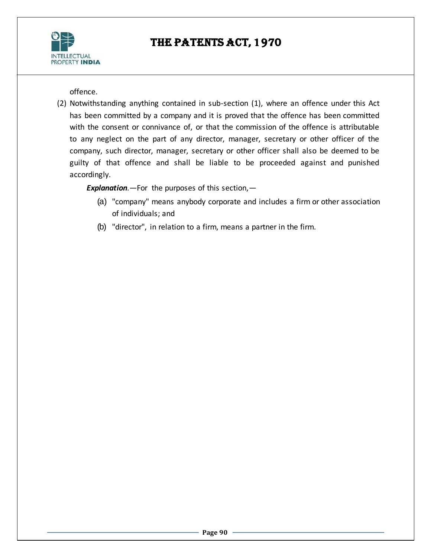

offence.

(2) Notwithstanding anything contained in sub-section (1), where an offence under this Act has been committed by a company and it is proved that the offence has been committed with the consent or connivance of, or that the commission of the offence is attributable to any neglect on the part of any director, manager, secretary or other officer of the company, such director, manager, secretary or other officer shall also be deemed to be guilty of that offence and shall be liable to be proceeded against and punished accordingly.

*Explanation.*—For the purposes of this section,—

- (a) "company" means anybody corporate and includes a firm or other association of individuals; and
- (b) "director", in relation to a firm, means a partner in the firm.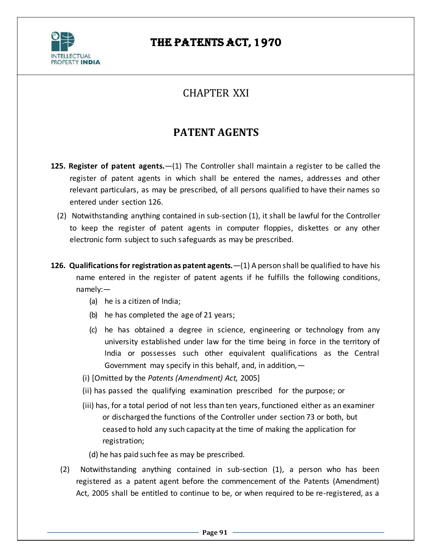

#### CHAPTER XXI

#### **PATENT AGENTS**

- **125. Register of patent agents.**—(1) The Controller shall maintain a register to be called the register of patent agents in which shall be entered the names, addresses and other relevant particulars, as may be prescribed, of all persons qualified to have their names so entered under section 126.
	- (2) Notwithstanding anything contained in sub-section (1), it shall be lawful for the Controller to keep the register of patent agents in computer floppies, diskettes or any other electronic form subject to such safeguards as may be prescribed.
- **126. Qualifications for registration as patent agents.**—(1) A person shall be qualified to have his name entered in the register of patent agents if he fulfills the following conditions, namely:—
	- (a) he is a citizen of India;
	- (b) he has completed the age of 21 years;
	- (c) he has obtained a degree in science, engineering or technology from any university established under law for the time being in force in the territory of India or possesses such other equivalent qualifications as the Central Government may specify in this behalf, and, in addition,  $-$
	- (i) [Omitted by the *Patents (Amendment) Act,* 2005]
	- (ii) has passed the qualifying examination prescribed for the purpose; or
	- (iii) has, for a total period of not less than ten years, functioned either as an examiner or discharged the functions of the Controller under section 73 or both, but ceased to hold any such capacity at the time of making the application for registration;
		- (d) he has paid such fee as may be prescribed.
	- (2) Notwithstanding anything contained in sub-section (1), a person who has been registered as a patent agent before the commencement of the Patents (Amendment) Act, 2005 shall be entitled to continue to be, or when required to be re-registered, as a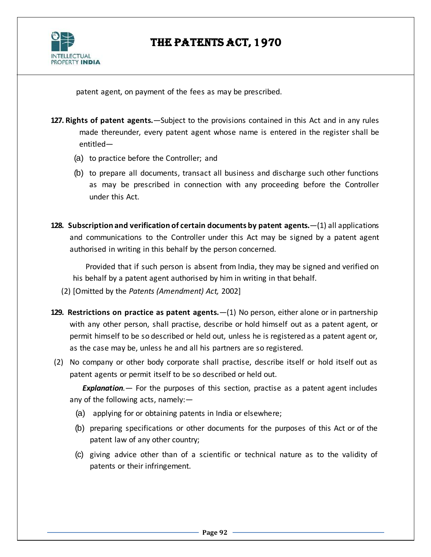

patent agent, on payment of the fees as may be prescribed.

- **127. Rights of patent agents.**—Subject to the provisions contained in this Act and in any rules made thereunder, every patent agent whose name is entered in the register shall be entitled—
	- (a) to practice before the Controller; and
	- (b) to prepare all documents, transact all business and discharge such other functions as may be prescribed in connection with any proceeding before the Controller under this Act.
- **128. Subscription and verification of certain documents by patent agents.**—(1) all applications and communications to the Controller under this Act may be signed by a patent agent authorised in writing in this behalf by the person concerned.

Provided that if such person is absent from India, they may be signed and verified on his behalf by a patent agent authorised by him in writing in that behalf.

- (2) [Omitted by the *Patents (Amendment) Act,* 2002]
- **129. Restrictions on practice as patent agents.**—(1) No person, either alone or in partnership with any other person, shall practise, describe or hold himself out as a patent agent, or permit himself to be so described or held out, unless he is registered as a patent agent or, as the case may be, unless he and all his partners are so registered.
- (2) No company or other body corporate shall practise, describe itself or hold itself out as patent agents or permit itself to be so described or held out.

*Explanation.*— For the purposes of this section, practise as a patent agent includes any of the following acts, namely:—

- (a) applying for or obtaining patents in India or elsewhere;
- (b) preparing specifications or other documents for the purposes of this Act or of the patent law of any other country;
- (c) giving advice other than of a scientific or technical nature as to the validity of patents or their infringement.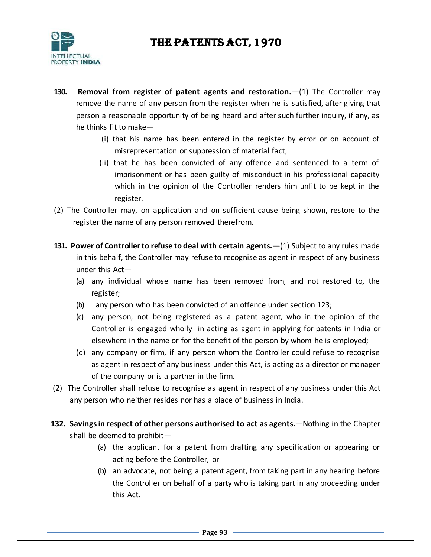

- **130. Removal from register of patent agents and restoration.**—(1) The Controller may remove the name of any person from the register when he is satisfied, after giving that person a reasonable opportunity of being heard and after such further inquiry, if any, as he thinks fit to make—
	- (i) that his name has been entered in the register by error or on account of misrepresentation or suppression of material fact;
	- (ii) that he has been convicted of any offence and sentenced to a term of imprisonment or has been guilty of misconduct in his professional capacity which in the opinion of the Controller renders him unfit to be kept in the register.
- (2) The Controller may, on application and on sufficient cause being shown, restore to the register the name of any person removed therefrom.
- **131. Power of Controller to refuse to deal with certain agents.**—(1) Subject to any rules made in this behalf, the Controller may refuse to recognise as agent in respect of any business under this Act—
	- (a) any individual whose name has been removed from, and not restored to, the register;
	- (b) any person who has been convicted of an offence under section 123;
	- (c) any person, not being registered as a patent agent, who in the opinion of the Controller is engaged wholly in acting as agent in applying for patents in India or elsewhere in the name or for the benefit of the person by whom he is employed;
	- (d) any company or firm, if any person whom the Controller could refuse to recognise as agent in respect of any business under this Act, is acting as a director or manager of the company or is a partner in the firm.
- (2) The Controller shall refuse to recognise as agent in respect of any business under this Act any person who neither resides nor has a place of business in India.
- **132. Savings in respect of other persons authorised to act as agents.**—Nothing in the Chapter shall be deemed to prohibit—
	- (a) the applicant for a patent from drafting any specification or appearing or acting before the Controller, or
	- (b) an advocate, not being a patent agent, from taking part in any hearing before the Controller on behalf of a party who is taking part in any proceeding under this Act.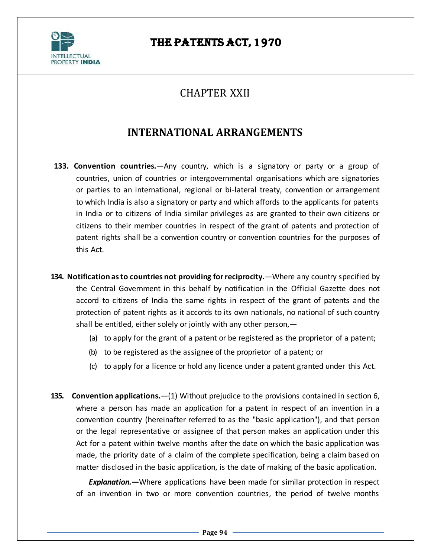

#### CHAPTER XXII

#### **INTERNATIONAL ARRANGEMENTS**

- **133. Convention countries.**—Any country, which is a signatory or party or a group of countries, union of countries or intergovernmental organisations which are signatories or parties to an international, regional or bi-lateral treaty, convention or arrangement to which India is also a signatory or party and which affords to the applicants for patents in India or to citizens of India similar privileges as are granted to their own citizens or citizens to their member countries in respect of the grant of patents and protection of patent rights shall be a convention country or convention countries for the purposes of this Act.
- **134. Notification as to countries not providing for reciprocity.**—Where any country specified by the Central Government in this behalf by notification in the Official Gazette does not accord to citizens of India the same rights in respect of the grant of patents and the protection of patent rights as it accords to its own nationals, no national of such country shall be entitled, either solely or jointly with any other person,—
	- (a) to apply for the grant of a patent or be registered as the proprietor of a patent;
	- (b) to be registered as the assignee of the proprietor of a patent; or
	- (c) to apply for a licence or hold any licence under a patent granted under this Act.
- **135. Convention applications.**—(1) Without prejudice to the provisions contained in section 6, where a person has made an application for a patent in respect of an invention in a convention country (hereinafter referred to as the "basic application"), and that person or the legal representative or assignee of that person makes an application under this Act for a patent within twelve months after the date on which the basic application was made, the priority date of a claim of the complete specification, being a claim based on matter disclosed in the basic application, is the date of making of the basic application.

*Explanation.***—**Where applications have been made for similar protection in respect of an invention in two or more convention countries, the period of twelve months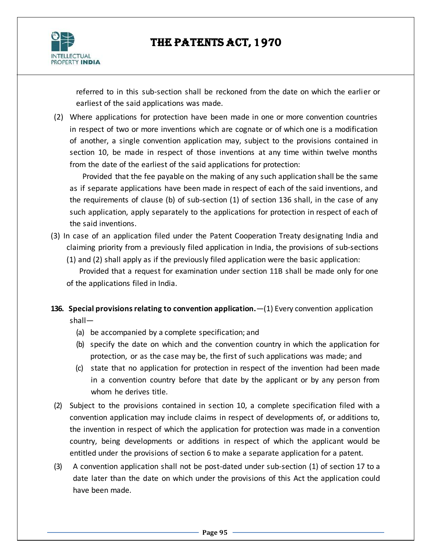

referred to in this sub-section shall be reckoned from the date on which the earlier or earliest of the said applications was made.

(2) Where applications for protection have been made in one or more convention countries in respect of two or more inventions which are cognate or of which one is a modification of another, a single convention application may, subject to the provisions contained in section 10, be made in respect of those inventions at any time within twelve months from the date of the earliest of the said applications for protection:

Provided that the fee payable on the making of any such application shall be the same as if separate applications have been made in respect of each of the said inventions, and the requirements of clause (b) of sub-section (1) of section 136 shall, in the case of any such application, apply separately to the applications for protection in respect of each of the said inventions.

- (3) In case of an application filed under the Patent Cooperation Treaty designating India and claiming priority from a previously filed application in India, the provisions of sub-sections
	- (1) and (2) shall apply as if the previously filed application were the basic application: Provided that a request for examination under section 11B shall be made only for one of the applications filed in India.
- **136. Special provisions relating to convention application.**—(1) Every convention application shall—
	- (a) be accompanied by a complete specification; and
	- (b) specify the date on which and the convention country in which the application for protection, or as the case may be, the first of such applications was made; and
	- (c) state that no application for protection in respect of the invention had been made in a convention country before that date by the applicant or by any person from whom he derives title.
- (2) Subject to the provisions contained in section 10, a complete specification filed with a convention application may include claims in respect of developments of, or additions to, the invention in respect of which the application for protection was made in a convention country, being developments or additions in respect of which the applicant would be entitled under the provisions of section 6 to make a separate application for a patent.
- (3) A convention application shall not be post-dated under sub-section (1) of section 17 to a date later than the date on which under the provisions of this Act the application could have been made.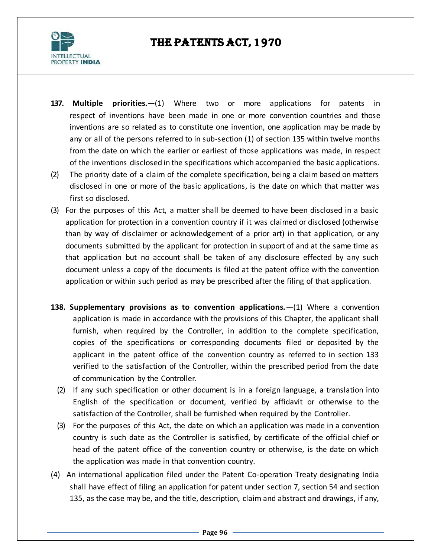

- **137. Multiple priorities.**—(1) Where two or more applications for patents in respect of inventions have been made in one or more convention countries and those inventions are so related as to constitute one invention, one application may be made by any or all of the persons referred to in sub-section (1) of section 135 within twelve months from the date on which the earlier or earliest of those applications was made, in respect of the inventions disclosed in the specifications which accompanied the basic applications.
- (2) The priority date of a claim of the complete specification, being a claim based on matters disclosed in one or more of the basic applications, is the date on which that matter was first so disclosed.
- (3) For the purposes of this Act, a matter shall be deemed to have been disclosed in a basic application for protection in a convention country if it was claimed or disclosed (otherwise than by way of disclaimer or acknowledgement of a prior art) in that application, or any documents submitted by the applicant for protection in support of and at the same time as that application but no account shall be taken of any disclosure effected by any such document unless a copy of the documents is filed at the patent office with the convention application or within such period as may be prescribed after the filing of that application.
- **138. Supplementary provisions as to convention applications.**—(1) Where a convention application is made in accordance with the provisions of this Chapter, the applicant shall furnish, when required by the Controller, in addition to the complete specification, copies of the specifications or corresponding documents filed or deposited by the applicant in the patent office of the convention country as referred to in section 133 verified to the satisfaction of the Controller, within the prescribed period from the date of communication by the Controller.
	- (2) If any such specification or other document is in a foreign language, a translation into English of the specification or document, verified by affidavit or otherwise to the satisfaction of the Controller, shall be furnished when required by the Controller.
	- (3) For the purposes of this Act, the date on which an application was made in a convention country is such date as the Controller is satisfied, by certificate of the official chief or head of the patent office of the convention country or otherwise, is the date on which the application was made in that convention country.
- (4) An international application filed under the Patent Co-operation Treaty designating India shall have effect of filing an application for patent under section 7, section 54 and section 135, as the case may be, and the title, description, claim and abstract and drawings, if any,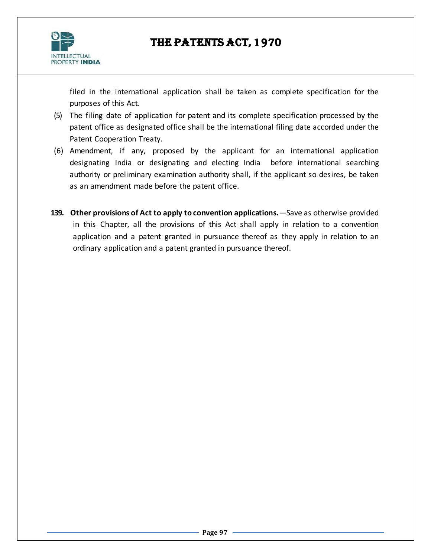

filed in the international application shall be taken as complete specification for the purposes of this Act.

- (5) The filing date of application for patent and its complete specification processed by the patent office as designated office shall be the international filing date accorded under the Patent Cooperation Treaty.
- (6) Amendment, if any, proposed by the applicant for an international application designating India or designating and electing India before international searching authority or preliminary examination authority shall, if the applicant so desires, be taken as an amendment made before the patent office.
- **139. Other provisions of Act to apply to convention applications.**—Save as otherwise provided in this Chapter, all the provisions of this Act shall apply in relation to a convention application and a patent granted in pursuance thereof as they apply in relation to an ordinary application and a patent granted in pursuance thereof.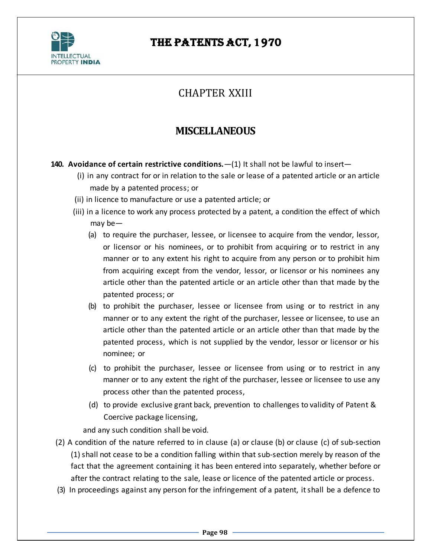

#### CHAPTER XXIII

#### **MISCELLANEOUS**

**140. Avoidance of certain restrictive conditions.**—(1) It shall not be lawful to insert—

- (i) in any contract for or in relation to the sale or lease of a patented article or an article made by a patented process; or
- (ii) in licence to manufacture or use a patented article; or
- (iii) in a licence to work any process protected by a patent, a condition the effect of which may be—
	- (a) to require the purchaser, lessee, or licensee to acquire from the vendor, lessor, or licensor or his nominees, or to prohibit from acquiring or to restrict in any manner or to any extent his right to acquire from any person or to prohibit him from acquiring except from the vendor, lessor, or licensor or his nominees any article other than the patented article or an article other than that made by the patented process; or
	- (b) to prohibit the purchaser, lessee or licensee from using or to restrict in any manner or to any extent the right of the purchaser, lessee or licensee, to use an article other than the patented article or an article other than that made by the patented process, which is not supplied by the vendor, lessor or licensor or his nominee; or
	- (c) to prohibit the purchaser, lessee or licensee from using or to restrict in any manner or to any extent the right of the purchaser, lessee or licensee to use any process other than the patented process,
	- (d) to provide exclusive grant back, prevention to challenges to validity of Patent & Coercive package licensing,

and any such condition shall be void.

- (2) A condition of the nature referred to in clause (a) or clause (b) or clause (c) of sub-section (1) shall not cease to be a condition falling within that sub-section merely by reason of the fact that the agreement containing it has been entered into separately, whether before or after the contract relating to the sale, lease or licence of the patented article or process.
- (3) In proceedings against any person for the infringement of a patent, it shall be a defence to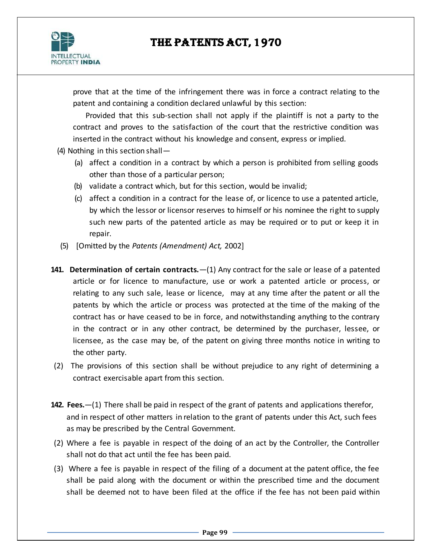

prove that at the time of the infringement there was in force a contract relating to the patent and containing a condition declared unlawful by this section:

Provided that this sub-section shall not apply if the plaintiff is not a party to the contract and proves to the satisfaction of the court that the restrictive condition was inserted in the contract without his knowledge and consent, express or implied.

- (4) Nothing in this section shall—
	- (a) affect a condition in a contract by which a person is prohibited from selling goods other than those of a particular person;
	- (b) validate a contract which, but for this section, would be invalid;
	- (c) affect a condition in a contract for the lease of, or licence to use a patented article, by which the lessor or licensor reserves to himself or his nominee the right to supply such new parts of the patented article as may be required or to put or keep it in repair.
- (5) [Omitted by the *Patents (Amendment) Act,* 2002]
- **141. Determination of certain contracts.**—(1) Any contract for the sale or lease of a patented article or for licence to manufacture, use or work a patented article or process, or relating to any such sale, lease or licence, may at any time after the patent or all the patents by which the article or process was protected at the time of the making of the contract has or have ceased to be in force, and notwithstanding anything to the contrary in the contract or in any other contract, be determined by the purchaser, lessee, or licensee, as the case may be, of the patent on giving three months notice in writing to the other party.
- (2) The provisions of this section shall be without prejudice to any right of determining a contract exercisable apart from this section.
- **142. Fees.**—(1) There shall be paid in respect of the grant of patents and applications therefor, and in respect of other matters in relation to the grant of patents under this Act, such fees as may be prescribed by the Central Government.
- (2) Where a fee is payable in respect of the doing of an act by the Controller, the Controller shall not do that act until the fee has been paid.
- (3) Where a fee is payable in respect of the filing of a document at the patent office, the fee shall be paid along with the document or within the prescribed time and the document shall be deemed not to have been filed at the office if the fee has not been paid within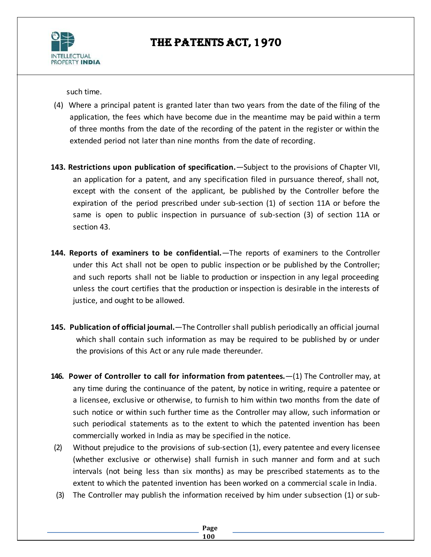

such time.

- (4) Where a principal patent is granted later than two years from the date of the filing of the application, the fees which have become due in the meantime may be paid within a term of three months from the date of the recording of the patent in the register or within the extended period not later than nine months from the date of recording.
- **143. Restrictions upon publication of specification.**—Subject to the provisions of Chapter VII, an application for a patent, and any specification filed in pursuance thereof, shall not, except with the consent of the applicant, be published by the Controller before the expiration of the period prescribed under sub-section (1) of section 11A or before the same is open to public inspection in pursuance of sub-section (3) of section 11A or section 43.
- **144. Reports of examiners to be confidential.**—The reports of examiners to the Controller under this Act shall not be open to public inspection or be published by the Controller; and such reports shall not be liable to production or inspection in any legal proceeding unless the court certifies that the production or inspection is desirable in the interests of justice, and ought to be allowed.
- **145. Publication of official journal.**—The Controller shall publish periodically an official journal which shall contain such information as may be required to be published by or under the provisions of this Act or any rule made thereunder.
- **146. Power of Controller to call for information from patentees.**—(1) The Controller may, at any time during the continuance of the patent, by notice in writing, require a patentee or a licensee, exclusive or otherwise, to furnish to him within two months from the date of such notice or within such further time as the Controller may allow, such information or such periodical statements as to the extent to which the patented invention has been commercially worked in India as may be specified in the notice.
- (2) Without prejudice to the provisions of sub-section (1), every patentee and every licensee (whether exclusive or otherwise) shall furnish in such manner and form and at such intervals (not being less than six months) as may be prescribed statements as to the extent to which the patented invention has been worked on a commercial scale in India.
- (3) The Controller may publish the information received by him under subsection (1) or sub-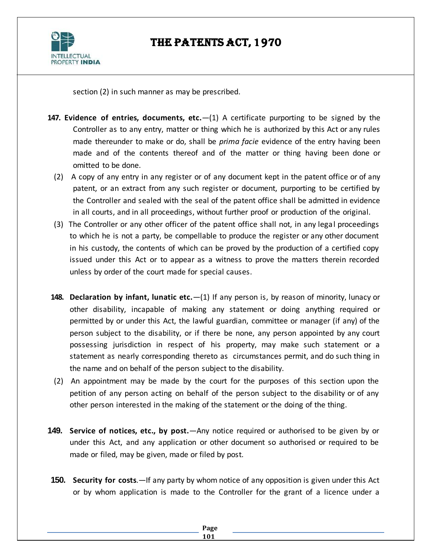

section (2) in such manner as may be prescribed.

- **147. Evidence of entries, documents, etc.**—(1) A certificate purporting to be signed by the Controller as to any entry, matter or thing which he is authorized by this Act or any rules made thereunder to make or do, shall be *prima facie* evidence of the entry having been made and of the contents thereof and of the matter or thing having been done or omitted to be done.
	- (2) A copy of any entry in any register or of any document kept in the patent office or of any patent, or an extract from any such register or document, purporting to be certified by the Controller and sealed with the seal of the patent office shall be admitted in evidence in all courts, and in all proceedings, without further proof or production of the original.
	- (3) The Controller or any other officer of the patent office shall not, in any legal proceedings to which he is not a party, be compellable to produce the register or any other document in his custody, the contents of which can be proved by the production of a certified copy issued under this Act or to appear as a witness to prove the matters therein recorded unless by order of the court made for special causes.
- **148. Declaration by infant, lunatic etc.**—(1) If any person is, by reason of minority, lunacy or other disability, incapable of making any statement or doing anything required or permitted by or under this Act, the lawful guardian, committee or manager (if any) of the person subject to the disability, or if there be none, any person appointed by any court possessing jurisdiction in respect of his property, may make such statement or a statement as nearly corresponding thereto as circumstances permit, and do such thing in the name and on behalf of the person subject to the disability.
- (2) An appointment may be made by the court for the purposes of this section upon the petition of any person acting on behalf of the person subject to the disability or of any other person interested in the making of the statement or the doing of the thing.
- **149. Service of notices, etc., by post.**—Any notice required or authorised to be given by or under this Act, and any application or other document so authorised or required to be made or filed, may be given, made or filed by post.
- **150. Security for costs**.—If any party by whom notice of any opposition is given under this Act or by whom application is made to the Controller for the grant of a licence under a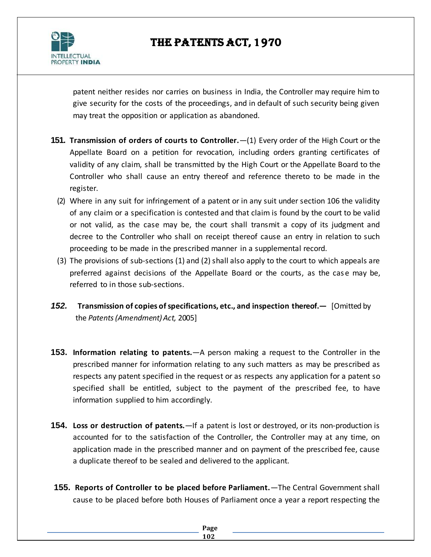

patent neither resides nor carries on business in India, the Controller may require him to give security for the costs of the proceedings, and in default of such security being given may treat the opposition or application as abandoned.

- **151. Transmission of orders of courts to Controller.**—(1) Every order of the High Court or the Appellate Board on a petition for revocation, including orders granting certificates of validity of any claim, shall be transmitted by the High Court or the Appellate Board to the Controller who shall cause an entry thereof and reference thereto to be made in the register.
	- (2) Where in any suit for infringement of a patent or in any suit under section 106 the validity of any claim or a specification is contested and that claim is found by the court to be valid or not valid, as the case may be, the court shall transmit a copy of its judgment and decree to the Controller who shall on receipt thereof cause an entry in relation to such proceeding to be made in the prescribed manner in a supplemental record.
	- (3) The provisions of sub-sections (1) and (2) shall also apply to the court to which appeals are preferred against decisions of the Appellate Board or the courts, as the case may be, referred to in those sub-sections.
- *152.* **Transmission of copies of specifications, etc., and inspection thereof.—** [Omitted by the *Patents (Amendment) Act,* 2005]
- **153. Information relating to patents.**—A person making a request to the Controller in the prescribed manner for information relating to any such matters as may be prescribed as respects any patent specified in the request or as respects any application for a patent so specified shall be entitled, subject to the payment of the prescribed fee, to have information supplied to him accordingly.
- **154. Loss or destruction of patents.**—If a patent is lost or destroyed, or its non-production is accounted for to the satisfaction of the Controller, the Controller may at any time, on application made in the prescribed manner and on payment of the prescribed fee, cause a duplicate thereof to be sealed and delivered to the applicant.
- **155. Reports of Controller to be placed before Parliament.**—The Central Government shall cause to be placed before both Houses of Parliament once a year a report respecting the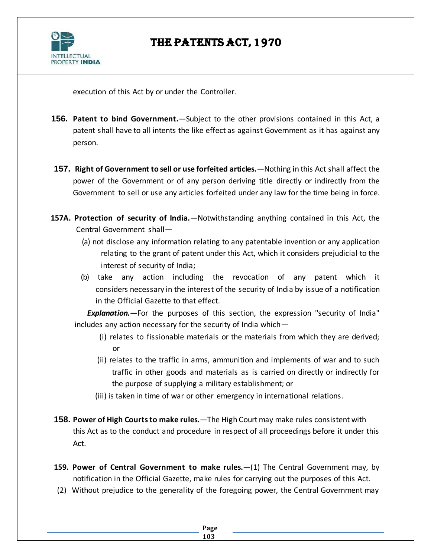

execution of this Act by or under the Controller.

- **156. Patent to bind Government.**—Subject to the other provisions contained in this Act, a patent shall have to all intents the like effect as against Government as it has against any person.
- **157. Right of Government to sell or use forfeited articles.**—Nothing in this Act shall affect the power of the Government or of any person deriving title directly or indirectly from the Government to sell or use any articles forfeited under any law for the time being in force.
- **157A. Protection of security of India.**—Notwithstanding anything contained in this Act, the Central Government shall—
	- (a) not disclose any information relating to any patentable invention or any application relating to the grant of patent under this Act, which it considers prejudicial to the interest of security of India;
	- (b) take any action including the revocation of any patent which it considers necessary in the interest of the security of India by issue of a notification in the Official Gazette to that effect.

*Explanation.***—**For the purposes of this section, the expression "security of India" includes any action necessary for the security of India which—

- (i) relates to fissionable materials or the materials from which they are derived; or
- (ii) relates to the traffic in arms, ammunition and implements of war and to such traffic in other goods and materials as is carried on directly or indirectly for the purpose of supplying a military establishment; or
- (iii) is taken in time of war or other emergency in international relations.
- **158. Power of High Courts to make rules.**—The High Court may make rules consistent with this Act as to the conduct and procedure in respect of all proceedings before it under this Act.
- **159. Power of Central Government to make rules.**—(1) The Central Government may, by notification in the Official Gazette, make rules for carrying out the purposes of this Act.
- (2) Without prejudice to the generality of the foregoing power, the Central Government may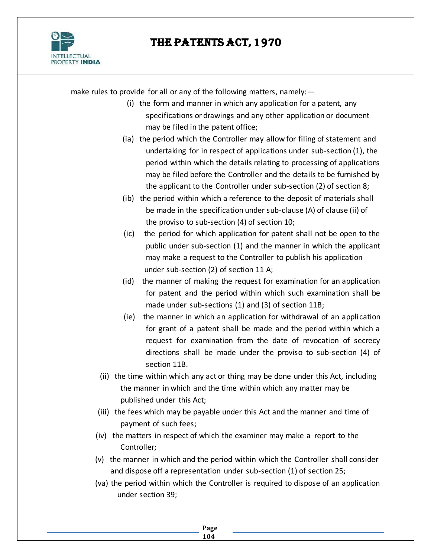

make rules to provide for all or any of the following matters, namely:—

- (i) the form and manner in which any application for a patent, any specifications or drawings and any other application or document may be filed in the patent office;
- (ia) the period which the Controller may allow for filing of statement and undertaking for in respect of applications under sub-section (1), the period within which the details relating to processing of applications may be filed before the Controller and the details to be furnished by the applicant to the Controller under sub-section (2) of section 8;
- (ib) the period within which a reference to the deposit of materials shall be made in the specification under sub-clause (A) of clause (ii) of the proviso to sub-section (4) of section 10;
- (ic) the period for which application for patent shall not be open to the public under sub-section (1) and the manner in which the applicant may make a request to the Controller to publish his application under sub-section (2) of section 11 A;
- (id) the manner of making the request for examination for an application for patent and the period within which such examination shall be made under sub-sections (1) and (3) of section 11B;
- (ie) the manner in which an application for withdrawal of an application for grant of a patent shall be made and the period within which a request for examination from the date of revocation of secrecy directions shall be made under the proviso to sub-section (4) of section 11B.
- (ii) the time within which any act or thing may be done under this Act, including the manner in which and the time within which any matter may be published under this Act;
- (iii) the fees which may be payable under this Act and the manner and time of payment of such fees;
- (iv) the matters in respect of which the examiner may make a report to the Controller;
- (v) the manner in which and the period within which the Controller shall consider and dispose off a representation under sub-section (1) of section 25;
- (va) the period within which the Controller is required to dispose of an application under section 39;

| ההר |  |
|-----|--|
| M   |  |
|     |  |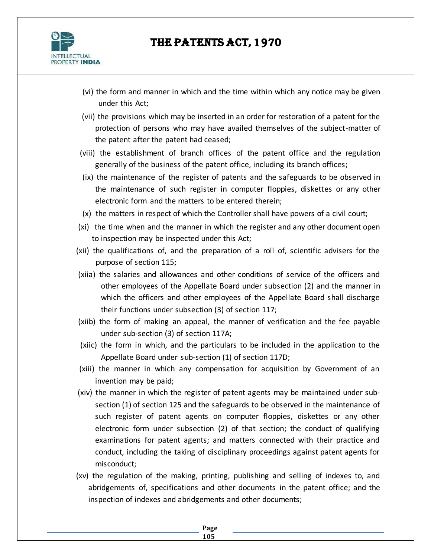

- (vi) the form and manner in which and the time within which any notice may be given under this Act;
- (vii) the provisions which may be inserted in an order for restoration of a patent for the protection of persons who may have availed themselves of the subject-matter of the patent after the patent had ceased;
- (viii) the establishment of branch offices of the patent office and the regulation generally of the business of the patent office, including its branch offices;
- (ix) the maintenance of the register of patents and the safeguards to be observed in the maintenance of such register in computer floppies, diskettes or any other electronic form and the matters to be entered therein;
- (x) the matters in respect of which the Controller shall have powers of a civil court;
- (xi) the time when and the manner in which the register and any other document open to inspection may be inspected under this Act;
- (xii) the qualifications of, and the preparation of a roll of, scientific advisers for the purpose of section 115;
- (xiia) the salaries and allowances and other conditions of service of the officers and other employees of the Appellate Board under subsection (2) and the manner in which the officers and other employees of the Appellate Board shall discharge their functions under subsection (3) of section 117;
- (xiib) the form of making an appeal, the manner of verification and the fee payable under sub-section (3) of section 117A;
- (xiic) the form in which, and the particulars to be included in the application to the Appellate Board under sub-section (1) of section 117D;
- (xiii) the manner in which any compensation for acquisition by Government of an invention may be paid;
- (xiv) the manner in which the register of patent agents may be maintained under subsection (1) of section 125 and the safeguards to be observed in the maintenance of such register of patent agents on computer floppies, diskettes or any other electronic form under subsection (2) of that section; the conduct of qualifying examinations for patent agents; and matters connected with their practice and conduct, including the taking of disciplinary proceedings against patent agents for misconduct;
- (xv) the regulation of the making, printing, publishing and selling of indexes to, and abridgements of, specifications and other documents in the patent office; and the inspection of indexes and abridgements and other documents;

**Page 105**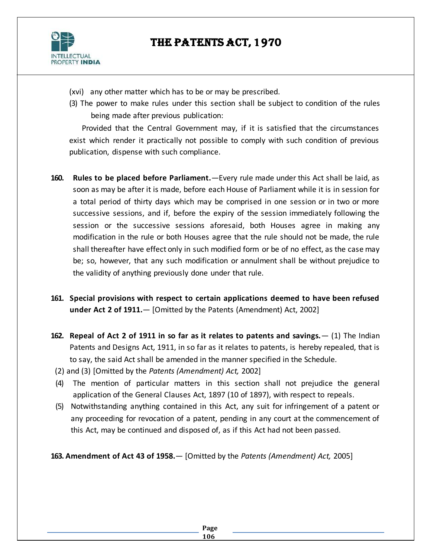

(xvi) any other matter which has to be or may be prescribed.

(3) The power to make rules under this section shall be subject to condition of the rules being made after previous publication:

Provided that the Central Government may, if it is satisfied that the circumstances exist which render it practically not possible to comply with such condition of previous publication, dispense with such compliance.

- **160. Rules to be placed before Parliament.**—Every rule made under this Act shall be laid, as soon as may be after it is made, before each House of Parliament while it is in session for a total period of thirty days which may be comprised in one session or in two or more successive sessions, and if, before the expiry of the session immediately following the session or the successive sessions aforesaid, both Houses agree in making any modification in the rule or both Houses agree that the rule should not be made, the rule shall thereafter have effect only in such modified form or be of no effect, as the case may be; so, however, that any such modification or annulment shall be without prejudice to the validity of anything previously done under that rule.
- **161. Special provisions with respect to certain applications deemed to have been refused under Act 2 of 1911.**— [Omitted by the Patents (Amendment) Act, 2002]
- **162. Repeal of Act 2 of 1911 in so far as it relates to patents and savings.** (1) The Indian Patents and Designs Act, 1911, in so far as it relates to patents, is hereby repealed, that is to say, the said Act shall be amended in the manner specified in the Schedule.
- (2) and (3) [Omitted by the *Patents (Amendment) Act,* 2002]
- (4) The mention of particular matters in this section shall not prejudice the general application of the General Clauses Act, 1897 (10 of 1897), with respect to repeals.
- (5) Notwithstanding anything contained in this Act, any suit for infringement of a patent or any proceeding for revocation of a patent, pending in any court at the commencement of this Act, may be continued and disposed of, as if this Act had not been passed.

**163. Amendment of Act 43 of 1958.**— [Omitted by the *Patents (Amendment) Act,* 2005]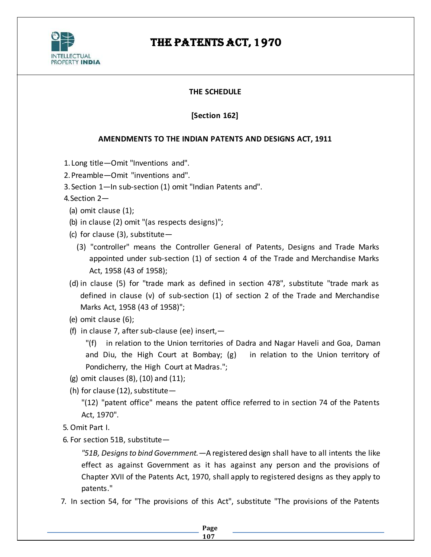

#### **THE SCHEDULE**

#### **[Section 162]**

#### **AMENDMENTS TO THE INDIAN PATENTS AND DESIGNS ACT, 1911**

- 1. Long title—Omit "Inventions and".
- 2.Preamble—Omit "inventions and".
- 3. Section 1—In sub-section (1) omit "Indian Patents and".

4.Section 2—

- (a) omit clause (1);
- (b) in clause (2) omit "(as respects designs)";
- (c) for clause  $(3)$ , substitute
	- (3) "controller" means the Controller General of Patents, Designs and Trade Marks appointed under sub-section (1) of section 4 of the Trade and Merchandise Marks Act, 1958 (43 of 1958);
- (d) in clause (5) for "trade mark as defined in section 478", substitute "trade mark as defined in clause (v) of sub-section (1) of section 2 of the Trade and Merchandise Marks Act, 1958 (43 of 1958)";
- (e) omit clause (6);
- (f) in clause 7, after sub-clause (ee) insert,  $-$

"(f) in relation to the Union territories of Dadra and Nagar Haveli and Goa, Daman and Diu, the High Court at Bombay; (g) in relation to the Union territory of Pondicherry, the High Court at Madras.";

- (g) omit clauses (8), (10) and (11);
- (h) for clause (12), substitute—

"(12) "patent office" means the patent office referred to in section 74 of the Patents Act, 1970".

- 5. Omit Part I.
- 6. For section 51B, substitute—

*"51B, Designs to bind Government.*—A registered design shall have to all intents the like effect as against Government as it has against any person and the provisions of Chapter XVII of the Patents Act, 1970, shall apply to registered designs as they apply to patents."

7. In section 54, for "The provisions of this Act", substitute "The provisions of the Patents

**Page 107**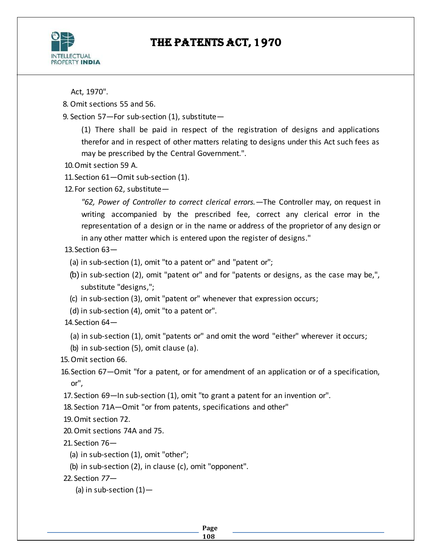

#### Act, 1970".

8. Omit sections 55 and 56.

9. Section 57—For sub-section (1), substitute—

(1) There shall be paid in respect of the registration of designs and applications therefor and in respect of other matters relating to designs under this Act such fees as may be prescribed by the Central Government.".

10.Omit section 59 A.

11.Section 61—Omit sub-section (1).

12.For section 62, substitute—

*"62, Power of Controller to correct clerical errors.*—The Controller may, on request in writing accompanied by the prescribed fee, correct any clerical error in the representation of a design or in the name or address of the proprietor of any design or in any other matter which is entered upon the register of designs."

13.Section 63—

- (a) in sub-section (1), omit "to a patent or" and "patent or";
- (b) in sub-section (2), omit "patent or" and for "patents or designs, as the case may be,", substitute "designs,";
- (c) in sub-section (3), omit "patent or" whenever that expression occurs;
- (d) in sub-section (4), omit "to a patent or".

14.Section 64—

(a) in sub-section (1), omit "patents or" and omit the word "either" wherever it occurs;

(b) in sub-section (5), omit clause (a).

15.Omit section 66.

16.Section 67—Omit "for a patent, or for amendment of an application or of a specification, or",

17. Section 69—In sub-section (1), omit "to grant a patent for an invention or".

**Page 108**

18. Section 71A—Omit "or from patents, specifications and other"

19.Omit section 72.

20.Omit sections 74A and 75.

21. Section 76—

(a) in sub-section (1), omit "other";

(b) in sub-section (2), in clause (c), omit "opponent".

22. Section *77—*

(a) in sub-section  $(1)$ —